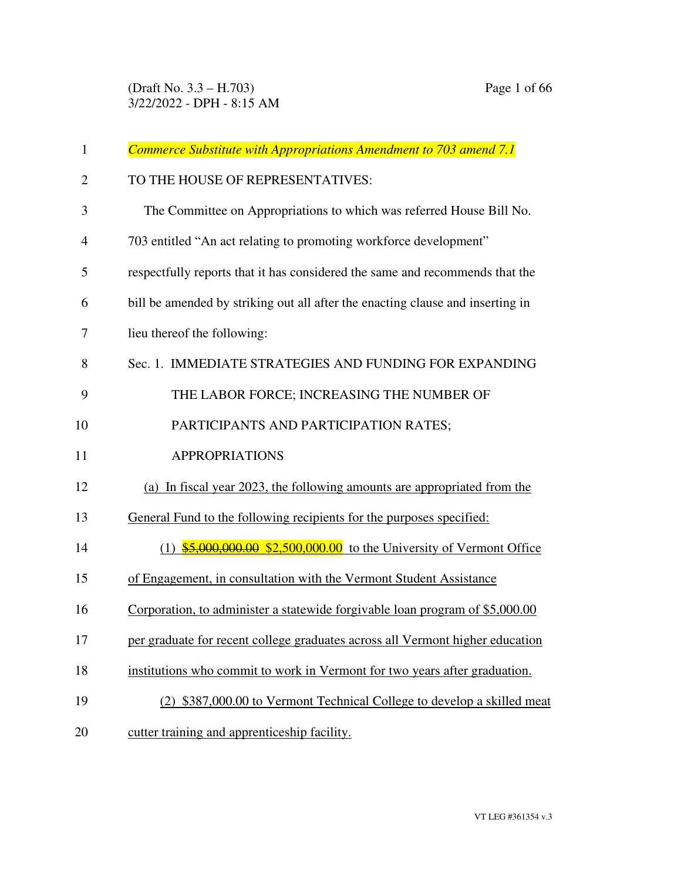| $\mathbf{1}$   | Commerce Substitute with Appropriations Amendment to 703 amend 7.1             |
|----------------|--------------------------------------------------------------------------------|
| $\overline{2}$ | TO THE HOUSE OF REPRESENTATIVES:                                               |
| 3              | The Committee on Appropriations to which was referred House Bill No.           |
| $\overline{4}$ | 703 entitled "An act relating to promoting workforce development"              |
| 5              | respectfully reports that it has considered the same and recommends that the   |
| 6              | bill be amended by striking out all after the enacting clause and inserting in |
| 7              | lieu thereof the following:                                                    |
| 8              | Sec. 1. IMMEDIATE STRATEGIES AND FUNDING FOR EXPANDING                         |
| 9              | THE LABOR FORCE; INCREASING THE NUMBER OF                                      |
| 10             | PARTICIPANTS AND PARTICIPATION RATES;                                          |
| 11             | <b>APPROPRIATIONS</b>                                                          |
| 12             | (a) In fiscal year 2023, the following amounts are appropriated from the       |
| 13             | General Fund to the following recipients for the purposes specified:           |
| 14             | $(1)$ \$5,000,000.00 \$2,500,000.00 to the University of Vermont Office        |
| 15             | of Engagement, in consultation with the Vermont Student Assistance             |
| 16             | Corporation, to administer a statewide forgivable loan program of \$5,000.00   |
| 17             | per graduate for recent college graduates across all Vermont higher education  |
| 18             | institutions who commit to work in Vermont for two years after graduation.     |
| 19             | (2) \$387,000.00 to Vermont Technical College to develop a skilled meat        |
| 20             | cutter training and apprenticeship facility.                                   |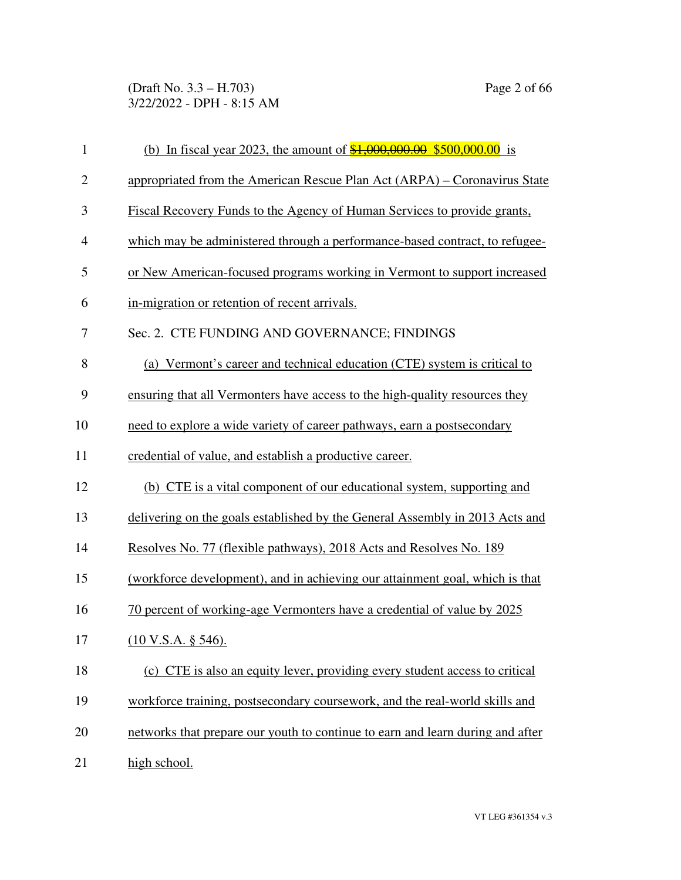(Draft No. 3.3 – H.703) Page 2 of 66 3/22/2022 - DPH - 8:15 AM

| $\mathbf{1}$   | (b) In fiscal year 2023, the amount of $\frac{$1,000,000.00}{$500,000.00}$ is  |
|----------------|--------------------------------------------------------------------------------|
| $\overline{2}$ | appropriated from the American Rescue Plan Act (ARPA) – Coronavirus State      |
| $\mathfrak{Z}$ | Fiscal Recovery Funds to the Agency of Human Services to provide grants,       |
| $\overline{4}$ | which may be administered through a performance-based contract, to refugee-    |
| 5              | or New American-focused programs working in Vermont to support increased       |
| 6              | in-migration or retention of recent arrivals.                                  |
| 7              | Sec. 2. CTE FUNDING AND GOVERNANCE; FINDINGS                                   |
| 8              | (a) Vermont's career and technical education (CTE) system is critical to       |
| 9              | ensuring that all Vermonters have access to the high-quality resources they    |
| 10             | need to explore a wide variety of career pathways, earn a postsecondary        |
| 11             | credential of value, and establish a productive career.                        |
| 12             | (b) CTE is a vital component of our educational system, supporting and         |
| 13             | delivering on the goals established by the General Assembly in 2013 Acts and   |
| 14             | Resolves No. 77 (flexible pathways), 2018 Acts and Resolves No. 189            |
| 15             | (workforce development), and in achieving our attainment goal, which is that   |
| 16             | 70 percent of working-age Vermonters have a credential of value by 2025        |
| 17             | (10 V.S.A. § 546).                                                             |
| 18             | (c) CTE is also an equity lever, providing every student access to critical    |
| 19             | workforce training, postsecondary coursework, and the real-world skills and    |
| 20             | networks that prepare our youth to continue to earn and learn during and after |
| 21             | high school.                                                                   |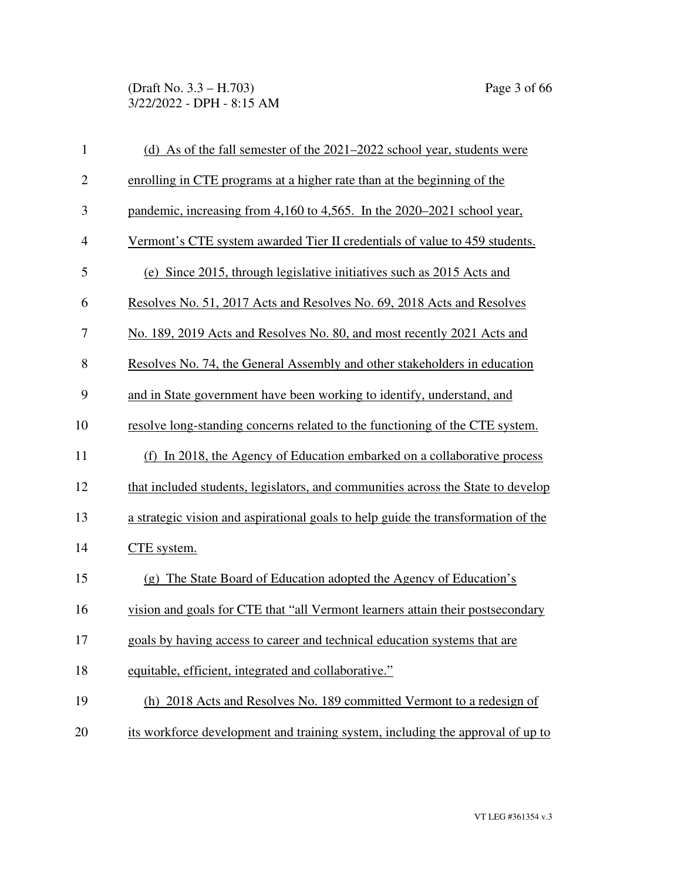(Draft No. 3.3 – H.703) Page 3 of 66 3/22/2022 - DPH - 8:15 AM

| $\mathbf{1}$   | (d) As of the fall semester of the 2021–2022 school year, students were           |
|----------------|-----------------------------------------------------------------------------------|
| $\mathbf{2}$   | enrolling in CTE programs at a higher rate than at the beginning of the           |
| 3              | pandemic, increasing from 4,160 to 4,565. In the 2020–2021 school year,           |
| $\overline{4}$ | Vermont's CTE system awarded Tier II credentials of value to 459 students.        |
| 5              | (e) Since 2015, through legislative initiatives such as 2015 Acts and             |
| 6              | Resolves No. 51, 2017 Acts and Resolves No. 69, 2018 Acts and Resolves            |
| 7              | No. 189, 2019 Acts and Resolves No. 80, and most recently 2021 Acts and           |
| 8              | Resolves No. 74, the General Assembly and other stakeholders in education         |
| 9              | and in State government have been working to identify, understand, and            |
| 10             | resolve long-standing concerns related to the functioning of the CTE system.      |
| 11             | (f) In 2018, the Agency of Education embarked on a collaborative process          |
| 12             | that included students, legislators, and communities across the State to develop  |
| 13             | a strategic vision and aspirational goals to help guide the transformation of the |
| 14             | CTE system.                                                                       |
| 15             | (g) The State Board of Education adopted the Agency of Education's                |
| 16             | vision and goals for CTE that "all Vermont learners attain their postsecondary    |
| 17             | goals by having access to career and technical education systems that are         |
| 18             | equitable, efficient, integrated and collaborative."                              |
| 19             | (h) 2018 Acts and Resolves No. 189 committed Vermont to a redesign of             |
| 20             | its workforce development and training system, including the approval of up to    |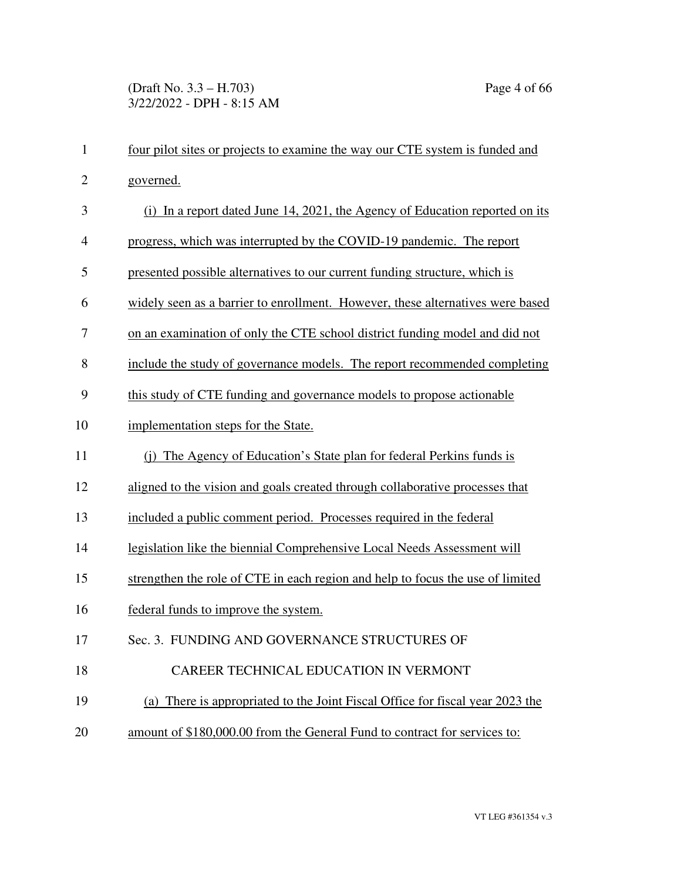| $\mathbf{1}$   | four pilot sites or projects to examine the way our CTE system is funded and   |
|----------------|--------------------------------------------------------------------------------|
| $\overline{2}$ | governed.                                                                      |
| 3              | (i) In a report dated June 14, 2021, the Agency of Education reported on its   |
| 4              | progress, which was interrupted by the COVID-19 pandemic. The report           |
| 5              | presented possible alternatives to our current funding structure, which is     |
| 6              | widely seen as a barrier to enrollment. However, these alternatives were based |
| 7              | on an examination of only the CTE school district funding model and did not    |
| 8              | include the study of governance models. The report recommended completing      |
| 9              | this study of CTE funding and governance models to propose actionable          |
| 10             | implementation steps for the State.                                            |
| 11             | (i) The Agency of Education's State plan for federal Perkins funds is          |
| 12             | aligned to the vision and goals created through collaborative processes that   |
| 13             | included a public comment period. Processes required in the federal            |
| 14             | legislation like the biennial Comprehensive Local Needs Assessment will        |
| 15             | strengthen the role of CTE in each region and help to focus the use of limited |
| 16             | federal funds to improve the system.                                           |
| 17             | Sec. 3. FUNDING AND GOVERNANCE STRUCTURES OF                                   |
| 18             | CAREER TECHNICAL EDUCATION IN VERMONT                                          |
| 19             | (a) There is appropriated to the Joint Fiscal Office for fiscal year 2023 the  |
| 20             | amount of \$180,000.00 from the General Fund to contract for services to:      |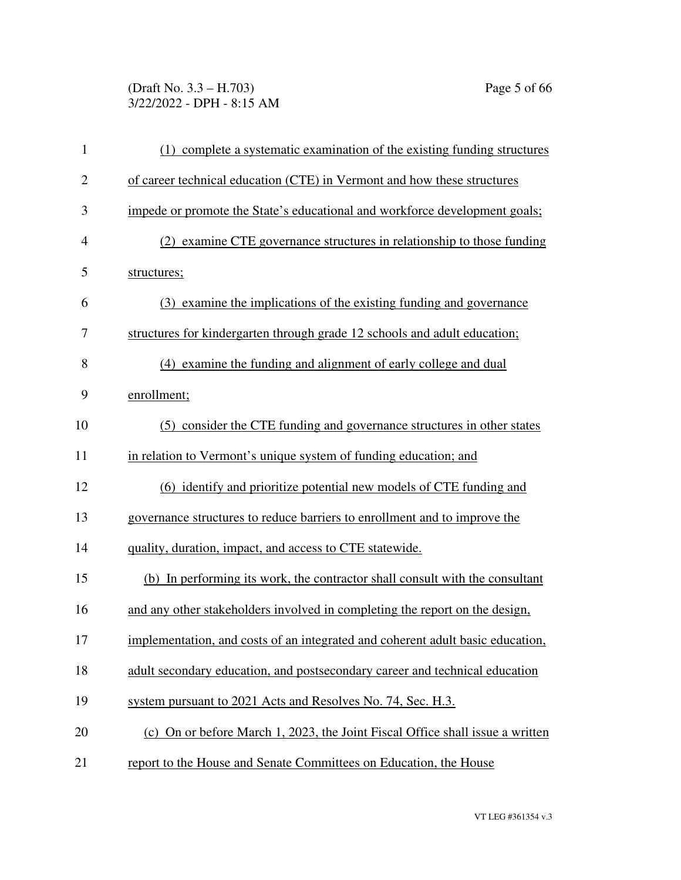# (Draft No. 3.3 – H.703) Page 5 of 66 3/22/2022 - DPH - 8:15 AM

| $\mathbf{1}$   | (1) complete a systematic examination of the existing funding structures       |
|----------------|--------------------------------------------------------------------------------|
| $\overline{c}$ | of career technical education (CTE) in Vermont and how these structures        |
| 3              | impede or promote the State's educational and workforce development goals;     |
| 4              | (2) examine CTE governance structures in relationship to those funding         |
| 5              | structures;                                                                    |
| 6              | (3) examine the implications of the existing funding and governance            |
| 7              | structures for kindergarten through grade 12 schools and adult education;      |
| 8              | (4) examine the funding and alignment of early college and dual                |
| 9              | enrollment;                                                                    |
| 10             | (5) consider the CTE funding and governance structures in other states         |
| 11             | in relation to Vermont's unique system of funding education; and               |
| 12             | (6) identify and prioritize potential new models of CTE funding and            |
| 13             | governance structures to reduce barriers to enrollment and to improve the      |
| 14             | quality, duration, impact, and access to CTE statewide.                        |
| 15             | (b) In performing its work, the contractor shall consult with the consultant   |
| 16             | and any other stakeholders involved in completing the report on the design,    |
| 17             | implementation, and costs of an integrated and coherent adult basic education, |
| 18             | adult secondary education, and postsecondary career and technical education    |
| 19             | system pursuant to 2021 Acts and Resolves No. 74, Sec. H.3.                    |
| 20             | (c) On or before March 1, 2023, the Joint Fiscal Office shall issue a written  |
| 21             | report to the House and Senate Committees on Education, the House              |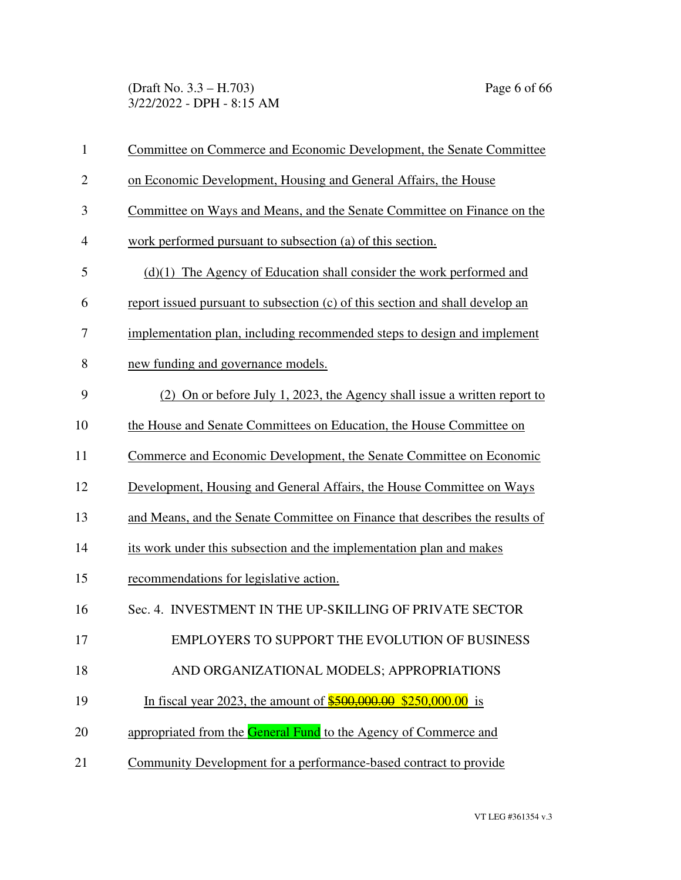(Draft No. 3.3 – H.703) Page 6 of 66 3/22/2022 - DPH - 8:15 AM

| $\mathbf{1}$   | Committee on Commerce and Economic Development, the Senate Committee          |
|----------------|-------------------------------------------------------------------------------|
| $\overline{2}$ | on Economic Development, Housing and General Affairs, the House               |
| 3              | Committee on Ways and Means, and the Senate Committee on Finance on the       |
| 4              | work performed pursuant to subsection (a) of this section.                    |
| 5              | $(d)(1)$ The Agency of Education shall consider the work performed and        |
| 6              | report issued pursuant to subsection (c) of this section and shall develop an |
| 7              | implementation plan, including recommended steps to design and implement      |
| 8              | new funding and governance models.                                            |
| 9              | (2) On or before July 1, 2023, the Agency shall issue a written report to     |
| 10             | the House and Senate Committees on Education, the House Committee on          |
| 11             | Commerce and Economic Development, the Senate Committee on Economic           |
| 12             | Development, Housing and General Affairs, the House Committee on Ways         |
| 13             | and Means, and the Senate Committee on Finance that describes the results of  |
| 14             | its work under this subsection and the implementation plan and makes          |
| 15             | recommendations for legislative action.                                       |
| 16             | Sec. 4. INVESTMENT IN THE UP-SKILLING OF PRIVATE SECTOR                       |
| 17             | EMPLOYERS TO SUPPORT THE EVOLUTION OF BUSINESS                                |
| 18             | AND ORGANIZATIONAL MODELS; APPROPRIATIONS                                     |
| 19             | In fiscal year 2023, the amount of $\frac{$500,000.00}{$500,000.00}$ is       |
| 20             | appropriated from the General Fund to the Agency of Commerce and              |
| 21             | Community Development for a performance-based contract to provide             |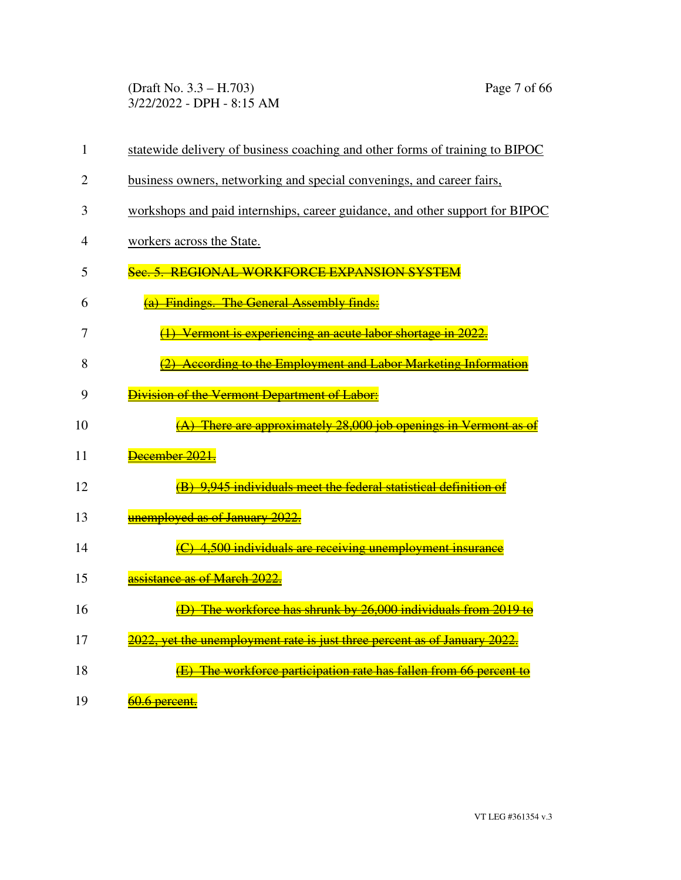(Draft No. 3.3 – H.703) Page 7 of 66 3/22/2022 - DPH - 8:15 AM

| $\mathbf{1}$   | statewide delivery of business coaching and other forms of training to BIPOC |
|----------------|------------------------------------------------------------------------------|
| $\overline{2}$ | business owners, networking and special convenings, and career fairs,        |
| 3              | workshops and paid internships, career guidance, and other support for BIPOC |
| 4              | workers across the State.                                                    |
| 5              | Sec. 5. REGIONAL WORKFORCE EXPANSION SYSTEM                                  |
| 6              | (a) Findings. The General Assembly finds:                                    |
| 7              | (1) Vermont is experiencing an acute labor shortage in 2022.                 |
| 8              | (2) According to the Employment and Labor Marketing Information              |
| 9              | <b>Division of the Vermont Department of Labor:</b>                          |
| 10             | (A) There are approximately 28,000 job openings in Vermont as e              |
| 11             | December 2021.                                                               |
| 12             | (B) 9,945 individuals meet the federal statistical definition of             |
| 13             | unemployed as of January 2022.                                               |
| 14             | (C) 4,500 individuals are receiving unemployment insurance                   |
| 15             | <mark>assistance as of March 2022.</mark>                                    |
| 16             | (D) The workforce has shrunk by 26,000 individuals from 2019 to              |
| 17             | 2022, yet the unemployment rate is just three percent as of January 2022.    |
| 18             | (E) The workforce participation rate has fallen from 66 percent to           |
| 19             | 60.6 percent.                                                                |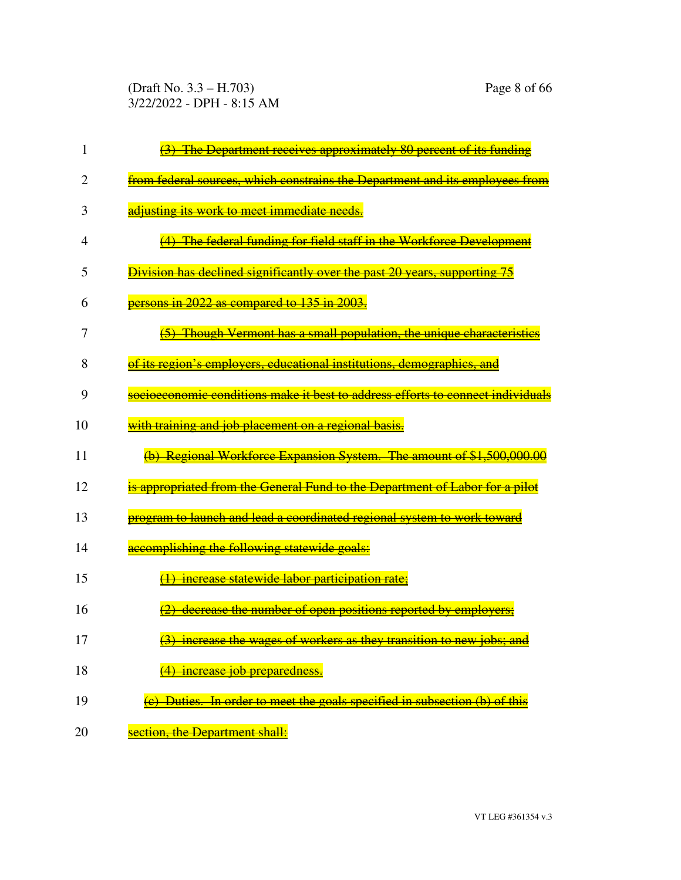(Draft No. 3.3 – H.703) Page 8 of 66 3/22/2022 - DPH - 8:15 AM

|    | The Department receives approximately 80 percent of its funding                 |
|----|---------------------------------------------------------------------------------|
| 2  | from federal sources, which constrains the Department and its employees from    |
| 3  | adjusting its work to meet immediate needs.                                     |
| 4  | (4) The federal funding for field staff in the Workforce Development            |
| 5  | Division has declined significantly over the past 20 years, supporting 75       |
| 6  | persons in 2022 as compared to 135 in 2003.                                     |
| 7  | (5) Though Vermont has a small population, the unique characteristics           |
| 8  | of its region's employers, educational institutions, demographics, and          |
| 9  | socioeconomic conditions make it best to address efforts to connect individuals |
| 10 | with training and job placement on a regional basis.                            |
| 11 | (b) Regional Workforce Expansion System. The amount of \$1,500,000.00           |
| 12 | is appropriated from the General Fund to the Department of Labor for a pilot    |
| 13 | program to launch and lead a coordinated regional system to work toward         |
| 14 | accomplishing the following statewide goals:                                    |
| 15 | increase statewide labor participation rate;                                    |
| 16 | decrease the number of open positions reported by employers;                    |
| 17 | (3) increase the wages of workers as they transition to new jobs; and           |
| 18 | <u>increase job preparedness.</u>                                               |
| 19 | $(e)$ Duties. In order to meet the goals specified in subsection $(b)$ of this  |
| 20 | section, the Department shall:                                                  |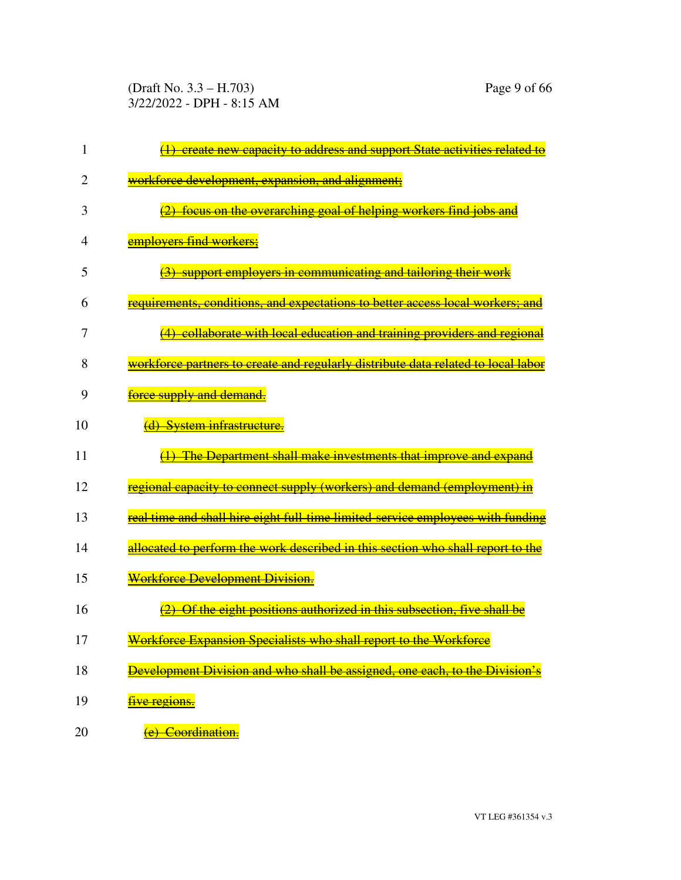(Draft No. 3.3 – H.703) Page 9 of 66 3/22/2022 - DPH - 8:15 AM

| 1              | (1) create new capacity to address and support State activities related to                   |
|----------------|----------------------------------------------------------------------------------------------|
| $\overline{2}$ | workforce development, expansion, and alignment;                                             |
| 3              | (2) focus on the overarching goal of helping workers find jobs and                           |
| 4              | employers find workers;                                                                      |
| 5              | (3) support employers in communicating and tailoring their work                              |
| 6              | requirements, conditions, and expectations to better access local workers; and               |
| 7              | (4) collaborate with local education and training providers and regional                     |
| 8              | <del>workforce partners to create and regularly distribute data related to local labor</del> |
| 9              | <del>force supply and demand.</del>                                                          |
| 10             | (d) System infrastructure.                                                                   |
| 11             | (1) The Department shall make investments that improve and expand                            |
| 12             | regional capacity to connect supply (workers) and demand (employment) in                     |
| 13             | <u>real time and shall hire eight full-time limited-service employees with funding</u>       |
| 14             | <u>allocated to perform the work described in this section who shall report to the </u>      |
| 15             | Workforce Development Division.                                                              |
| 16             | (2) Of the eight positions authorized in this subsection, five shall be                      |
| 17             | Workforce Expansion Specialists who shall report to the Workforce                            |
| 18             | velopment Division and who shall be assigned<br>ane.                                         |
| 19             | <del>five regions.</del>                                                                     |
| 20             | Coordination.                                                                                |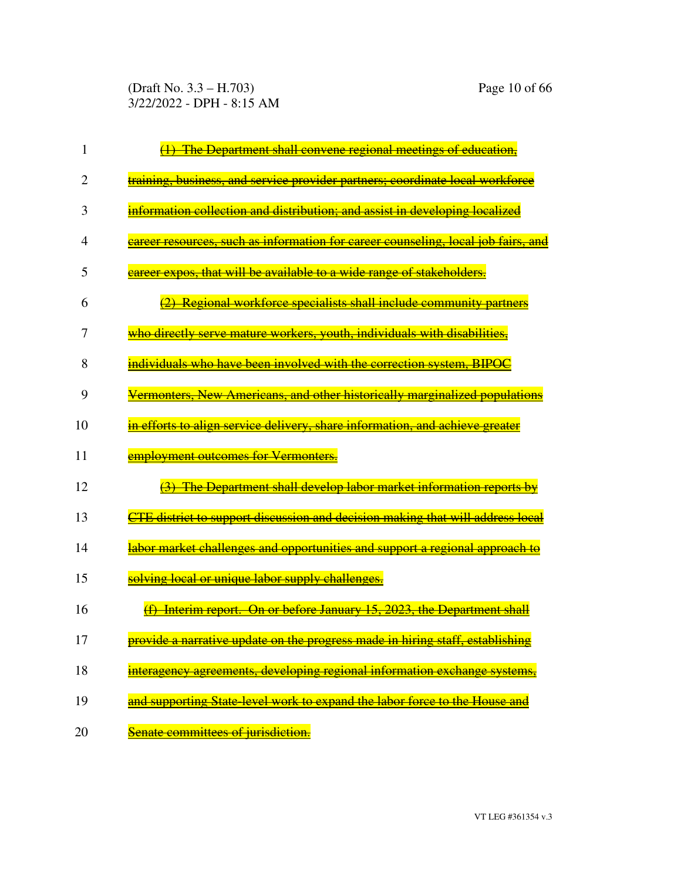(Draft No. 3.3 – H.703) Page 10 of 66 3/22/2022 - DPH - 8:15 AM

| 1              | (1) The Department shall convene regional meetings of education,                  |
|----------------|-----------------------------------------------------------------------------------|
| $\overline{2}$ | training, business, and service provider partners; coordinate local workforce     |
| 3              | information collection and distribution; and assist in developing localized       |
| 4              | career resources, such as information for career counseling, local job fairs, and |
| 5              | career expos, that will be available to a wide range of stakeholders.             |
| 6              | (2) Regional workforce specialists shall include community partners               |
| 7              | who directly serve mature workers, youth, individuals with disabilities,          |
| 8              | individuals who have been involved with the correction system. BIPOC              |
| 9              | Vermonters, New Americans, and other historically marginalized populations        |
| 10             | in efforts to align service delivery, share information, and achieve greater      |
| 11             | employment outcomes for Vermonters.                                               |
| 12             | (3) The Department shall develop labor market information reports by              |
| 13             | CTE district to support discussion and decision making that will address local    |
| 14             | labor market challenges and opportunities and support a regional approach to      |
| 15             | solving local or unique labor supply challenges.                                  |
| 16             | <b>Interim report. On or before January 15, 2023, the Department shall</b>        |
| 17             | provide a narrative update on the progress made in hiring staff, establishing     |
| 18             | developing regional information exchange system                                   |
| 19             | and supporting State-level work to expand the labor force to the House and        |
| 20             | Senate committees of jurisdiction.                                                |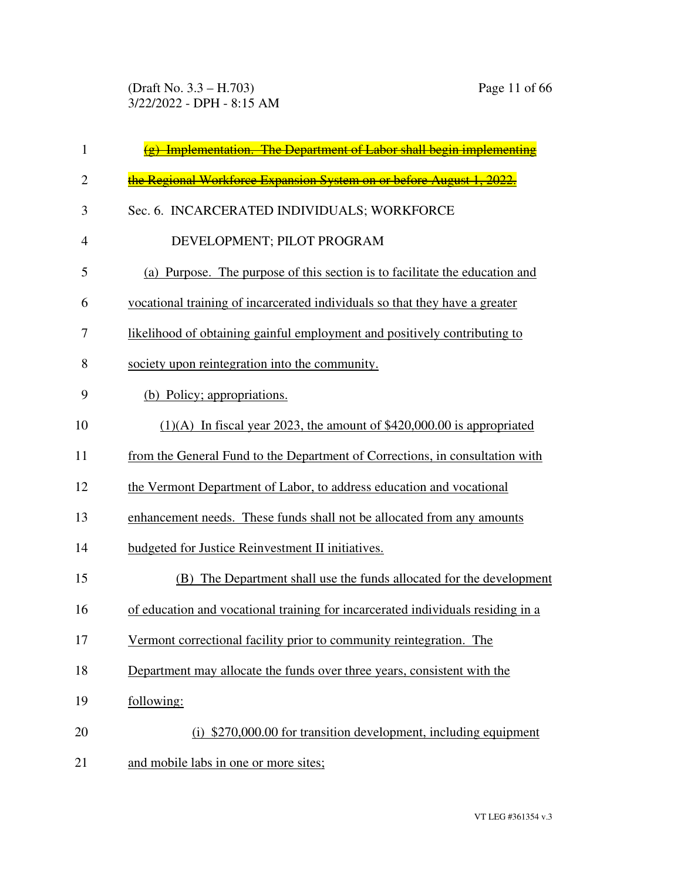| 1              | $(g)$ Implementation. The Department of Labor shall begin implementing          |
|----------------|---------------------------------------------------------------------------------|
| $\overline{2}$ | the Regional Workforce Expansion System on or before August 1, 2022.            |
| 3              | Sec. 6. INCARCERATED INDIVIDUALS; WORKFORCE                                     |
| $\overline{4}$ | DEVELOPMENT; PILOT PROGRAM                                                      |
| 5              | (a) Purpose. The purpose of this section is to facilitate the education and     |
| 6              | vocational training of incarcerated individuals so that they have a greater     |
| 7              | likelihood of obtaining gainful employment and positively contributing to       |
| 8              | society upon reintegration into the community.                                  |
| 9              | (b) Policy; appropriations.                                                     |
| 10             | $(1)(A)$ In fiscal year 2023, the amount of \$420,000.00 is appropriated        |
| 11             | from the General Fund to the Department of Corrections, in consultation with    |
| 12             | the Vermont Department of Labor, to address education and vocational            |
| 13             | enhancement needs. These funds shall not be allocated from any amounts          |
| 14             | budgeted for Justice Reinvestment II initiatives.                               |
| 15             | The Department shall use the funds allocated for the development<br>(B)         |
| 16             | of education and vocational training for incarcerated individuals residing in a |
| 17             | Vermont correctional facility prior to community reintegration. The             |
| 18             | Department may allocate the funds over three years, consistent with the         |
| 19             | following:                                                                      |
| 20             | (i) \$270,000.00 for transition development, including equipment                |
| 21             | and mobile labs in one or more sites;                                           |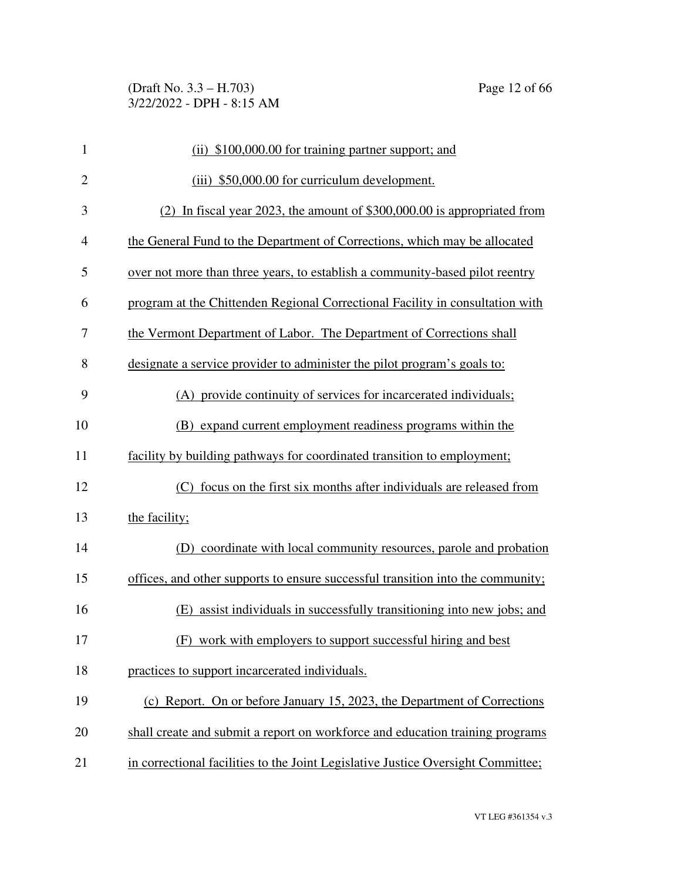| $\mathbf{1}$   | (ii) \$100,000.00 for training partner support; and                              |
|----------------|----------------------------------------------------------------------------------|
| $\mathbf{2}$   | (iii) \$50,000.00 for curriculum development.                                    |
| 3              | (2) In fiscal year 2023, the amount of \$300,000.00 is appropriated from         |
| $\overline{4}$ | the General Fund to the Department of Corrections, which may be allocated        |
| 5              | over not more than three years, to establish a community-based pilot reentry     |
| 6              | program at the Chittenden Regional Correctional Facility in consultation with    |
| 7              | the Vermont Department of Labor. The Department of Corrections shall             |
| 8              | designate a service provider to administer the pilot program's goals to:         |
| 9              | (A) provide continuity of services for incarcerated individuals;                 |
| 10             | (B) expand current employment readiness programs within the                      |
| 11             | facility by building pathways for coordinated transition to employment;          |
| 12             | (C) focus on the first six months after individuals are released from            |
| 13             | the facility;                                                                    |
| 14             | (D) coordinate with local community resources, parole and probation              |
| 15             | offices, and other supports to ensure successful transition into the community;  |
| 16             | (E) assist individuals in successfully transitioning into new jobs; and          |
| 17             | (F) work with employers to support successful hiring and best                    |
| 18             | practices to support incarcerated individuals.                                   |
| 19             | (c) Report. On or before January 15, 2023, the Department of Corrections         |
| 20             | shall create and submit a report on workforce and education training programs    |
| 21             | in correctional facilities to the Joint Legislative Justice Oversight Committee; |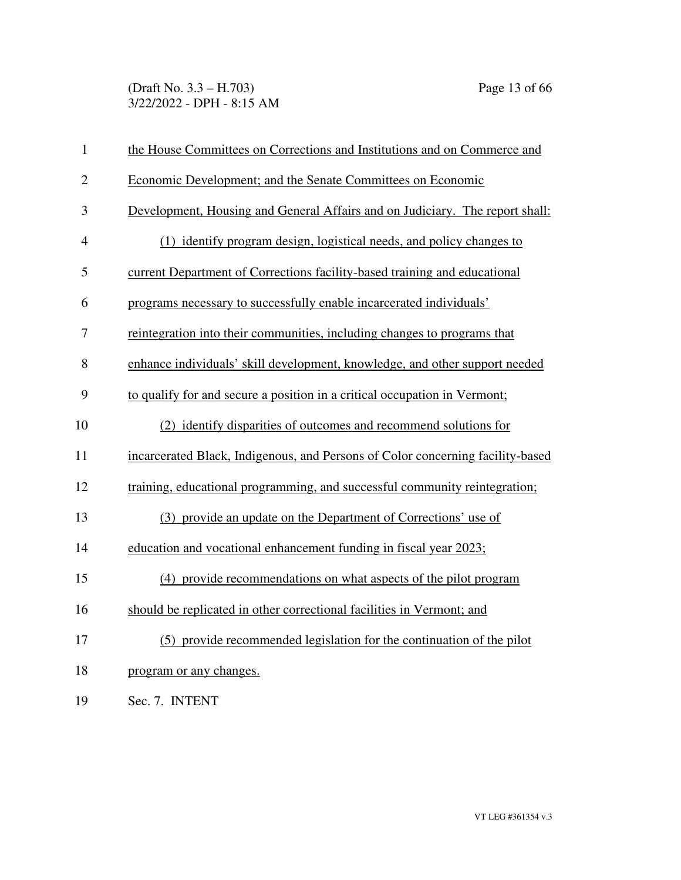(Draft No. 3.3 – H.703) Page 13 of 66 3/22/2022 - DPH - 8:15 AM

| $\mathbf{1}$   | the House Committees on Corrections and Institutions and on Commerce and       |
|----------------|--------------------------------------------------------------------------------|
| $\overline{2}$ | Economic Development; and the Senate Committees on Economic                    |
| 3              | Development, Housing and General Affairs and on Judiciary. The report shall:   |
| $\overline{4}$ | (1) identify program design, logistical needs, and policy changes to           |
| 5              | current Department of Corrections facility-based training and educational      |
| 6              | programs necessary to successfully enable incarcerated individuals'            |
| 7              | reintegration into their communities, including changes to programs that       |
| 8              | enhance individuals' skill development, knowledge, and other support needed    |
| 9              | to qualify for and secure a position in a critical occupation in Vermont;      |
| 10             | (2) identify disparities of outcomes and recommend solutions for               |
| 11             | incarcerated Black, Indigenous, and Persons of Color concerning facility-based |
| 12             | training, educational programming, and successful community reintegration;     |
| 13             | (3) provide an update on the Department of Corrections' use of                 |
| 14             | education and vocational enhancement funding in fiscal year 2023;              |
| 15             | (4) provide recommendations on what aspects of the pilot program               |
| 16             | should be replicated in other correctional facilities in Vermont; and          |
| 17             | (5) provide recommended legislation for the continuation of the pilot          |
| 18             | program or any changes.                                                        |
| 19             | Sec. 7. INTENT                                                                 |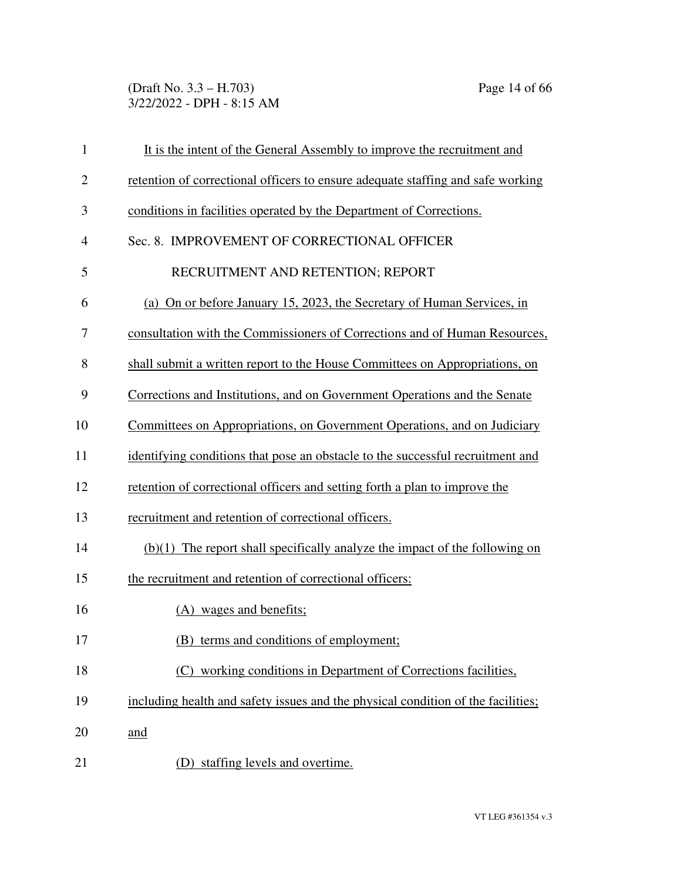(Draft No. 3.3 – H.703) Page 14 of 66 3/22/2022 - DPH - 8:15 AM

| $\mathbf{1}$   | It is the intent of the General Assembly to improve the recruitment and          |
|----------------|----------------------------------------------------------------------------------|
| $\mathbf{2}$   | retention of correctional officers to ensure adequate staffing and safe working  |
| 3              | conditions in facilities operated by the Department of Corrections.              |
| $\overline{4}$ | Sec. 8. IMPROVEMENT OF CORRECTIONAL OFFICER                                      |
| 5              | RECRUITMENT AND RETENTION; REPORT                                                |
| 6              | (a) On or before January 15, 2023, the Secretary of Human Services, in           |
| 7              | consultation with the Commissioners of Corrections and of Human Resources,       |
| 8              | shall submit a written report to the House Committees on Appropriations, on      |
| 9              | Corrections and Institutions, and on Government Operations and the Senate        |
| 10             | Committees on Appropriations, on Government Operations, and on Judiciary         |
| 11             | identifying conditions that pose an obstacle to the successful recruitment and   |
| 12             | retention of correctional officers and setting forth a plan to improve the       |
| 13             | recruitment and retention of correctional officers.                              |
| 14             | $(b)(1)$ The report shall specifically analyze the impact of the following on    |
| 15             | the recruitment and retention of correctional officers:                          |
| 16             | (A) wages and benefits;                                                          |
| 17             | (B) terms and conditions of employment;                                          |
| 18             | (C) working conditions in Department of Corrections facilities,                  |
| 19             | including health and safety issues and the physical condition of the facilities; |
| 20             | and                                                                              |
| 21             | (D) staffing levels and overtime.                                                |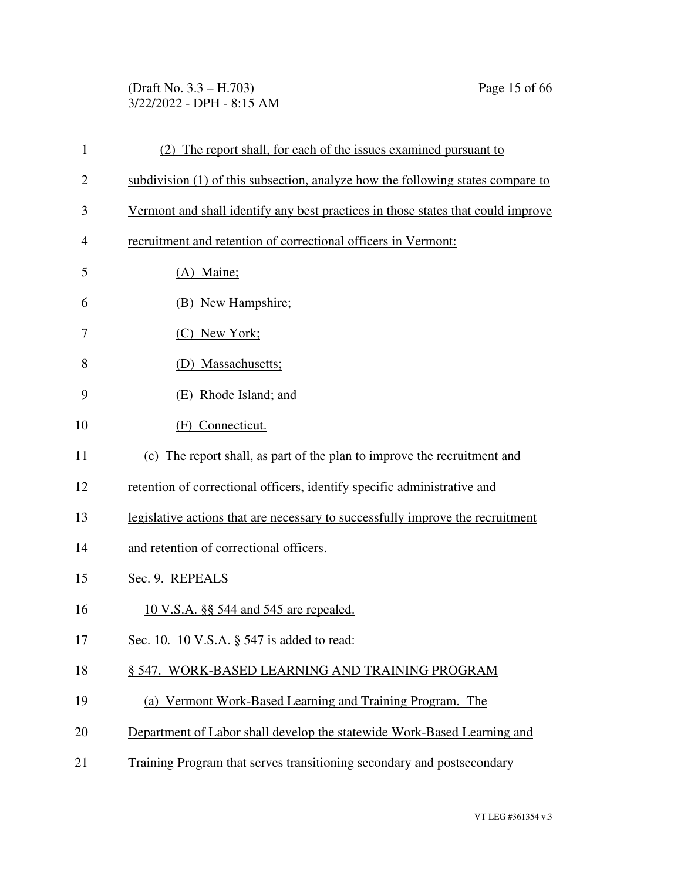## (Draft No. 3.3 – H.703) Page 15 of 66 3/22/2022 - DPH - 8:15 AM

| $\mathbf{1}$   | (2) The report shall, for each of the issues examined pursuant to                |
|----------------|----------------------------------------------------------------------------------|
| $\overline{2}$ | subdivision (1) of this subsection, analyze how the following states compare to  |
| 3              | Vermont and shall identify any best practices in those states that could improve |
| $\overline{4}$ | recruitment and retention of correctional officers in Vermont:                   |
| 5              | (A) Maine;                                                                       |
| 6              | (B) New Hampshire;                                                               |
| 7              | (C) New York;                                                                    |
| 8              | (D) Massachusetts;                                                               |
| 9              | (E) Rhode Island; and                                                            |
| 10             | (F) Connecticut.                                                                 |
| 11             | (c) The report shall, as part of the plan to improve the recruitment and         |
| 12             | retention of correctional officers, identify specific administrative and         |
| 13             | legislative actions that are necessary to successfully improve the recruitment   |
| 14             | and retention of correctional officers.                                          |
| 15             | Sec. 9. REPEALS                                                                  |
| 16             | <u>10 V.S.A. §§ 544 and 545 are repealed.</u>                                    |
| 17             | Sec. 10. 10 V.S.A. § 547 is added to read:                                       |
| 18             | § 547. WORK-BASED LEARNING AND TRAINING PROGRAM                                  |
| 19             | (a) Vermont Work-Based Learning and Training Program. The                        |
| 20             | Department of Labor shall develop the statewide Work-Based Learning and          |
| 21             | Training Program that serves transitioning secondary and postsecondary           |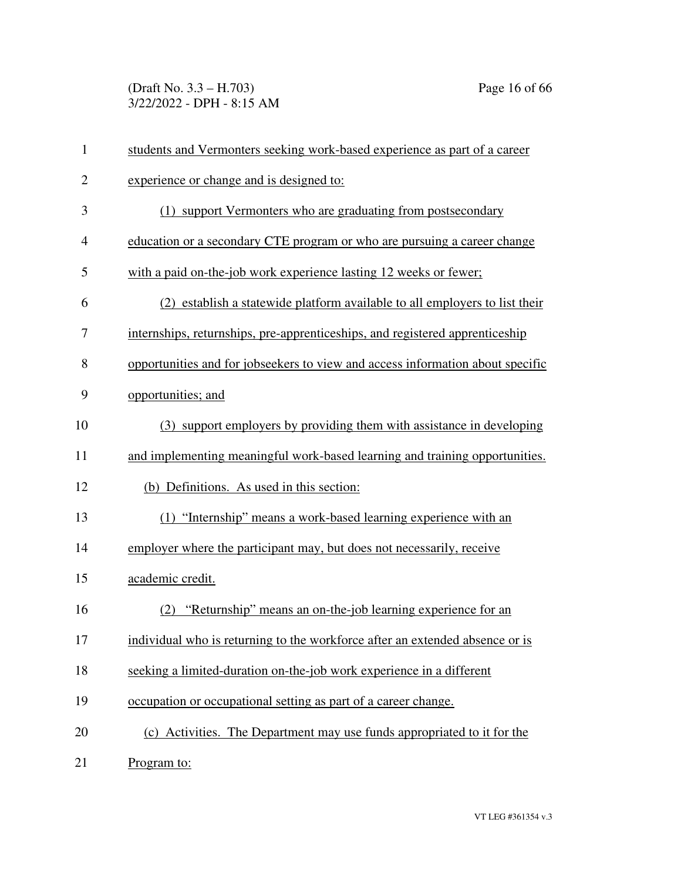(Draft No. 3.3 – H.703) Page 16 of 66 3/22/2022 - DPH - 8:15 AM

| $\mathbf{1}$   | students and Vermonters seeking work-based experience as part of a career      |
|----------------|--------------------------------------------------------------------------------|
| $\overline{2}$ | experience or change and is designed to:                                       |
| 3              | (1) support Vermonters who are graduating from postsecondary                   |
| $\overline{4}$ | education or a secondary CTE program or who are pursuing a career change       |
| 5              | with a paid on-the-job work experience lasting 12 weeks or fewer;              |
| 6              | (2) establish a statewide platform available to all employers to list their    |
| 7              | internships, returnships, pre-apprenticeships, and registered apprenticeship   |
| 8              | opportunities and for jobseekers to view and access information about specific |
| 9              | opportunities; and                                                             |
| 10             | (3) support employers by providing them with assistance in developing          |
| 11             | and implementing meaningful work-based learning and training opportunities.    |
| 12             | (b) Definitions. As used in this section:                                      |
| 13             | (1) "Internship" means a work-based learning experience with an                |
| 14             | employer where the participant may, but does not necessarily, receive          |
| 15             | academic credit.                                                               |
| 16             | "Returnship" means an on-the-job learning experience for an<br>(2)             |
| 17             | individual who is returning to the workforce after an extended absence or is   |
| 18             | seeking a limited-duration on-the-job work experience in a different           |
| 19             | occupation or occupational setting as part of a career change.                 |
| 20             | (c) Activities. The Department may use funds appropriated to it for the        |
| 21             | Program to:                                                                    |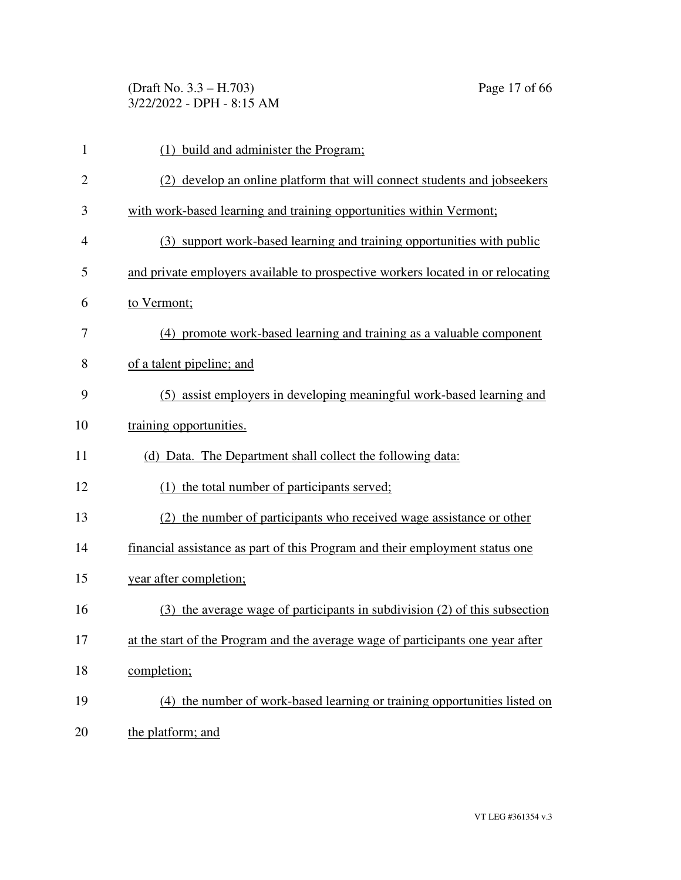(Draft No. 3.3 – H.703) Page 17 of 66 3/22/2022 - DPH - 8:15 AM

| $\mathbf{1}$   | (1) build and administer the Program;                                           |
|----------------|---------------------------------------------------------------------------------|
| $\overline{2}$ | (2) develop an online platform that will connect students and jobseckers        |
| 3              | with work-based learning and training opportunities within Vermont;             |
| 4              | (3) support work-based learning and training opportunities with public          |
| 5              | and private employers available to prospective workers located in or relocating |
| 6              | to Vermont;                                                                     |
| 7              | (4) promote work-based learning and training as a valuable component            |
| 8              | of a talent pipeline; and                                                       |
| 9              | (5) assist employers in developing meaningful work-based learning and           |
| 10             | training opportunities.                                                         |
| 11             | (d) Data. The Department shall collect the following data:                      |
| 12             | (1) the total number of participants served;                                    |
| 13             | (2) the number of participants who received wage assistance or other            |
| 14             | financial assistance as part of this Program and their employment status one    |
| 15             | year after completion;                                                          |
| 16             | (3) the average wage of participants in subdivision (2) of this subsection      |
| 17             | at the start of the Program and the average wage of participants one year after |
| 18             | completion;                                                                     |
| 19             | (4) the number of work-based learning or training opportunities listed on       |
| 20             | the platform; and                                                               |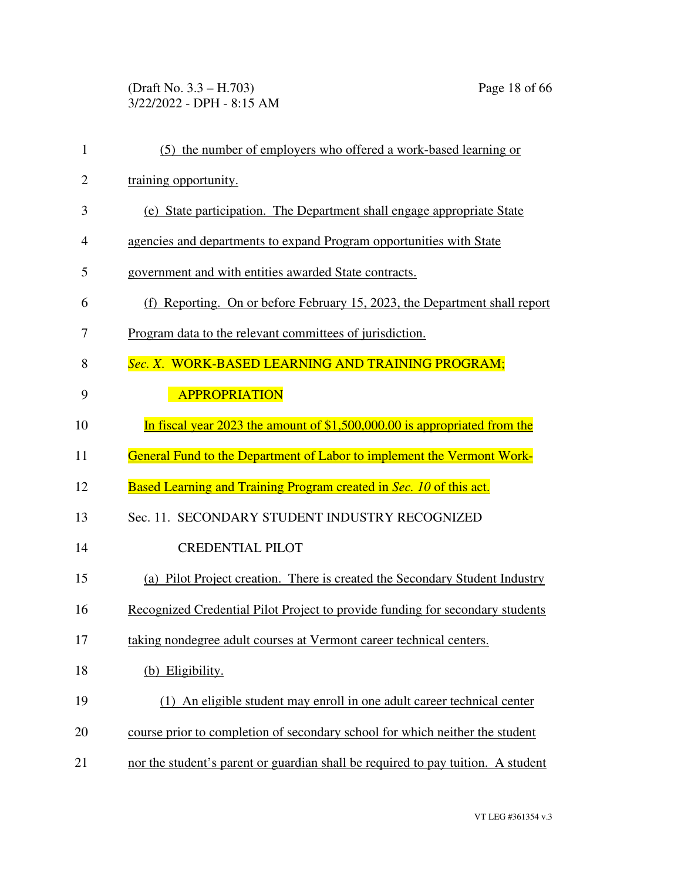(Draft No. 3.3 – H.703) Page 18 of 66 3/22/2022 - DPH - 8:15 AM

| $\mathbf{1}$   | (5) the number of employers who offered a work-based learning or                 |
|----------------|----------------------------------------------------------------------------------|
| $\overline{2}$ | training opportunity.                                                            |
| 3              | (e) State participation. The Department shall engage appropriate State           |
| $\overline{4}$ | agencies and departments to expand Program opportunities with State              |
| 5              | government and with entities awarded State contracts.                            |
| 6              | (f) Reporting. On or before February 15, 2023, the Department shall report       |
| 7              | Program data to the relevant committees of jurisdiction.                         |
| 8              | Sec. X. WORK-BASED LEARNING AND TRAINING PROGRAM;                                |
| 9              | <b>APPROPRIATION</b>                                                             |
| 10             | In fiscal year 2023 the amount of $$1,500,000.00$ is appropriated from the       |
| 11             | General Fund to the Department of Labor to implement the Vermont Work-           |
| 12             | Based Learning and Training Program created in Sec. 10 of this act.              |
| 13             | Sec. 11. SECONDARY STUDENT INDUSTRY RECOGNIZED                                   |
| 14             | <b>CREDENTIAL PILOT</b>                                                          |
| 15             | (a) Pilot Project creation. There is created the Secondary Student Industry      |
| 16             | Recognized Credential Pilot Project to provide funding for secondary students    |
| 17             | taking nondegree adult courses at Vermont career technical centers.              |
| 18             | (b) Eligibility.                                                                 |
| 19             | (1) An eligible student may enroll in one adult career technical center          |
| 20             | course prior to completion of secondary school for which neither the student     |
| 21             | nor the student's parent or guardian shall be required to pay tuition. A student |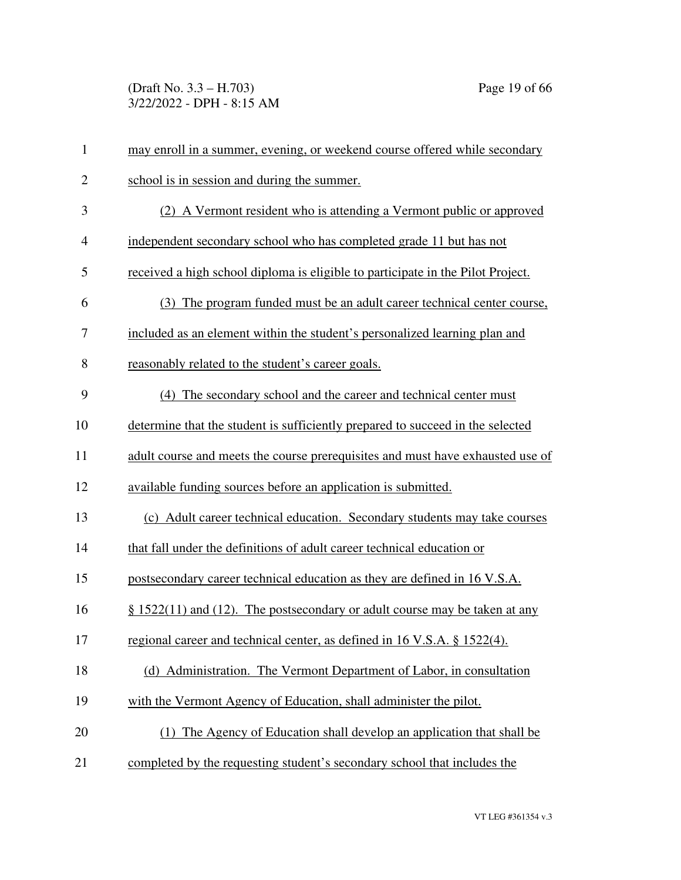(Draft No. 3.3 – H.703) Page 19 of 66 3/22/2022 - DPH - 8:15 AM

| $\mathbf{1}$   | may enroll in a summer, evening, or weekend course offered while secondary      |
|----------------|---------------------------------------------------------------------------------|
| $\overline{2}$ | school is in session and during the summer.                                     |
| 3              | (2) A Vermont resident who is attending a Vermont public or approved            |
| $\overline{4}$ | independent secondary school who has completed grade 11 but has not             |
| 5              | received a high school diploma is eligible to participate in the Pilot Project. |
| 6              | (3) The program funded must be an adult career technical center course,         |
| 7              | included as an element within the student's personalized learning plan and      |
| 8              | reasonably related to the student's career goals.                               |
| 9              | (4) The secondary school and the career and technical center must               |
| 10             | determine that the student is sufficiently prepared to succeed in the selected  |
| 11             | adult course and meets the course prerequisites and must have exhausted use of  |
| 12             | available funding sources before an application is submitted.                   |
| 13             | (c) Adult career technical education. Secondary students may take courses       |
| 14             | that fall under the definitions of adult career technical education or          |
| 15             | postsecondary career technical education as they are defined in 16 V.S.A.       |
| 16             | $\S$ 1522(11) and (12). The postsecondary or adult course may be taken at any   |
| 17             | regional career and technical center, as defined in 16 V.S.A. § 1522(4).        |
| 18             | (d) Administration. The Vermont Department of Labor, in consultation            |
| 19             | with the Vermont Agency of Education, shall administer the pilot.               |
| 20             | (1) The Agency of Education shall develop an application that shall be          |
| 21             | completed by the requesting student's secondary school that includes the        |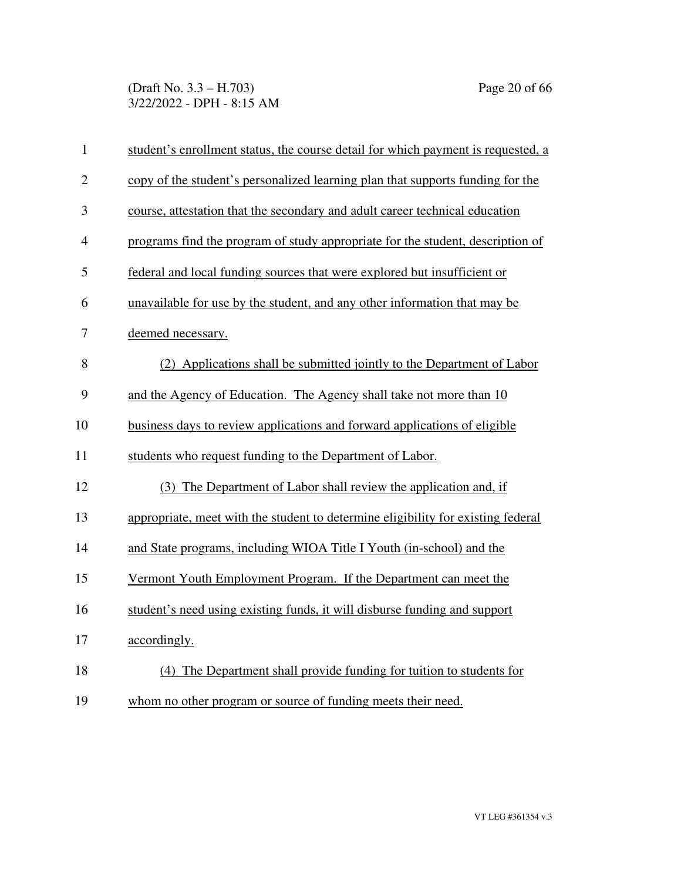(Draft No. 3.3 – H.703) Page 20 of 66 3/22/2022 - DPH - 8:15 AM

| $\mathbf{1}$   | student's enrollment status, the course detail for which payment is requested, a |
|----------------|----------------------------------------------------------------------------------|
| $\overline{2}$ | copy of the student's personalized learning plan that supports funding for the   |
| 3              | course, attestation that the secondary and adult career technical education      |
| $\overline{4}$ | programs find the program of study appropriate for the student, description of   |
| 5              | federal and local funding sources that were explored but insufficient or         |
| 6              | unavailable for use by the student, and any other information that may be        |
| 7              | deemed necessary.                                                                |
| 8              | (2) Applications shall be submitted jointly to the Department of Labor           |
| 9              | and the Agency of Education. The Agency shall take not more than 10              |
| 10             | business days to review applications and forward applications of eligible        |
| 11             | students who request funding to the Department of Labor.                         |
| 12             | (3) The Department of Labor shall review the application and, if                 |
| 13             | appropriate, meet with the student to determine eligibility for existing federal |
| 14             | and State programs, including WIOA Title I Youth (in-school) and the             |
| 15             | Vermont Youth Employment Program. If the Department can meet the                 |
| 16             | student's need using existing funds, it will disburse funding and support        |
| 17             | accordingly.                                                                     |
| 18             | (4) The Department shall provide funding for tuition to students for             |
| 19             | whom no other program or source of funding meets their need.                     |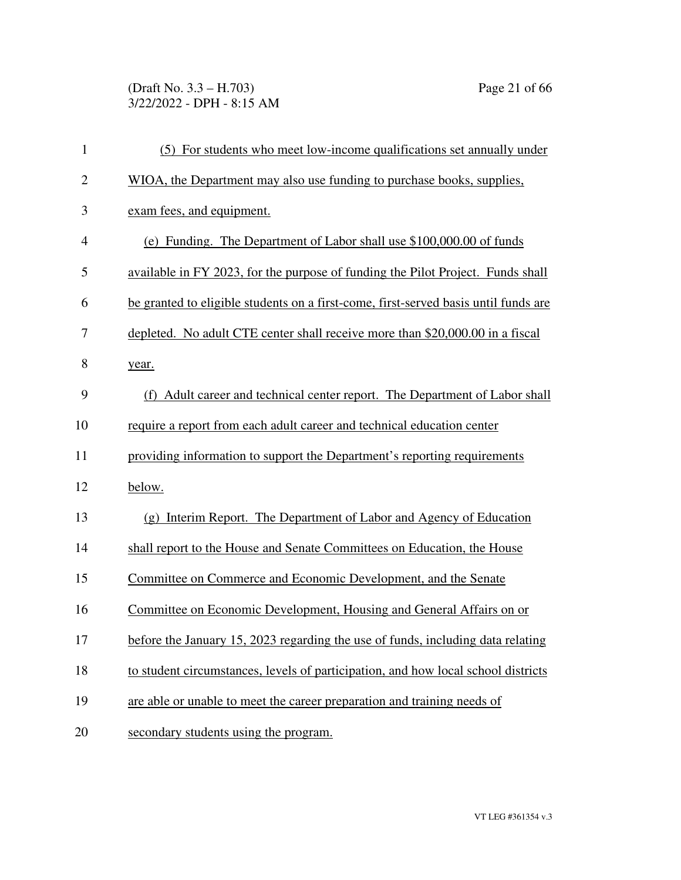(Draft No. 3.3 – H.703) Page 21 of 66 3/22/2022 - DPH - 8:15 AM

| $\mathbf{1}$   | (5) For students who meet low-income qualifications set annually under              |
|----------------|-------------------------------------------------------------------------------------|
| $\overline{2}$ | WIOA, the Department may also use funding to purchase books, supplies,              |
| 3              | exam fees, and equipment.                                                           |
| $\overline{4}$ | (e) Funding. The Department of Labor shall use \$100,000.00 of funds                |
| 5              | available in FY 2023, for the purpose of funding the Pilot Project. Funds shall     |
| 6              | be granted to eligible students on a first-come, first-served basis until funds are |
| 7              | depleted. No adult CTE center shall receive more than \$20,000.00 in a fiscal       |
| 8              | year.                                                                               |
| 9              | (f) Adult career and technical center report. The Department of Labor shall         |
| 10             | require a report from each adult career and technical education center              |
| 11             | providing information to support the Department's reporting requirements            |
| 12             | below.                                                                              |
| 13             | (g) Interim Report. The Department of Labor and Agency of Education                 |
| 14             | shall report to the House and Senate Committees on Education, the House             |
| 15             | Committee on Commerce and Economic Development, and the Senate                      |
| 16             | Committee on Economic Development, Housing and General Affairs on or                |
| 17             | before the January 15, 2023 regarding the use of funds, including data relating     |
| 18             | to student circumstances, levels of participation, and how local school districts   |
| 19             | are able or unable to meet the career preparation and training needs of             |
| 20             | secondary students using the program.                                               |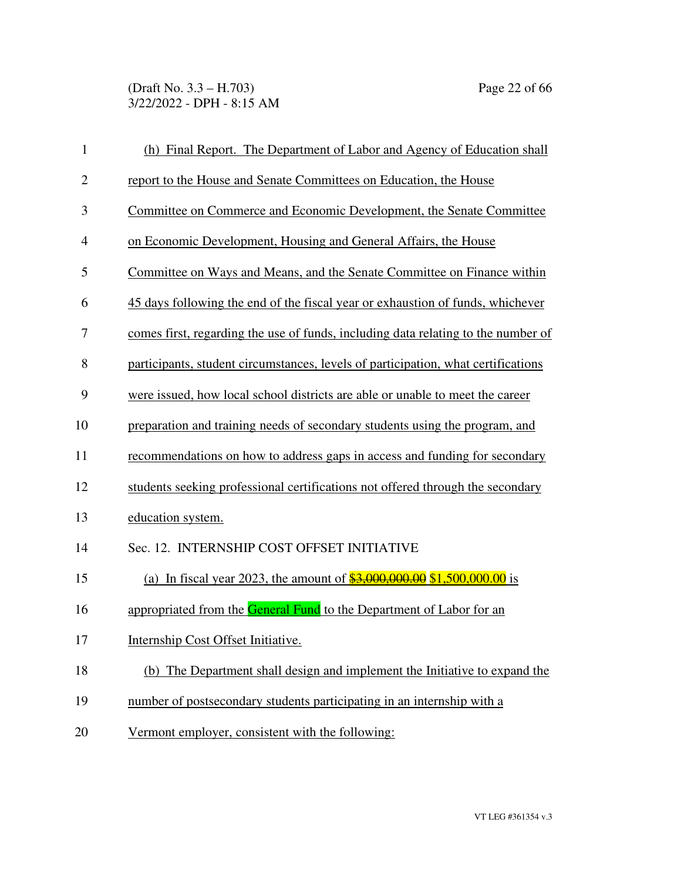(Draft No. 3.3 – H.703) Page 22 of 66 3/22/2022 - DPH - 8:15 AM

| $\mathbf{1}$ | (h) Final Report. The Department of Labor and Agency of Education shall           |
|--------------|-----------------------------------------------------------------------------------|
| $\mathbf{2}$ | report to the House and Senate Committees on Education, the House                 |
| 3            | Committee on Commerce and Economic Development, the Senate Committee              |
| 4            | on Economic Development, Housing and General Affairs, the House                   |
| 5            | Committee on Ways and Means, and the Senate Committee on Finance within           |
| 6            | 45 days following the end of the fiscal year or exhaustion of funds, whichever    |
| 7            | comes first, regarding the use of funds, including data relating to the number of |
| 8            | participants, student circumstances, levels of participation, what certifications |
| 9            | were issued, how local school districts are able or unable to meet the career     |
| 10           | preparation and training needs of secondary students using the program, and       |
| 11           | recommendations on how to address gaps in access and funding for secondary        |
| 12           | students seeking professional certifications not offered through the secondary    |
| 13           | education system.                                                                 |
| 14           | Sec. 12. INTERNSHIP COST OFFSET INITIATIVE                                        |
| 15           | (a) In fiscal year 2023, the amount of $$3,000,000.00$ \$1,500,000.00 is          |
| 16           | appropriated from the General Fund to the Department of Labor for an              |
| 17           | Internship Cost Offset Initiative.                                                |
| 18           | (b) The Department shall design and implement the Initiative to expand the        |
| 19           | number of postsecondary students participating in an internship with a            |
| 20           | Vermont employer, consistent with the following:                                  |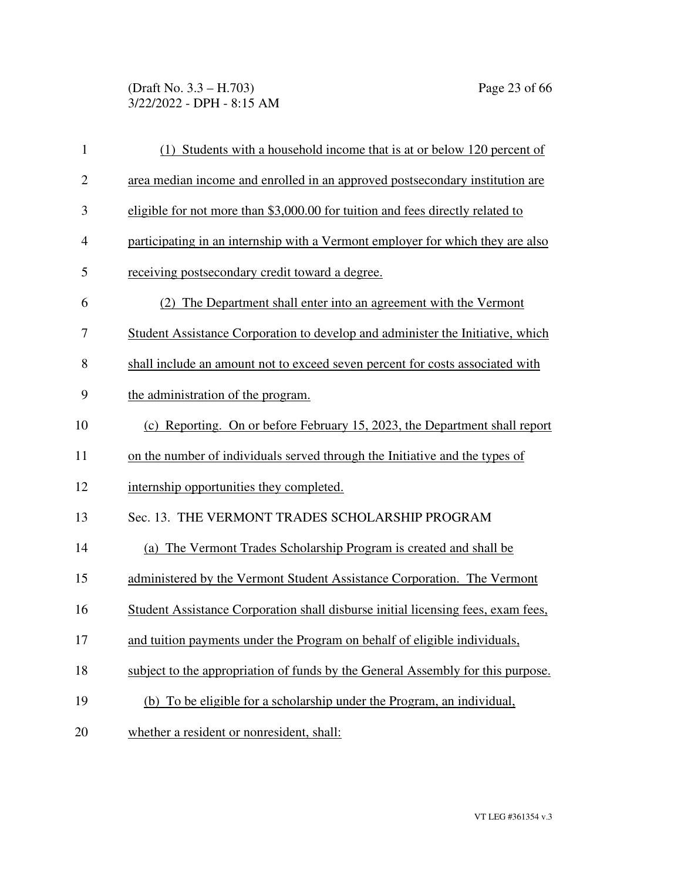(Draft No. 3.3 – H.703) Page 23 of 66 3/22/2022 - DPH - 8:15 AM

| $\mathbf{1}$   | (1) Students with a household income that is at or below 120 percent of          |
|----------------|----------------------------------------------------------------------------------|
| $\overline{2}$ | area median income and enrolled in an approved postsecondary institution are     |
| 3              | eligible for not more than \$3,000.00 for tuition and fees directly related to   |
| $\overline{4}$ | participating in an internship with a Vermont employer for which they are also   |
| 5              | receiving postsecondary credit toward a degree.                                  |
| 6              | (2) The Department shall enter into an agreement with the Vermont                |
| 7              | Student Assistance Corporation to develop and administer the Initiative, which   |
| 8              | shall include an amount not to exceed seven percent for costs associated with    |
| 9              | the administration of the program.                                               |
| 10             | (c) Reporting. On or before February 15, 2023, the Department shall report       |
| 11             | on the number of individuals served through the Initiative and the types of      |
| 12             | internship opportunities they completed.                                         |
| 13             | Sec. 13. THE VERMONT TRADES SCHOLARSHIP PROGRAM                                  |
| 14             | (a) The Vermont Trades Scholarship Program is created and shall be               |
| 15             | administered by the Vermont Student Assistance Corporation. The Vermont          |
| 16             | Student Assistance Corporation shall disburse initial licensing fees, exam fees, |
| 17             | and tuition payments under the Program on behalf of eligible individuals,        |
| 18             | subject to the appropriation of funds by the General Assembly for this purpose.  |
| 19             | (b) To be eligible for a scholarship under the Program, an individual,           |
| 20             | whether a resident or nonresident, shall:                                        |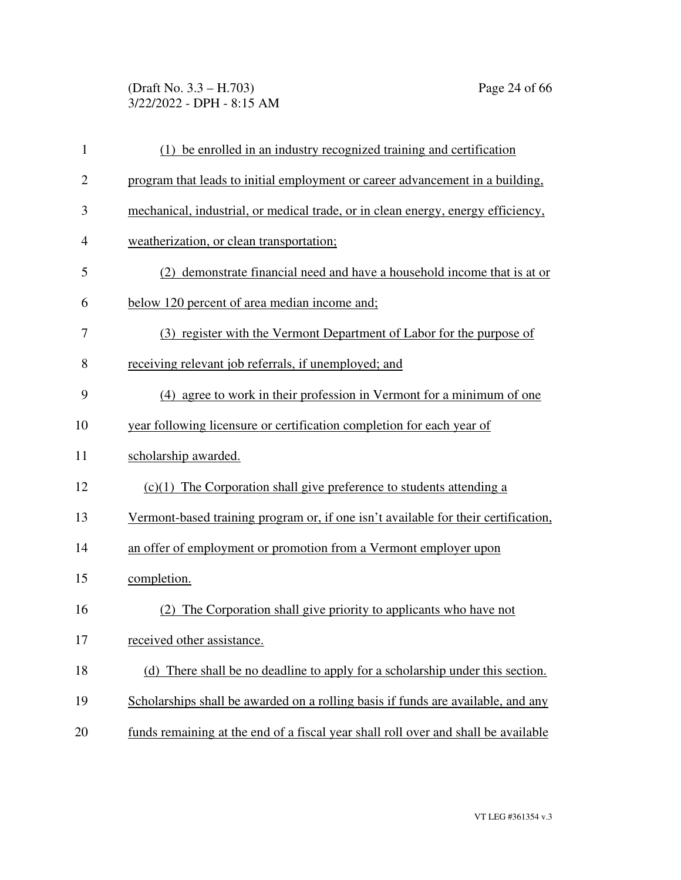#### (Draft No. 3.3 – H.703) Page 24 of 66 3/22/2022 - DPH - 8:15 AM

| $\mathbf{1}$   | (1) be enrolled in an industry recognized training and certification               |
|----------------|------------------------------------------------------------------------------------|
| $\overline{c}$ | program that leads to initial employment or career advancement in a building,      |
| 3              | mechanical, industrial, or medical trade, or in clean energy, energy efficiency,   |
| 4              | weatherization, or clean transportation;                                           |
| 5              | (2) demonstrate financial need and have a household income that is at or           |
| 6              | below 120 percent of area median income and;                                       |
| 7              | (3) register with the Vermont Department of Labor for the purpose of               |
| 8              | receiving relevant job referrals, if unemployed; and                               |
| 9              | (4) agree to work in their profession in Vermont for a minimum of one              |
| 10             | year following licensure or certification completion for each year of              |
| 11             | scholarship awarded.                                                               |
| 12             | $(c)(1)$ The Corporation shall give preference to students attending a             |
| 13             | Vermont-based training program or, if one isn't available for their certification, |
| 14             | an offer of employment or promotion from a Vermont employer upon                   |
| 15             | completion.                                                                        |
| 16             | (2) The Corporation shall give priority to applicants who have not                 |
| 17             | received other assistance.                                                         |
| 18             | (d) There shall be no deadline to apply for a scholarship under this section.      |
| 19             | Scholarships shall be awarded on a rolling basis if funds are available, and any   |
| 20             | funds remaining at the end of a fiscal year shall roll over and shall be available |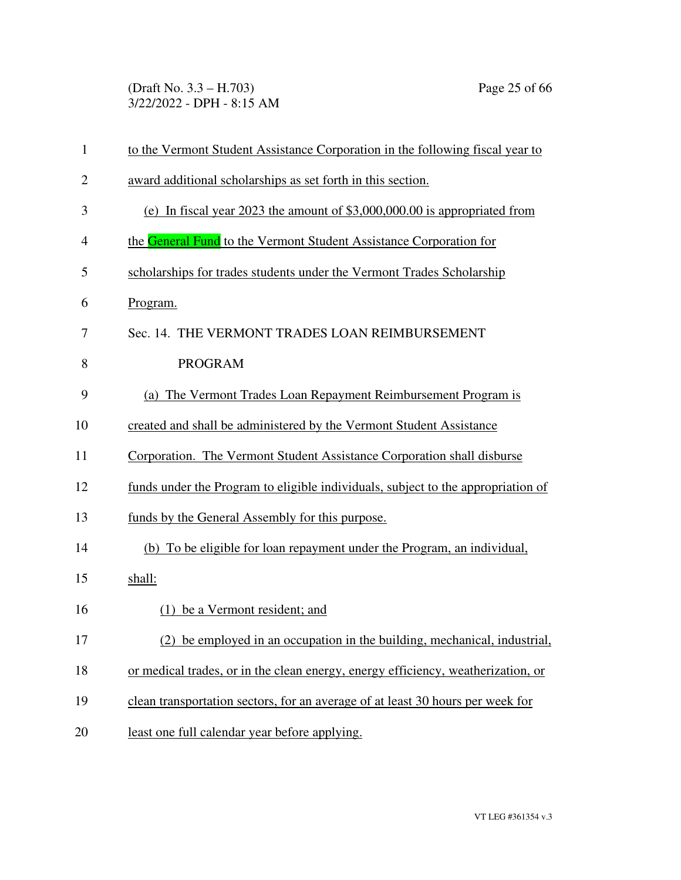(Draft No. 3.3 – H.703) Page 25 of 66 3/22/2022 - DPH - 8:15 AM

| $\mathbf{1}$   | to the Vermont Student Assistance Corporation in the following fiscal year to    |
|----------------|----------------------------------------------------------------------------------|
| $\overline{2}$ | award additional scholarships as set forth in this section.                      |
| 3              | (e) In fiscal year 2023 the amount of $$3,000,000.00$ is appropriated from       |
| 4              | the <b>General Fund</b> to the Vermont Student Assistance Corporation for        |
| 5              | scholarships for trades students under the Vermont Trades Scholarship            |
| 6              | Program.                                                                         |
| 7              | Sec. 14. THE VERMONT TRADES LOAN REIMBURSEMENT                                   |
| 8              | <b>PROGRAM</b>                                                                   |
| 9              | (a) The Vermont Trades Loan Repayment Reimbursement Program is                   |
| 10             | created and shall be administered by the Vermont Student Assistance              |
| 11             | Corporation. The Vermont Student Assistance Corporation shall disburse           |
| 12             | funds under the Program to eligible individuals, subject to the appropriation of |
| 13             | funds by the General Assembly for this purpose.                                  |
| 14             | (b) To be eligible for loan repayment under the Program, an individual,          |
| 15             | shall:                                                                           |
| 16             | (1) be a Vermont resident; and                                                   |
| 17             | (2) be employed in an occupation in the building, mechanical, industrial,        |
| 18             | or medical trades, or in the clean energy, energy efficiency, weatherization, or |
| 19             | clean transportation sectors, for an average of at least 30 hours per week for   |
| 20             | least one full calendar year before applying.                                    |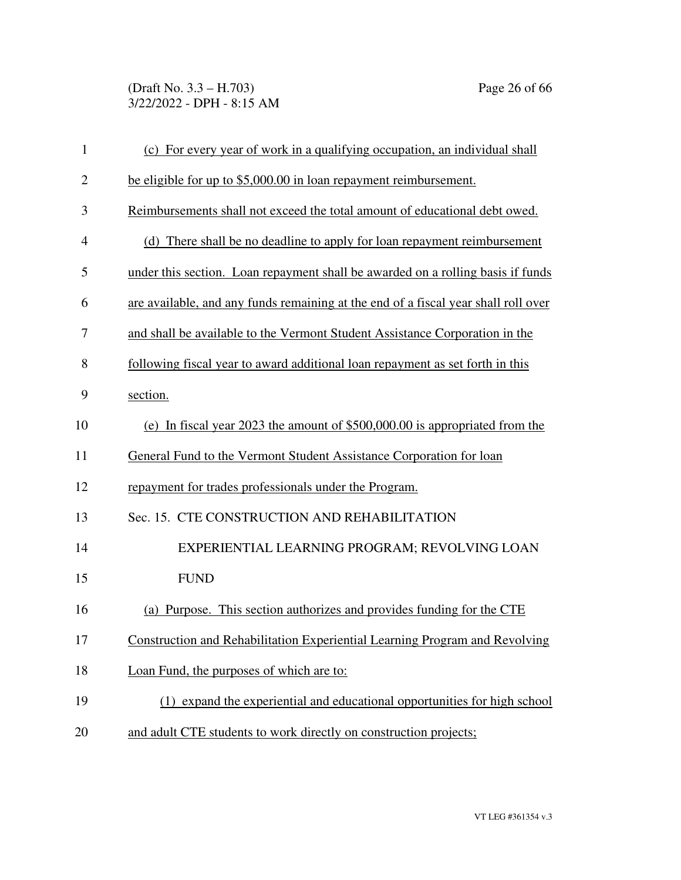(Draft No. 3.3 – H.703) Page 26 of 66 3/22/2022 - DPH - 8:15 AM

| $\mathbf{1}$   | (c) For every year of work in a qualifying occupation, an individual shall         |
|----------------|------------------------------------------------------------------------------------|
| $\overline{2}$ | be eligible for up to \$5,000.00 in loan repayment reimbursement.                  |
| 3              | Reimbursements shall not exceed the total amount of educational debt owed.         |
| $\overline{4}$ | (d) There shall be no deadline to apply for loan repayment reimbursement           |
| 5              | under this section. Loan repayment shall be awarded on a rolling basis if funds    |
| 6              | are available, and any funds remaining at the end of a fiscal year shall roll over |
| 7              | and shall be available to the Vermont Student Assistance Corporation in the        |
| 8              | following fiscal year to award additional loan repayment as set forth in this      |
| 9              | section.                                                                           |
| 10             | (e) In fiscal year 2023 the amount of \$500,000.00 is appropriated from the        |
| 11             | General Fund to the Vermont Student Assistance Corporation for loan                |
| 12             | repayment for trades professionals under the Program.                              |
| 13             | Sec. 15. CTE CONSTRUCTION AND REHABILITATION                                       |
| 14             | EXPERIENTIAL LEARNING PROGRAM; REVOLVING LOAN                                      |
| 15             | <b>FUND</b>                                                                        |
| 16             | (a) Purpose. This section authorizes and provides funding for the CTE              |
| 17             | Construction and Rehabilitation Experiential Learning Program and Revolving        |
| 18             | Loan Fund, the purposes of which are to:                                           |
| 19             | (1) expand the experiential and educational opportunities for high school          |
| 20             | and adult CTE students to work directly on construction projects;                  |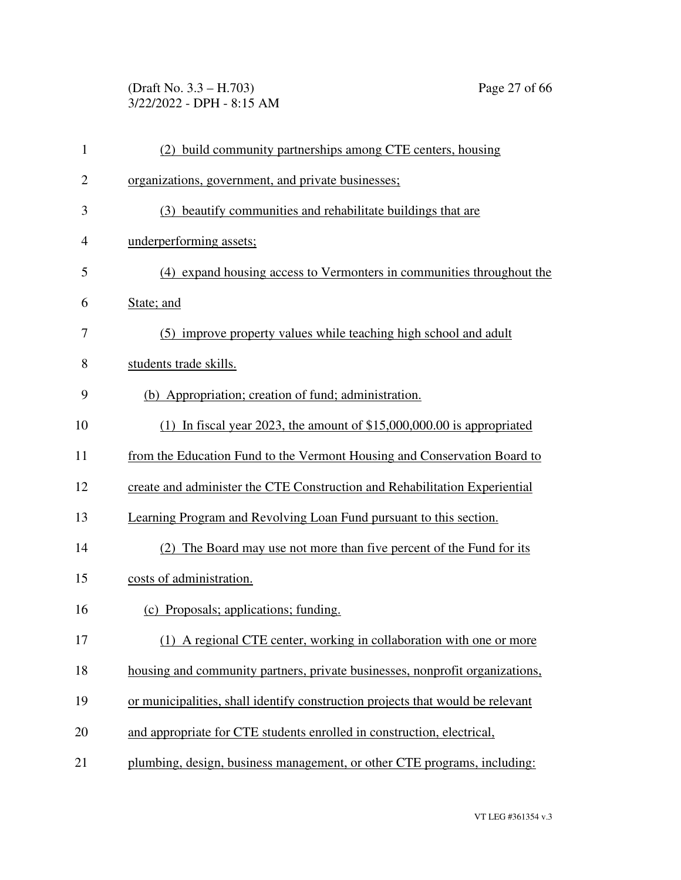(Draft No. 3.3 – H.703) Page 27 of 66 3/22/2022 - DPH - 8:15 AM

| $\mathbf{1}$   | (2) build community partnerships among CTE centers, housing                    |
|----------------|--------------------------------------------------------------------------------|
| $\overline{2}$ | organizations, government, and private businesses;                             |
| 3              | (3) beautify communities and rehabilitate buildings that are                   |
| $\overline{4}$ | underperforming assets;                                                        |
| 5              | (4) expand housing access to Vermonters in communities throughout the          |
| 6              | State; and                                                                     |
| 7              | (5) improve property values while teaching high school and adult               |
| 8              | students trade skills.                                                         |
| 9              | (b) Appropriation; creation of fund; administration.                           |
| 10             | (1) In fiscal year 2023, the amount of $$15,000,000.00$ is appropriated        |
| 11             | from the Education Fund to the Vermont Housing and Conservation Board to       |
| 12             | create and administer the CTE Construction and Rehabilitation Experiential     |
| 13             | Learning Program and Revolving Loan Fund pursuant to this section.             |
| 14             | (2) The Board may use not more than five percent of the Fund for its           |
| 15             | costs of administration.                                                       |
| 16             | (c) Proposals; applications; funding.                                          |
| 17             | (1) A regional CTE center, working in collaboration with one or more           |
| 18             | housing and community partners, private businesses, nonprofit organizations,   |
| 19             | or municipalities, shall identify construction projects that would be relevant |
| 20             | and appropriate for CTE students enrolled in construction, electrical,         |
| 21             | plumbing, design, business management, or other CTE programs, including:       |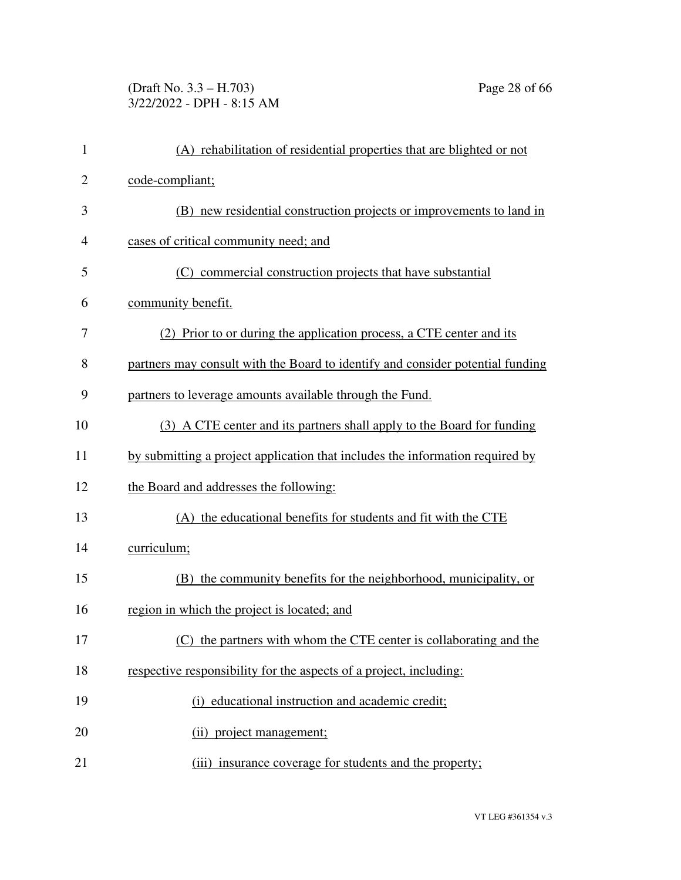# (Draft No. 3.3 – H.703) Page 28 of 66 3/22/2022 - DPH - 8:15 AM

| $\mathbf{1}$   | (A) rehabilitation of residential properties that are blighted or not          |
|----------------|--------------------------------------------------------------------------------|
| $\overline{2}$ | code-compliant;                                                                |
| 3              | (B) new residential construction projects or improvements to land in           |
| $\overline{4}$ | cases of critical community need; and                                          |
| 5              | (C) commercial construction projects that have substantial                     |
| 6              | community benefit.                                                             |
| 7              | (2) Prior to or during the application process, a CTE center and its           |
| 8              | partners may consult with the Board to identify and consider potential funding |
| 9              | partners to leverage amounts available through the Fund.                       |
| 10             | (3) A CTE center and its partners shall apply to the Board for funding         |
| 11             | by submitting a project application that includes the information required by  |
| 12             | the Board and addresses the following:                                         |
| 13             | (A) the educational benefits for students and fit with the CTE                 |
| 14             | curriculum;                                                                    |
| 15             | (B) the community benefits for the neighborhood, municipality, or              |
| 16             | region in which the project is located; and                                    |
| 17             | (C) the partners with whom the CTE center is collaborating and the             |
| 18             | respective responsibility for the aspects of a project, including:             |
| 19             | (i) educational instruction and academic credit;                               |
| 20             | (ii) project management;                                                       |
| 21             | (iii) insurance coverage for students and the property;                        |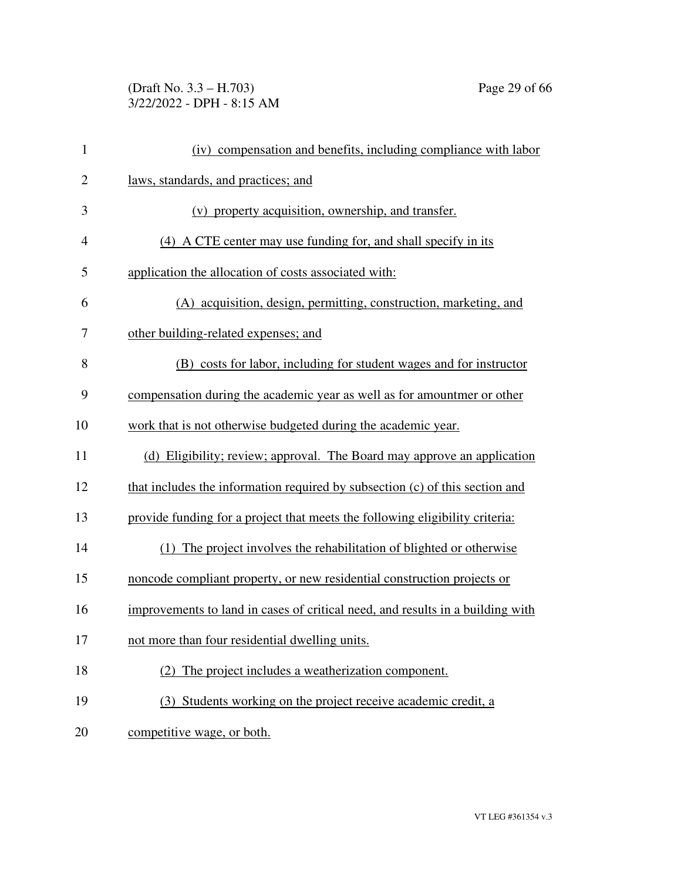# (Draft No. 3.3 – H.703) Page 29 of 66 3/22/2022 - DPH - 8:15 AM

| $\mathbf{1}$   | (iv) compensation and benefits, including compliance with labor                |
|----------------|--------------------------------------------------------------------------------|
| $\overline{2}$ | laws, standards, and practices; and                                            |
| 3              | (v) property acquisition, ownership, and transfer.                             |
| $\overline{4}$ | (4) A CTE center may use funding for, and shall specify in its                 |
| 5              | application the allocation of costs associated with:                           |
| 6              | (A) acquisition, design, permitting, construction, marketing, and              |
| 7              | other building-related expenses; and                                           |
| 8              | (B) costs for labor, including for student wages and for instructor            |
| 9              | compensation during the academic year as well as for amountmer or other        |
| 10             | work that is not otherwise budgeted during the academic year.                  |
| 11             | (d) Eligibility; review; approval. The Board may approve an application        |
| 12             | that includes the information required by subsection (c) of this section and   |
| 13             | provide funding for a project that meets the following eligibility criteria:   |
| 14             | (1) The project involves the rehabilitation of blighted or otherwise           |
| 15             | noncode compliant property, or new residential construction projects or        |
| 16             | improvements to land in cases of critical need, and results in a building with |
| 17             | not more than four residential dwelling units.                                 |
| 18             | (2) The project includes a weatherization component.                           |
| 19             | (3) Students working on the project receive academic credit, a                 |
| 20             | competitive wage, or both.                                                     |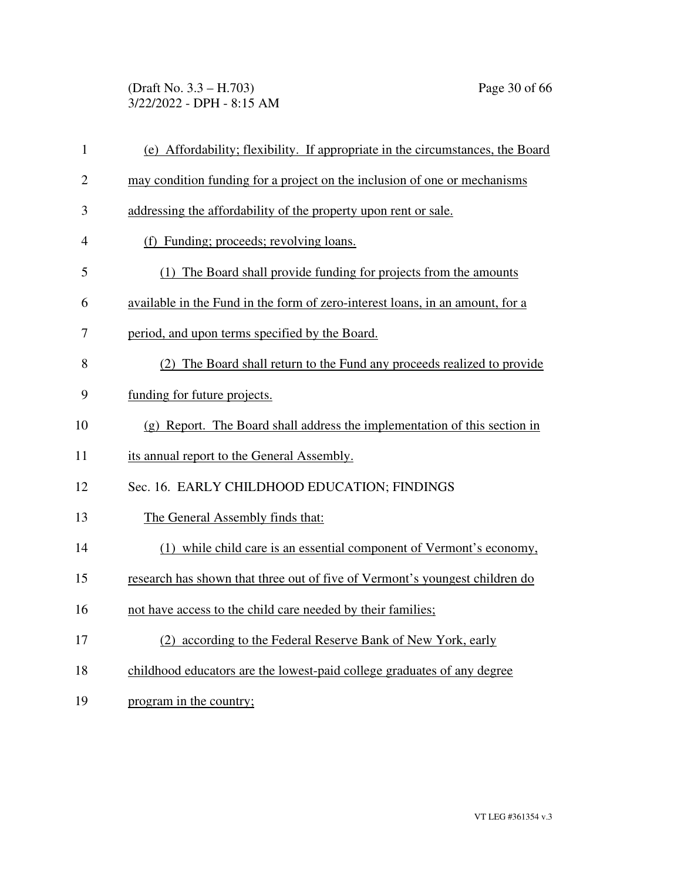(Draft No. 3.3 – H.703) Page 30 of 66 3/22/2022 - DPH - 8:15 AM

| $\mathbf{1}$   | (e) Affordability; flexibility. If appropriate in the circumstances, the Board |
|----------------|--------------------------------------------------------------------------------|
| $\overline{2}$ | may condition funding for a project on the inclusion of one or mechanisms      |
| 3              | addressing the affordability of the property upon rent or sale.                |
| $\overline{4}$ | (f) Funding; proceeds; revolving loans.                                        |
| 5              | (1) The Board shall provide funding for projects from the amounts              |
| 6              | available in the Fund in the form of zero-interest loans, in an amount, for a  |
| 7              | period, and upon terms specified by the Board.                                 |
| 8              | (2) The Board shall return to the Fund any proceeds realized to provide        |
| 9              | funding for future projects.                                                   |
| 10             | (g) Report. The Board shall address the implementation of this section in      |
| 11             | its annual report to the General Assembly.                                     |
| 12             | Sec. 16. EARLY CHILDHOOD EDUCATION; FINDINGS                                   |
| 13             | The General Assembly finds that:                                               |
| 14             | (1) while child care is an essential component of Vermont's economy,           |
| 15             | research has shown that three out of five of Vermont's youngest children do    |
| 16             | not have access to the child care needed by their families;                    |
| 17             | (2) according to the Federal Reserve Bank of New York, early                   |
| 18             | childhood educators are the lowest-paid college graduates of any degree        |
| 19             | program in the country;                                                        |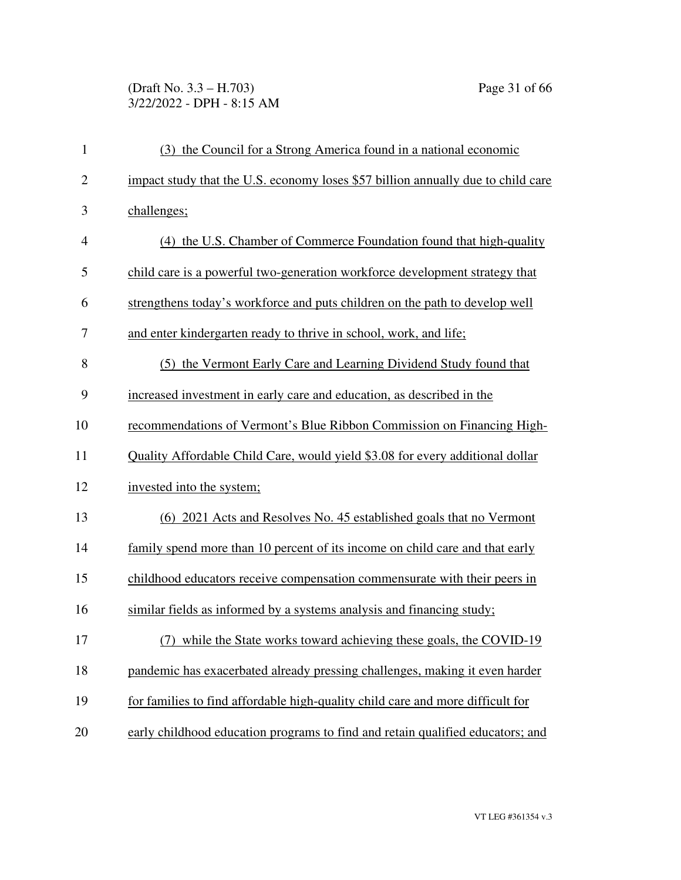# (Draft No. 3.3 – H.703) Page 31 of 66 3/22/2022 - DPH - 8:15 AM

| $\mathbf{1}$   | (3) the Council for a Strong America found in a national economic                |
|----------------|----------------------------------------------------------------------------------|
| $\overline{2}$ | impact study that the U.S. economy loses \$57 billion annually due to child care |
| 3              | challenges;                                                                      |
| $\overline{4}$ | (4) the U.S. Chamber of Commerce Foundation found that high-quality              |
| 5              | child care is a powerful two-generation workforce development strategy that      |
| 6              | strengthens today's workforce and puts children on the path to develop well      |
| 7              | and enter kindergarten ready to thrive in school, work, and life;                |
| 8              | (5) the Vermont Early Care and Learning Dividend Study found that                |
| 9              | increased investment in early care and education, as described in the            |
| 10             | recommendations of Vermont's Blue Ribbon Commission on Financing High-           |
| 11             | Quality Affordable Child Care, would yield \$3.08 for every additional dollar    |
| 12             | invested into the system;                                                        |
| 13             | (6) 2021 Acts and Resolves No. 45 established goals that no Vermont              |
| 14             | family spend more than 10 percent of its income on child care and that early     |
| 15             | childhood educators receive compensation commensurate with their peers in        |
| 16             | similar fields as informed by a systems analysis and financing study;            |
| 17             | (7) while the State works toward achieving these goals, the COVID-19             |
| 18             | pandemic has exacerbated already pressing challenges, making it even harder      |
| 19             | for families to find affordable high-quality child care and more difficult for   |
| 20             | early childhood education programs to find and retain qualified educators; and   |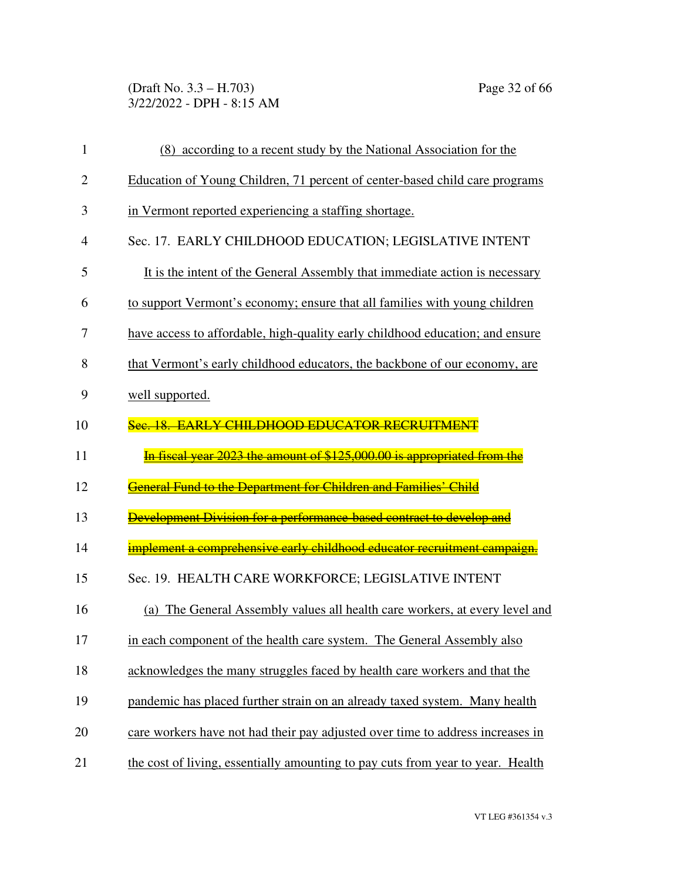(Draft No. 3.3 – H.703) Page 32 of 66 3/22/2022 - DPH - 8:15 AM

| $\mathbf{1}$   | (8) according to a recent study by the National Association for the            |
|----------------|--------------------------------------------------------------------------------|
| $\overline{2}$ | Education of Young Children, 71 percent of center-based child care programs    |
| 3              | in Vermont reported experiencing a staffing shortage.                          |
| $\overline{4}$ | Sec. 17. EARLY CHILDHOOD EDUCATION; LEGISLATIVE INTENT                         |
| 5              | It is the intent of the General Assembly that immediate action is necessary    |
| 6              | to support Vermont's economy; ensure that all families with young children     |
| 7              | have access to affordable, high-quality early childhood education; and ensure  |
| 8              | that Vermont's early childhood educators, the backbone of our economy, are     |
| 9              | well supported.                                                                |
| 10             | Sec. 18. EARLY CHILDHOOD EDUCATOR RECRUITMENT                                  |
|                |                                                                                |
|                | In fiscal year 2023 the amount of \$125,000.00 is appropriated from the        |
| 11<br>12       | General Fund to the Department for Children and Families' Child                |
|                | Development Division for a performance-based contract to develop and           |
| 13<br>14       | implement a comprehensive early childhood educator recruitment campaign.       |
| 15             | Sec. 19. HEALTH CARE WORKFORCE; LEGISLATIVE INTENT                             |
| 16             | (a) The General Assembly values all health care workers, at every level and    |
| 17             | in each component of the health care system. The General Assembly also         |
| 18             | acknowledges the many struggles faced by health care workers and that the      |
| 19             | pandemic has placed further strain on an already taxed system. Many health     |
| 20             | care workers have not had their pay adjusted over time to address increases in |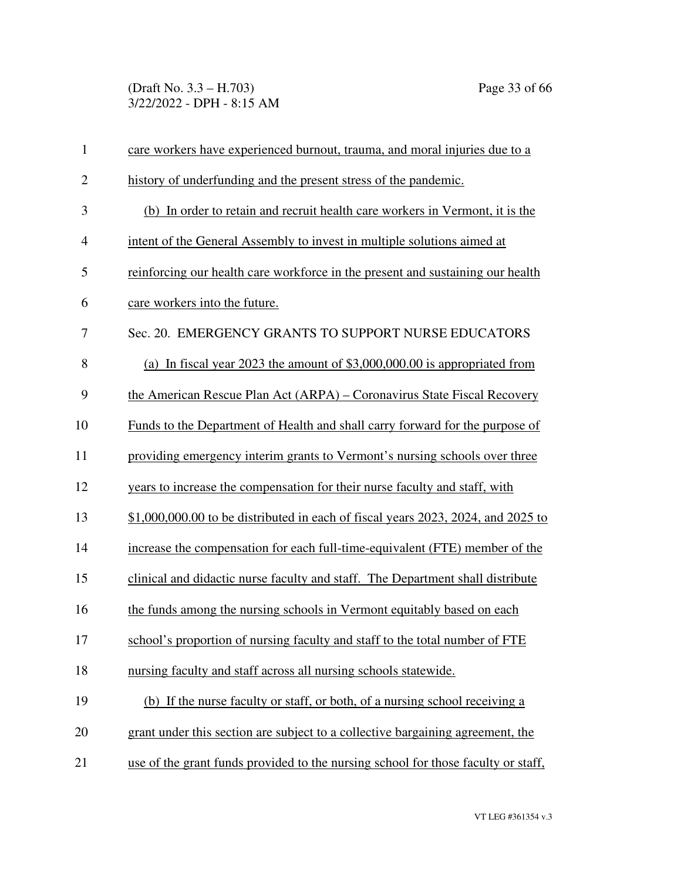(Draft No. 3.3 – H.703) Page 33 of 66 3/22/2022 - DPH - 8:15 AM

| $\mathbf{1}$             | care workers have experienced burnout, trauma, and moral injuries due to a        |
|--------------------------|-----------------------------------------------------------------------------------|
| $\overline{2}$           | history of underfunding and the present stress of the pandemic.                   |
| 3                        | (b) In order to retain and recruit health care workers in Vermont, it is the      |
| $\overline{\mathcal{A}}$ | intent of the General Assembly to invest in multiple solutions aimed at           |
| 5                        | reinforcing our health care workforce in the present and sustaining our health    |
| 6                        | care workers into the future.                                                     |
| 7                        | Sec. 20. EMERGENCY GRANTS TO SUPPORT NURSE EDUCATORS                              |
| 8                        | (a) In fiscal year 2023 the amount of $$3,000,000.00$ is appropriated from        |
| 9                        | the American Rescue Plan Act (ARPA) – Coronavirus State Fiscal Recovery           |
| 10                       | Funds to the Department of Health and shall carry forward for the purpose of      |
| 11                       | providing emergency interim grants to Vermont's nursing schools over three        |
| 12                       | years to increase the compensation for their nurse faculty and staff, with        |
| 13                       | $$1,000,000.00$ to be distributed in each of fiscal years 2023, 2024, and 2025 to |
| 14                       | increase the compensation for each full-time-equivalent (FTE) member of the       |
| 15                       | clinical and didactic nurse faculty and staff. The Department shall distribute    |
| 16                       | the funds among the nursing schools in Vermont equitably based on each            |
| 17                       | school's proportion of nursing faculty and staff to the total number of FTE       |
| 18                       | nursing faculty and staff across all nursing schools statewide.                   |
| 19                       | (b) If the nurse faculty or staff, or both, of a nursing school receiving a       |
| 20                       | grant under this section are subject to a collective bargaining agreement, the    |
| 21                       | use of the grant funds provided to the nursing school for those faculty or staff, |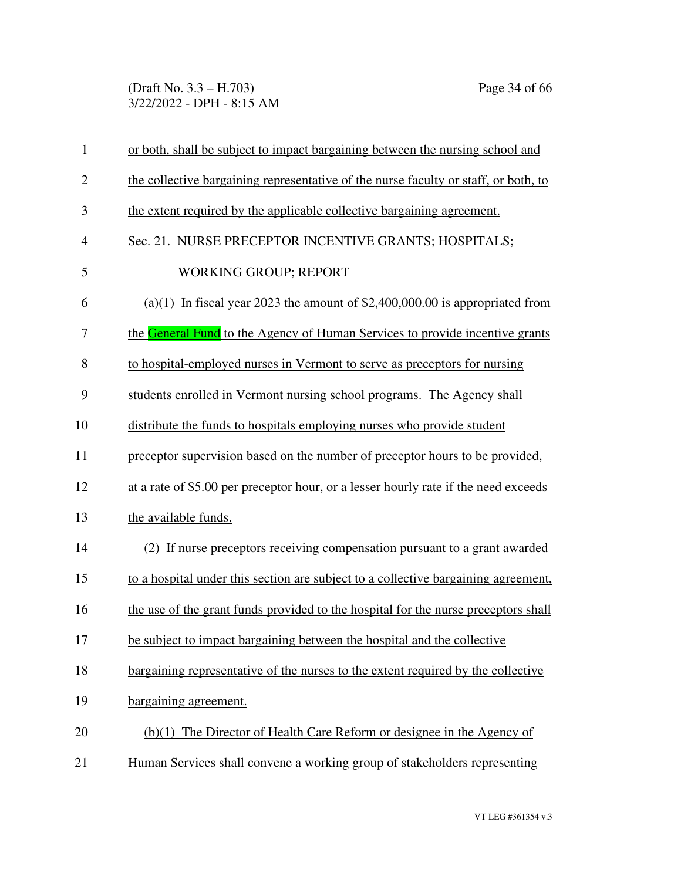(Draft No. 3.3 – H.703) Page 34 of 66 3/22/2022 - DPH - 8:15 AM

| $\mathbf{1}$   | or both, shall be subject to impact bargaining between the nursing school and       |
|----------------|-------------------------------------------------------------------------------------|
| $\overline{2}$ | the collective bargaining representative of the nurse faculty or staff, or both, to |
| 3              | the extent required by the applicable collective bargaining agreement.              |
| $\overline{4}$ | Sec. 21. NURSE PRECEPTOR INCENTIVE GRANTS; HOSPITALS;                               |
| 5              | <b>WORKING GROUP; REPORT</b>                                                        |
| 6              | (a)(1) In fiscal year 2023 the amount of $$2,400,000.00$ is appropriated from       |
| 7              | the General Fund to the Agency of Human Services to provide incentive grants        |
| 8              | to hospital-employed nurses in Vermont to serve as preceptors for nursing           |
| 9              | students enrolled in Vermont nursing school programs. The Agency shall              |
| 10             | distribute the funds to hospitals employing nurses who provide student              |
| 11             | preceptor supervision based on the number of preceptor hours to be provided,        |
| 12             | at a rate of \$5.00 per preceptor hour, or a lesser hourly rate if the need exceeds |
| 13             | the available funds.                                                                |
| 14             | (2) If nurse preceptors receiving compensation pursuant to a grant awarded          |
| 15             | to a hospital under this section are subject to a collective bargaining agreement,  |
| 16             | the use of the grant funds provided to the hospital for the nurse preceptors shall  |
| 17             | be subject to impact bargaining between the hospital and the collective             |
| 18             | bargaining representative of the nurses to the extent required by the collective    |
| 19             | bargaining agreement.                                                               |
| 20             | (b)(1) The Director of Health Care Reform or designee in the Agency of              |
| 21             | Human Services shall convene a working group of stakeholders representing           |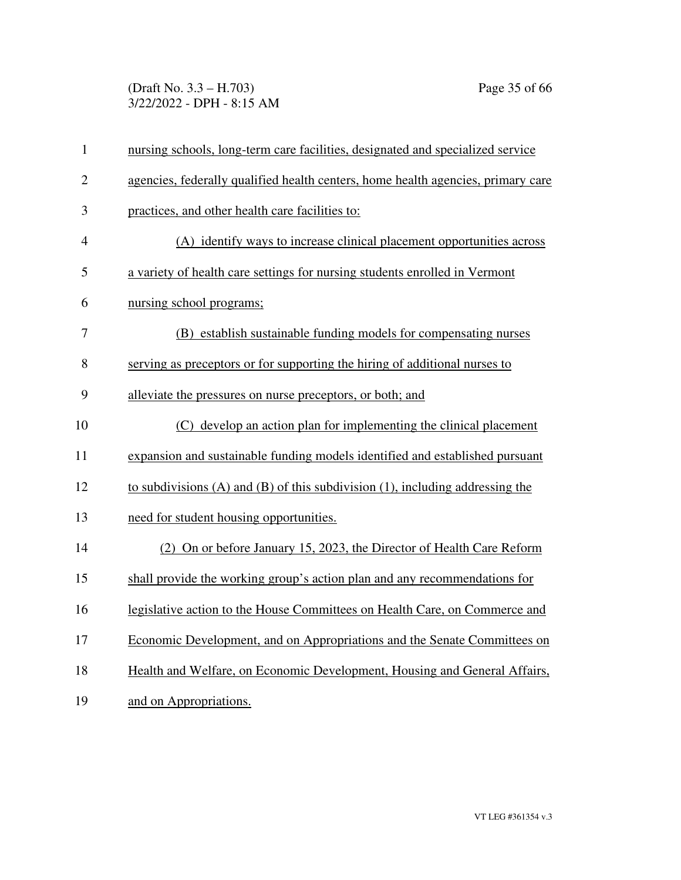(Draft No. 3.3 – H.703) Page 35 of 66 3/22/2022 - DPH - 8:15 AM

| $\mathbf{1}$   | nursing schools, long-term care facilities, designated and specialized service       |
|----------------|--------------------------------------------------------------------------------------|
| $\overline{2}$ | agencies, federally qualified health centers, home health agencies, primary care     |
| 3              | practices, and other health care facilities to:                                      |
| $\overline{4}$ | (A) identify ways to increase clinical placement opportunities across                |
| 5              | a variety of health care settings for nursing students enrolled in Vermont           |
| 6              | nursing school programs;                                                             |
| 7              | (B) establish sustainable funding models for compensating nurses                     |
| 8              | serving as preceptors or for supporting the hiring of additional nurses to           |
| 9              | alleviate the pressures on nurse preceptors, or both; and                            |
| 10             | (C) develop an action plan for implementing the clinical placement                   |
| 11             | expansion and sustainable funding models identified and established pursuant         |
| 12             | to subdivisions $(A)$ and $(B)$ of this subdivision $(1)$ , including addressing the |
| 13             | need for student housing opportunities.                                              |
| 14             | (2) On or before January 15, 2023, the Director of Health Care Reform                |
| 15             | shall provide the working group's action plan and any recommendations for            |
| 16             | legislative action to the House Committees on Health Care, on Commerce and           |
| 17             | Economic Development, and on Appropriations and the Senate Committees on             |
| 18             | Health and Welfare, on Economic Development, Housing and General Affairs,            |
| 19             | and on Appropriations.                                                               |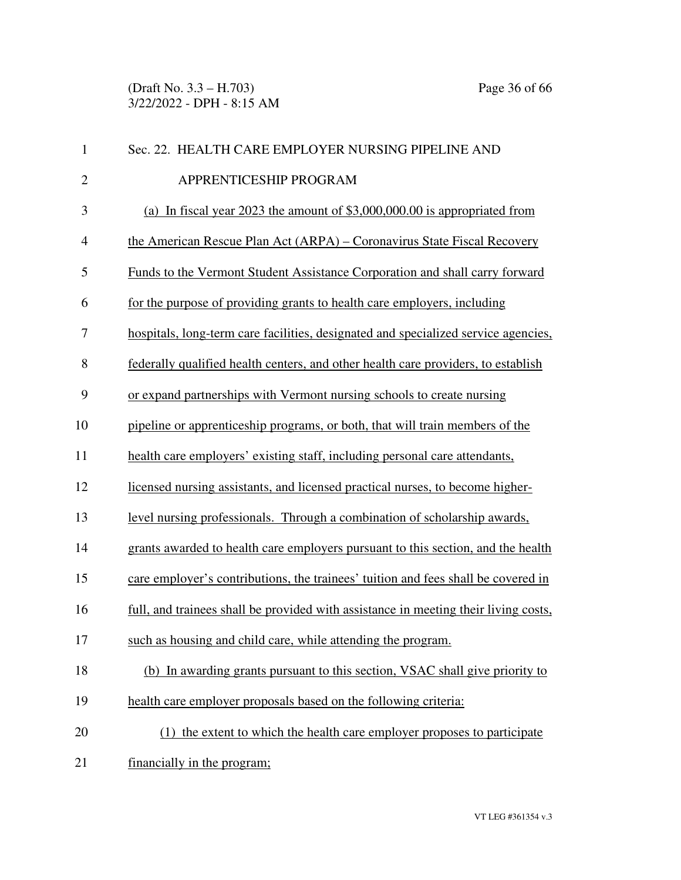(Draft No. 3.3 – H.703) Page 36 of 66 3/22/2022 - DPH - 8:15 AM

| $\mathbf{1}$   | Sec. 22. HEALTH CARE EMPLOYER NURSING PIPELINE AND                                  |
|----------------|-------------------------------------------------------------------------------------|
| $\overline{2}$ | APPRENTICESHIP PROGRAM                                                              |
| 3              | (a) In fiscal year 2023 the amount of $$3,000,000.00$ is appropriated from          |
| $\overline{4}$ | the American Rescue Plan Act (ARPA) – Coronavirus State Fiscal Recovery             |
| 5              | Funds to the Vermont Student Assistance Corporation and shall carry forward         |
| 6              | for the purpose of providing grants to health care employers, including             |
| 7              | hospitals, long-term care facilities, designated and specialized service agencies,  |
| 8              | federally qualified health centers, and other health care providers, to establish   |
| 9              | or expand partnerships with Vermont nursing schools to create nursing               |
| 10             | pipeline or apprenticeship programs, or both, that will train members of the        |
| 11             | health care employers' existing staff, including personal care attendants,          |
| 12             | licensed nursing assistants, and licensed practical nurses, to become higher-       |
| 13             | level nursing professionals. Through a combination of scholarship awards,           |
| 14             | grants awarded to health care employers pursuant to this section, and the health    |
| 15             | care employer's contributions, the trainees' tuition and fees shall be covered in   |
| 16             | full, and trainees shall be provided with assistance in meeting their living costs, |
| 17             | such as housing and child care, while attending the program.                        |
| 18             | (b) In awarding grants pursuant to this section, VSAC shall give priority to        |
| 19             | health care employer proposals based on the following criteria:                     |
| 20             | (1) the extent to which the health care employer proposes to participate            |
| 21             | financially in the program;                                                         |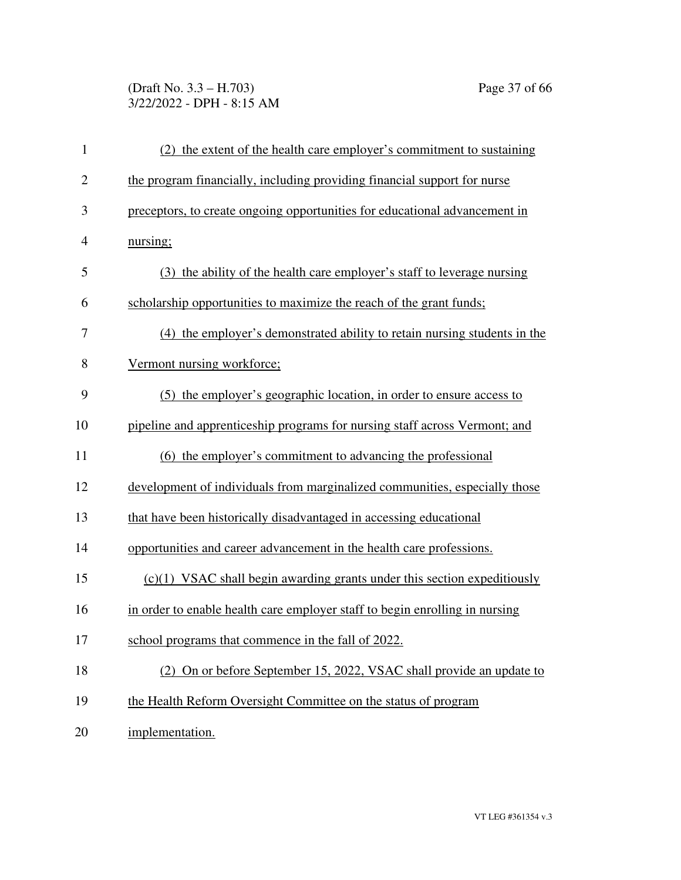# (Draft No. 3.3 – H.703) Page 37 of 66 3/22/2022 - DPH - 8:15 AM

| $\mathbf{1}$   | (2) the extent of the health care employer's commitment to sustaining       |
|----------------|-----------------------------------------------------------------------------|
| $\overline{2}$ | the program financially, including providing financial support for nurse    |
| 3              | preceptors, to create ongoing opportunities for educational advancement in  |
| 4              | nursing;                                                                    |
| 5              | (3) the ability of the health care employer's staff to leverage nursing     |
| 6              | scholarship opportunities to maximize the reach of the grant funds;         |
| 7              | (4) the employer's demonstrated ability to retain nursing students in the   |
| 8              | Vermont nursing workforce;                                                  |
| 9              | (5) the employer's geographic location, in order to ensure access to        |
| 10             | pipeline and apprenticeship programs for nursing staff across Vermont; and  |
| 11             | (6) the employer's commitment to advancing the professional                 |
| 12             | development of individuals from marginalized communities, especially those  |
| 13             | that have been historically disadvantaged in accessing educational          |
| 14             | opportunities and career advancement in the health care professions.        |
| 15             | $(c)(1)$ VSAC shall begin awarding grants under this section expeditiously  |
| 16             | in order to enable health care employer staff to begin enrolling in nursing |
| 17             | school programs that commence in the fall of 2022.                          |
| 18             | (2) On or before September 15, 2022, VSAC shall provide an update to        |
| 19             | the Health Reform Oversight Committee on the status of program              |
| 20             | implementation.                                                             |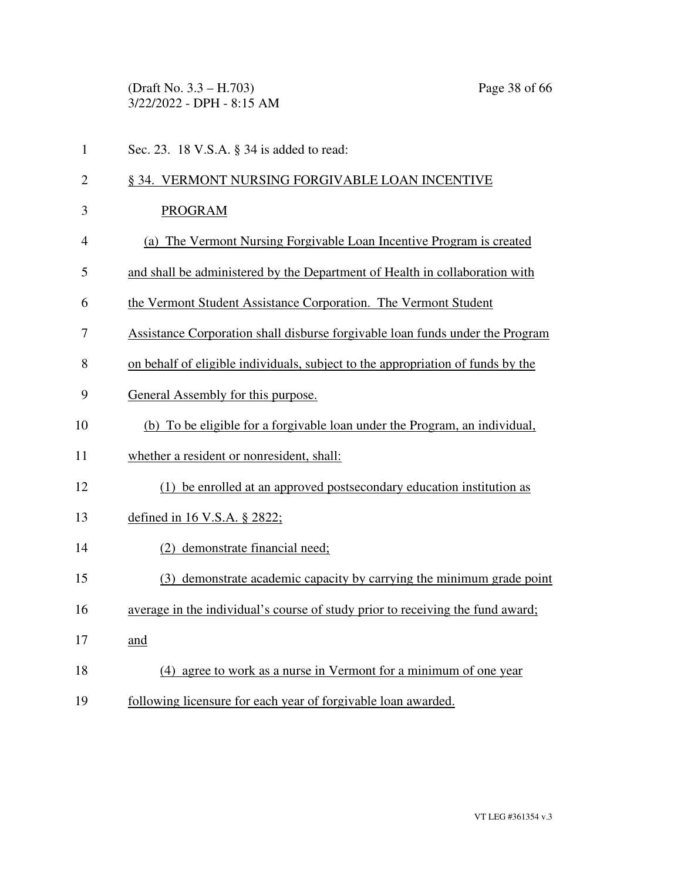(Draft No. 3.3 – H.703) Page 38 of 66 3/22/2022 - DPH - 8:15 AM

| $\mathbf{1}$   | Sec. 23. 18 V.S.A. § 34 is added to read:                                       |
|----------------|---------------------------------------------------------------------------------|
| $\overline{2}$ | § 34. VERMONT NURSING FORGIVABLE LOAN INCENTIVE                                 |
| 3              | <b>PROGRAM</b>                                                                  |
| 4              | (a) The Vermont Nursing Forgivable Loan Incentive Program is created            |
| 5              | and shall be administered by the Department of Health in collaboration with     |
| 6              | the Vermont Student Assistance Corporation. The Vermont Student                 |
| 7              | Assistance Corporation shall disburse forgivable loan funds under the Program   |
| 8              | on behalf of eligible individuals, subject to the appropriation of funds by the |
| 9              | General Assembly for this purpose.                                              |
| 10             | (b) To be eligible for a forgivable loan under the Program, an individual,      |
| 11             | whether a resident or nonresident, shall:                                       |
| 12             | (1) be enrolled at an approved postsecondary education institution as           |
| 13             | defined in 16 V.S.A. § 2822;                                                    |
| 14             | (2) demonstrate financial need;                                                 |
| 15             | (3) demonstrate academic capacity by carrying the minimum grade point           |
| 16             | average in the individual's course of study prior to receiving the fund award;  |
| 17             | and                                                                             |
| 18             | (4) agree to work as a nurse in Vermont for a minimum of one year               |
| 19             | following licensure for each year of forgivable loan awarded.                   |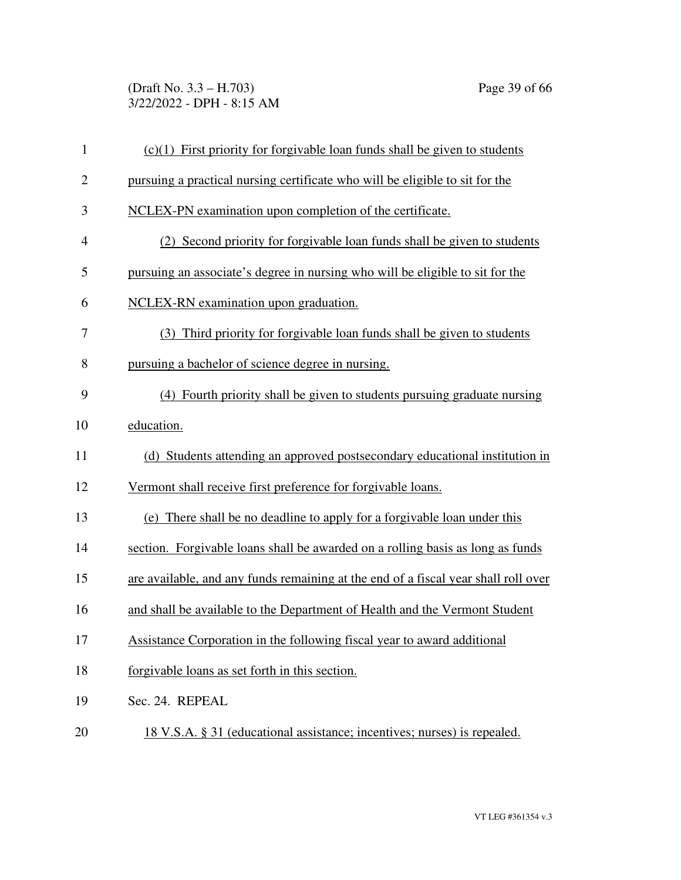(Draft No. 3.3 – H.703) Page 39 of 66 3/22/2022 - DPH - 8:15 AM

| $\mathbf{1}$   | $(c)(1)$ First priority for forgivable loan funds shall be given to students       |
|----------------|------------------------------------------------------------------------------------|
| $\overline{2}$ | pursuing a practical nursing certificate who will be eligible to sit for the       |
| 3              | NCLEX-PN examination upon completion of the certificate.                           |
| $\overline{4}$ | (2) Second priority for forgivable loan funds shall be given to students           |
| 5              | pursuing an associate's degree in nursing who will be eligible to sit for the      |
| 6              | NCLEX-RN examination upon graduation.                                              |
| 7              | (3) Third priority for forgivable loan funds shall be given to students            |
| 8              | pursuing a bachelor of science degree in nursing.                                  |
| 9              | (4) Fourth priority shall be given to students pursuing graduate nursing           |
| 10             | education.                                                                         |
| 11             | (d) Students attending an approved postsecondary educational institution in        |
| 12             | Vermont shall receive first preference for forgivable loans.                       |
| 13             | (e) There shall be no deadline to apply for a forgivable loan under this           |
| 14             | section. Forgivable loans shall be awarded on a rolling basis as long as funds     |
| 15             | are available, and any funds remaining at the end of a fiscal year shall roll over |
| 16             | and shall be available to the Department of Health and the Vermont Student         |
| 17             | Assistance Corporation in the following fiscal year to award additional            |
| 18             | forgivable loans as set forth in this section.                                     |
| 19             | Sec. 24. REPEAL                                                                    |
| 20             | 18 V.S.A. § 31 (educational assistance; incentives; nurses) is repealed.           |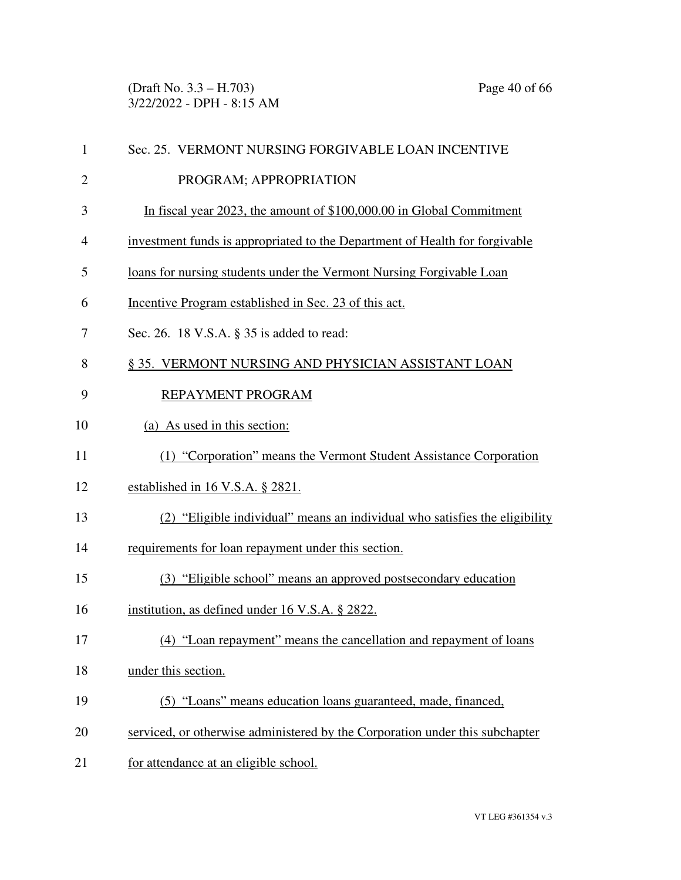(Draft No. 3.3 – H.703) Page 40 of 66 3/22/2022 - DPH - 8:15 AM

| 1              | Sec. 25. VERMONT NURSING FORGIVABLE LOAN INCENTIVE                           |
|----------------|------------------------------------------------------------------------------|
| $\overline{2}$ | PROGRAM; APPROPRIATION                                                       |
| 3              | In fiscal year 2023, the amount of \$100,000.00 in Global Commitment         |
| 4              | investment funds is appropriated to the Department of Health for forgivable  |
| 5              | loans for nursing students under the Vermont Nursing Forgivable Loan         |
| 6              | Incentive Program established in Sec. 23 of this act.                        |
| 7              | Sec. 26. 18 V.S.A. § 35 is added to read:                                    |
| 8              | § 35. VERMONT NURSING AND PHYSICIAN ASSISTANT LOAN                           |
| 9              | REPAYMENT PROGRAM                                                            |
| 10             | (a) As used in this section:                                                 |
| 11             | (1) "Corporation" means the Vermont Student Assistance Corporation           |
| 12             | established in 16 V.S.A. § 2821.                                             |
| 13             | (2) "Eligible individual" means an individual who satisfies the eligibility  |
| 14             | requirements for loan repayment under this section.                          |
| 15             | (3) "Eligible school" means an approved postsecondary education              |
| 16             | institution, as defined under 16 V.S.A. § 2822.                              |
| 17             | (4) "Loan repayment" means the cancellation and repayment of loans           |
| 18             | under this section.                                                          |
| 19             | (5) "Loans" means education loans guaranteed, made, financed,                |
| 20             | serviced, or otherwise administered by the Corporation under this subchapter |
| 21             | for attendance at an eligible school.                                        |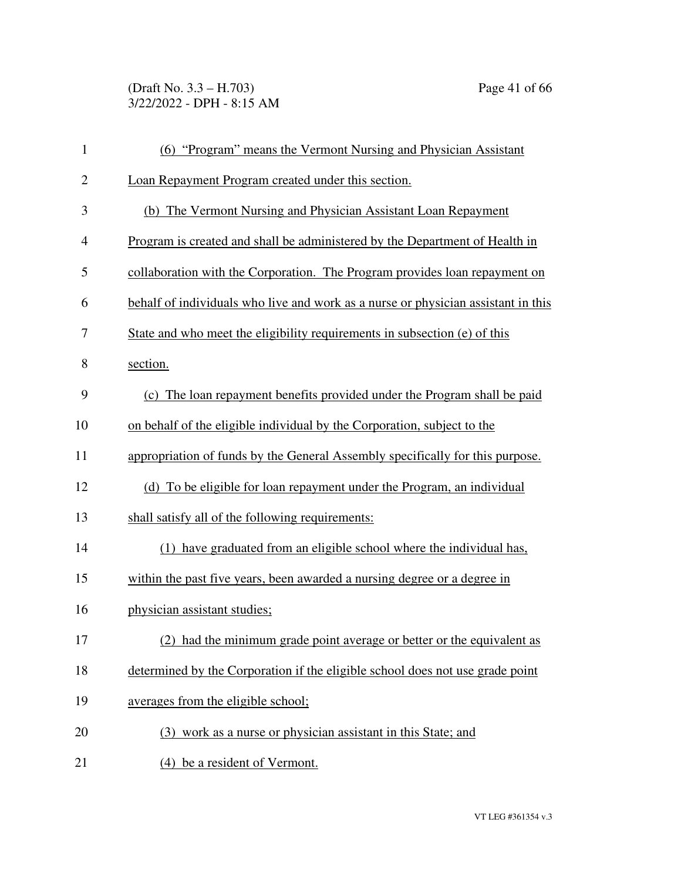(Draft No. 3.3 – H.703) Page 41 of 66 3/22/2022 - DPH - 8:15 AM

| $\mathbf{1}$   | (6) "Program" means the Vermont Nursing and Physician Assistant                   |
|----------------|-----------------------------------------------------------------------------------|
| $\mathbf{2}$   | Loan Repayment Program created under this section.                                |
| 3              | (b) The Vermont Nursing and Physician Assistant Loan Repayment                    |
| $\overline{4}$ | Program is created and shall be administered by the Department of Health in       |
| 5              | collaboration with the Corporation. The Program provides loan repayment on        |
| 6              | behalf of individuals who live and work as a nurse or physician assistant in this |
| 7              | State and who meet the eligibility requirements in subsection (e) of this         |
| 8              | section.                                                                          |
| 9              | (c) The loan repayment benefits provided under the Program shall be paid          |
| 10             | on behalf of the eligible individual by the Corporation, subject to the           |
| 11             | appropriation of funds by the General Assembly specifically for this purpose.     |
| 12             | (d) To be eligible for loan repayment under the Program, an individual            |
| 13             | shall satisfy all of the following requirements:                                  |
| 14             | (1) have graduated from an eligible school where the individual has,              |
| 15             | within the past five years, been awarded a nursing degree or a degree in          |
| 16             | physician assistant studies;                                                      |
| 17             | (2) had the minimum grade point average or better or the equivalent as            |
| 18             | determined by the Corporation if the eligible school does not use grade point     |
| 19             | averages from the eligible school;                                                |
| 20             | (3) work as a nurse or physician assistant in this State; and                     |
| 21             | (4) be a resident of Vermont.                                                     |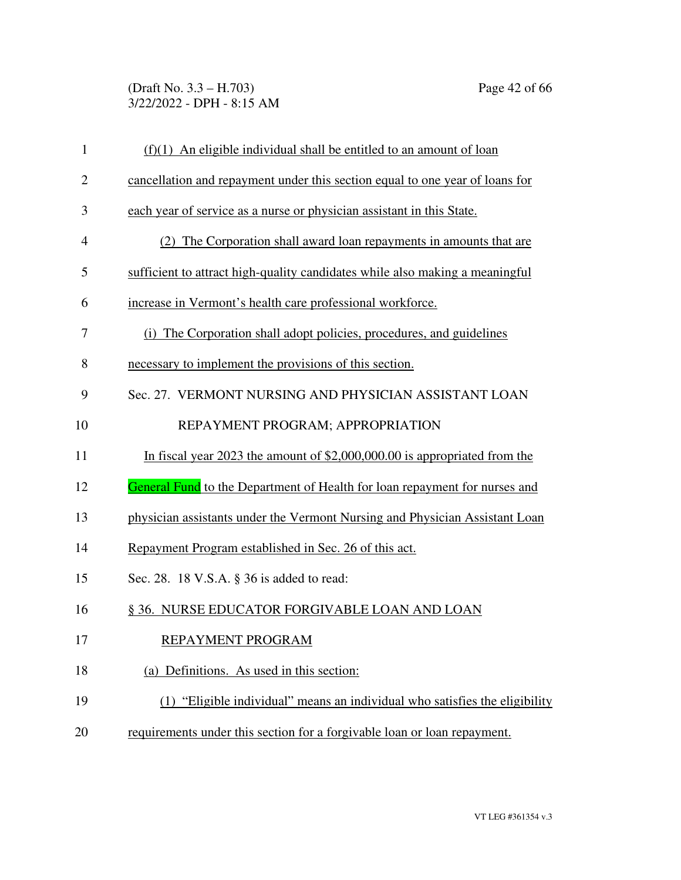(Draft No. 3.3 – H.703) Page 42 of 66 3/22/2022 - DPH - 8:15 AM

| $\mathbf{1}$   | $(f)(1)$ An eligible individual shall be entitled to an amount of loan            |
|----------------|-----------------------------------------------------------------------------------|
| $\overline{2}$ | cancellation and repayment under this section equal to one year of loans for      |
| 3              | each year of service as a nurse or physician assistant in this State.             |
| 4              | (2) The Corporation shall award loan repayments in amounts that are               |
| 5              | sufficient to attract high-quality candidates while also making a meaningful      |
| 6              | increase in Vermont's health care professional workforce.                         |
| 7              | (i) The Corporation shall adopt policies, procedures, and guidelines              |
| 8              | necessary to implement the provisions of this section.                            |
| 9              | Sec. 27. VERMONT NURSING AND PHYSICIAN ASSISTANT LOAN                             |
| 10             | REPAYMENT PROGRAM; APPROPRIATION                                                  |
| 11             | In fiscal year 2023 the amount of \$2,000,000.00 is appropriated from the         |
| 12             | <b>General Fund</b> to the Department of Health for loan repayment for nurses and |
| 13             | physician assistants under the Vermont Nursing and Physician Assistant Loan       |
| 14             | Repayment Program established in Sec. 26 of this act.                             |
| 15             | Sec. 28. 18 V.S.A. § 36 is added to read:                                         |
| 16             | § 36. NURSE EDUCATOR FORGIVABLE LOAN AND LOAN                                     |
| 17             | REPAYMENT PROGRAM                                                                 |
| 18             | (a) Definitions. As used in this section:                                         |
| 19             | (1) "Eligible individual" means an individual who satisfies the eligibility       |
| 20             | requirements under this section for a forgivable loan or loan repayment.          |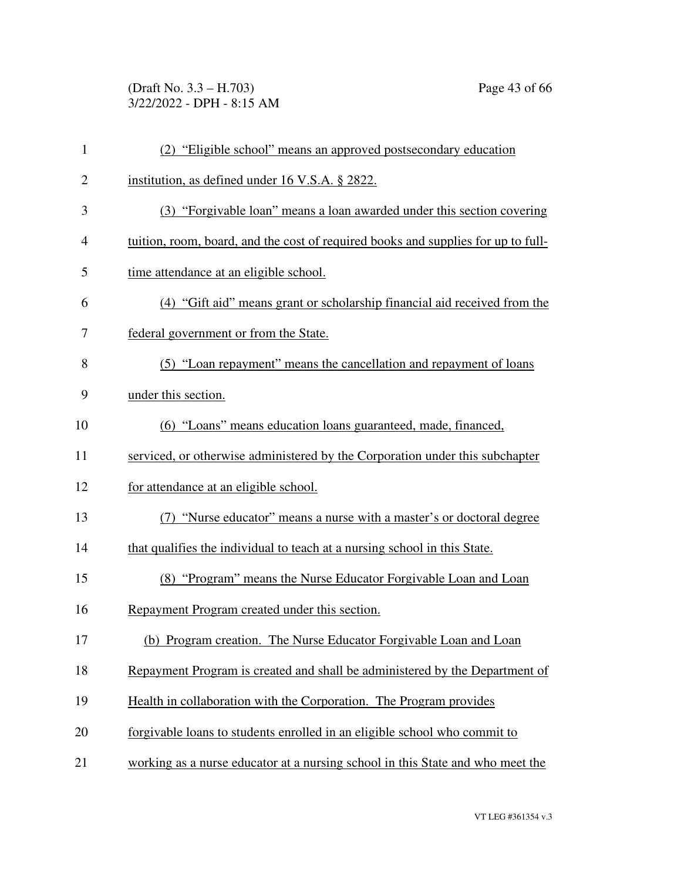(Draft No. 3.3 – H.703) Page 43 of 66 3/22/2022 - DPH - 8:15 AM

| $\mathbf{1}$   | (2) "Eligible school" means an approved postsecondary education                   |
|----------------|-----------------------------------------------------------------------------------|
| $\overline{2}$ | institution, as defined under 16 V.S.A. § 2822.                                   |
| 3              | (3) "Forgivable loan" means a loan awarded under this section covering            |
| $\overline{4}$ | tuition, room, board, and the cost of required books and supplies for up to full- |
| 5              | time attendance at an eligible school.                                            |
| 6              | (4) "Gift aid" means grant or scholarship financial aid received from the         |
| 7              | federal government or from the State.                                             |
| 8              | (5) "Loan repayment" means the cancellation and repayment of loans                |
| 9              | under this section.                                                               |
| 10             | (6) "Loans" means education loans guaranteed, made, financed,                     |
| 11             | serviced, or otherwise administered by the Corporation under this subchapter      |
| 12             | for attendance at an eligible school.                                             |
| 13             | (7) "Nurse educator" means a nurse with a master's or doctoral degree             |
| 14             | that qualifies the individual to teach at a nursing school in this State.         |
| 15             | (8) "Program" means the Nurse Educator Forgivable Loan and Loan                   |
| 16             | Repayment Program created under this section.                                     |
| 17             | (b) Program creation. The Nurse Educator Forgivable Loan and Loan                 |
| 18             | Repayment Program is created and shall be administered by the Department of       |
| 19             | Health in collaboration with the Corporation. The Program provides                |
| 20             | forgivable loans to students enrolled in an eligible school who commit to         |
| 21             | working as a nurse educator at a nursing school in this State and who meet the    |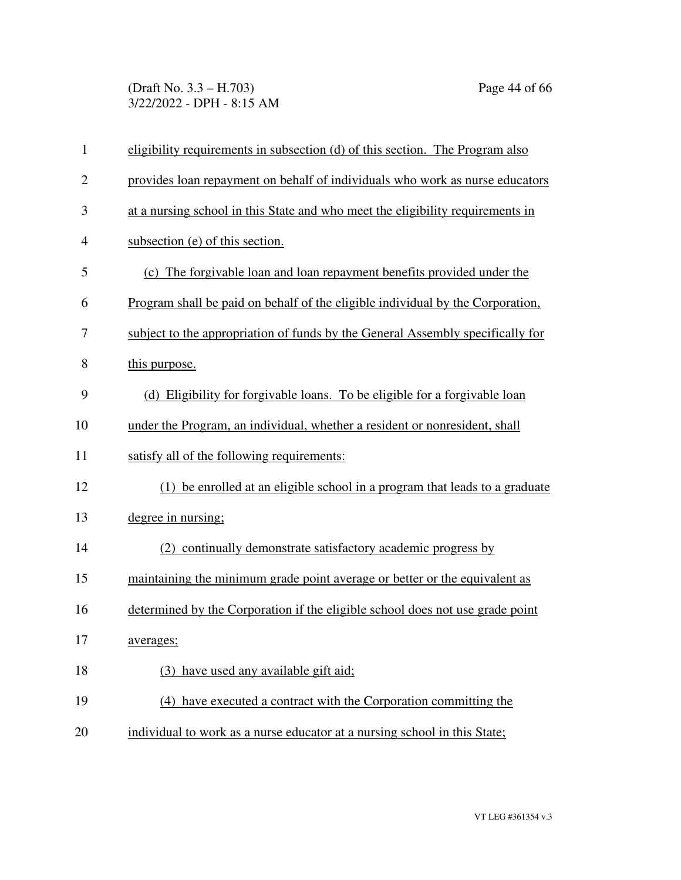(Draft No. 3.3 – H.703) Page 44 of 66 3/22/2022 - DPH - 8:15 AM

| $\mathbf{1}$   | eligibility requirements in subsection (d) of this section. The Program also   |
|----------------|--------------------------------------------------------------------------------|
| $\overline{2}$ | provides loan repayment on behalf of individuals who work as nurse educators   |
| 3              | at a nursing school in this State and who meet the eligibility requirements in |
| $\overline{4}$ | subsection (e) of this section.                                                |
| 5              | (c) The forgivable loan and loan repayment benefits provided under the         |
| 6              | Program shall be paid on behalf of the eligible individual by the Corporation, |
| 7              | subject to the appropriation of funds by the General Assembly specifically for |
| 8              | this purpose.                                                                  |
| 9              | (d) Eligibility for forgivable loans. To be eligible for a forgivable loan     |
| 10             | under the Program, an individual, whether a resident or nonresident, shall     |
| 11             | satisfy all of the following requirements:                                     |
| 12             | (1) be enrolled at an eligible school in a program that leads to a graduate    |
| 13             | degree in nursing;                                                             |
| 14             | (2) continually demonstrate satisfactory academic progress by                  |
| 15             | maintaining the minimum grade point average or better or the equivalent as     |
| 16             | determined by the Corporation if the eligible school does not use grade point  |
| 17             | averages;                                                                      |
| 18             | (3) have used any available gift aid;                                          |
| 19             | (4) have executed a contract with the Corporation committing the               |
| 20             | individual to work as a nurse educator at a nursing school in this State;      |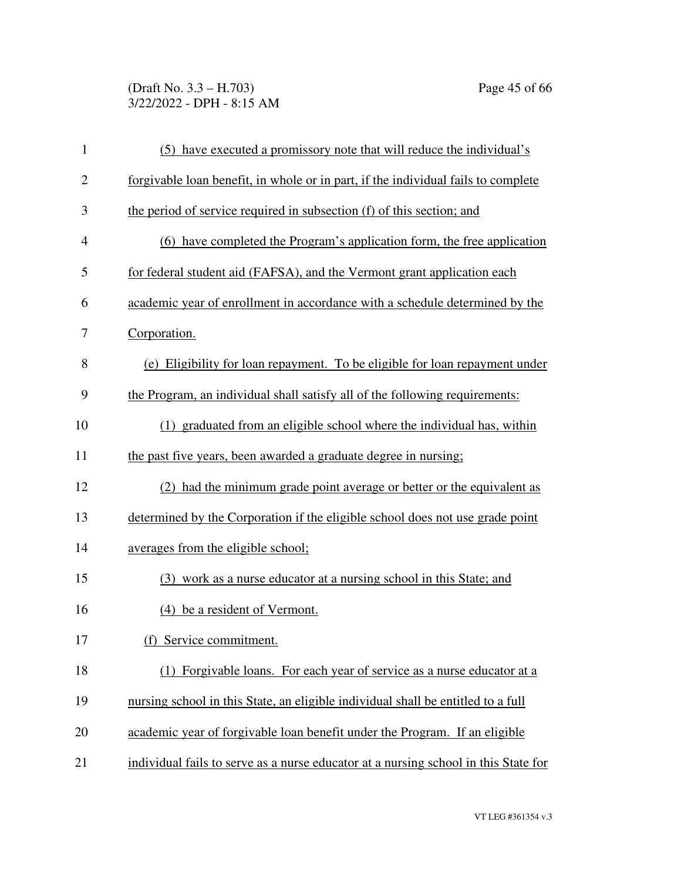#### (Draft No. 3.3 – H.703) Page 45 of 66 3/22/2022 - DPH - 8:15 AM

| $\mathbf{1}$   | (5) have executed a promissory note that will reduce the individual's               |
|----------------|-------------------------------------------------------------------------------------|
| $\overline{2}$ | forgivable loan benefit, in whole or in part, if the individual fails to complete   |
| 3              | the period of service required in subsection (f) of this section; and               |
| $\overline{4}$ | (6) have completed the Program's application form, the free application             |
| 5              | for federal student aid (FAFSA), and the Vermont grant application each             |
| 6              | academic year of enrollment in accordance with a schedule determined by the         |
| 7              | Corporation.                                                                        |
| 8              | (e) Eligibility for loan repayment. To be eligible for loan repayment under         |
| 9              | the Program, an individual shall satisfy all of the following requirements:         |
| 10             | (1) graduated from an eligible school where the individual has, within              |
| 11             | the past five years, been awarded a graduate degree in nursing;                     |
| 12             | had the minimum grade point average or better or the equivalent as                  |
| 13             | determined by the Corporation if the eligible school does not use grade point       |
| 14             | averages from the eligible school;                                                  |
| 15             | (3) work as a nurse educator at a nursing school in this State; and                 |
| 16             | (4) be a resident of Vermont.                                                       |
| 17             | (f) Service commitment.                                                             |
| 18             | (1) Forgivable loans. For each year of service as a nurse educator at a             |
| 19             | nursing school in this State, an eligible individual shall be entitled to a full    |
| 20             | academic year of forgivable loan benefit under the Program. If an eligible          |
| 21             | individual fails to serve as a nurse educator at a nursing school in this State for |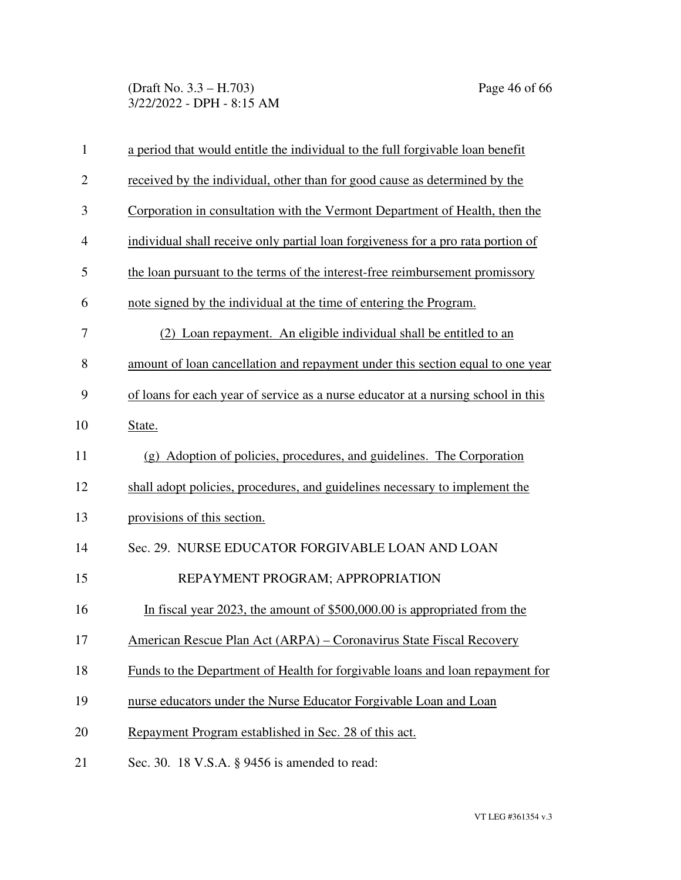(Draft No. 3.3 – H.703) Page 46 of 66 3/22/2022 - DPH - 8:15 AM

| $\mathbf{1}$   | a period that would entitle the individual to the full forgivable loan benefit    |
|----------------|-----------------------------------------------------------------------------------|
| $\overline{2}$ | received by the individual, other than for good cause as determined by the        |
| 3              | Corporation in consultation with the Vermont Department of Health, then the       |
| 4              | individual shall receive only partial loan for giveness for a pro rata portion of |
| 5              | the loan pursuant to the terms of the interest-free reimbursement promissory      |
| 6              | note signed by the individual at the time of entering the Program.                |
| 7              | (2) Loan repayment. An eligible individual shall be entitled to an                |
| 8              | amount of loan cancellation and repayment under this section equal to one year    |
| 9              | of loans for each year of service as a nurse educator at a nursing school in this |
| 10             | State.                                                                            |
| 11             | (g) Adoption of policies, procedures, and guidelines. The Corporation             |
| 12             | shall adopt policies, procedures, and guidelines necessary to implement the       |
| 13             | provisions of this section.                                                       |
| 14             | Sec. 29. NURSE EDUCATOR FORGIVABLE LOAN AND LOAN                                  |
| 15             | REPAYMENT PROGRAM; APPROPRIATION                                                  |
| 16             | In fiscal year 2023, the amount of \$500,000.00 is appropriated from the          |
| 17             | American Rescue Plan Act (ARPA) - Coronavirus State Fiscal Recovery               |
| 18             | Funds to the Department of Health for forgivable loans and loan repayment for     |
| 19             | nurse educators under the Nurse Educator Forgivable Loan and Loan                 |
| 20             | Repayment Program established in Sec. 28 of this act.                             |
| 21             | Sec. 30. 18 V.S.A. § 9456 is amended to read:                                     |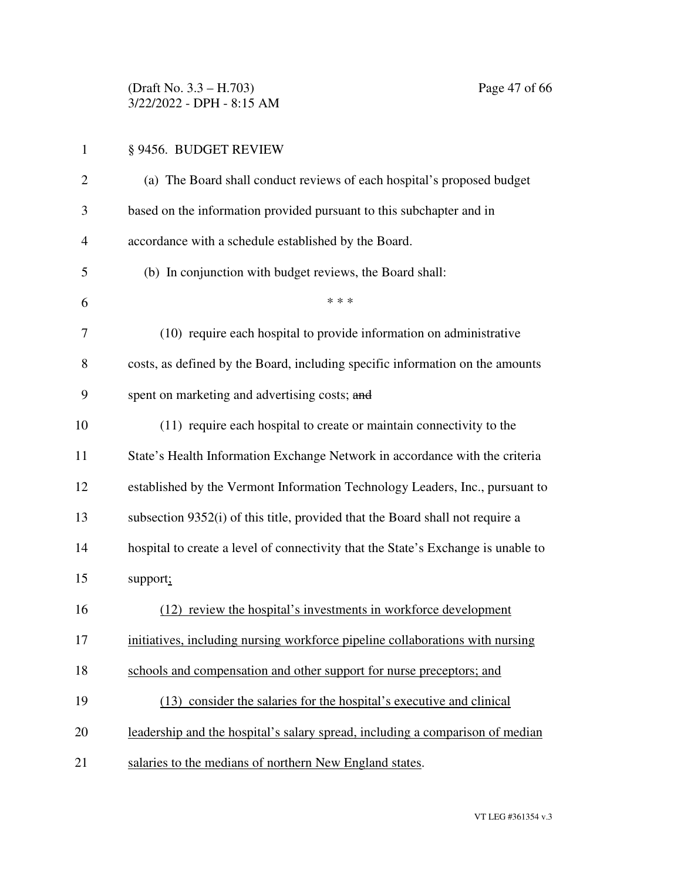(Draft No. 3.3 – H.703) Page 47 of 66 3/22/2022 - DPH - 8:15 AM

| $\mathbf{1}$ | § 9456. BUDGET REVIEW                                                             |
|--------------|-----------------------------------------------------------------------------------|
| 2            | (a) The Board shall conduct reviews of each hospital's proposed budget            |
| 3            | based on the information provided pursuant to this subchapter and in              |
| 4            | accordance with a schedule established by the Board.                              |
| 5            | (b) In conjunction with budget reviews, the Board shall:                          |
| 6            | * * *                                                                             |
| 7            | (10) require each hospital to provide information on administrative               |
| 8            | costs, as defined by the Board, including specific information on the amounts     |
| 9            | spent on marketing and advertising costs; and                                     |
| 10           | (11) require each hospital to create or maintain connectivity to the              |
| 11           | State's Health Information Exchange Network in accordance with the criteria       |
| 12           | established by the Vermont Information Technology Leaders, Inc., pursuant to      |
| 13           | subsection 9352(i) of this title, provided that the Board shall not require a     |
| 14           | hospital to create a level of connectivity that the State's Exchange is unable to |
| 15           | support;                                                                          |
| 16           | (12) review the hospital's investments in workforce development                   |
| 17           | initiatives, including nursing workforce pipeline collaborations with nursing     |
| 18           | schools and compensation and other support for nurse preceptors; and              |
| 19           | (13) consider the salaries for the hospital's executive and clinical              |
| 20           | leadership and the hospital's salary spread, including a comparison of median     |
| 21           | salaries to the medians of northern New England states.                           |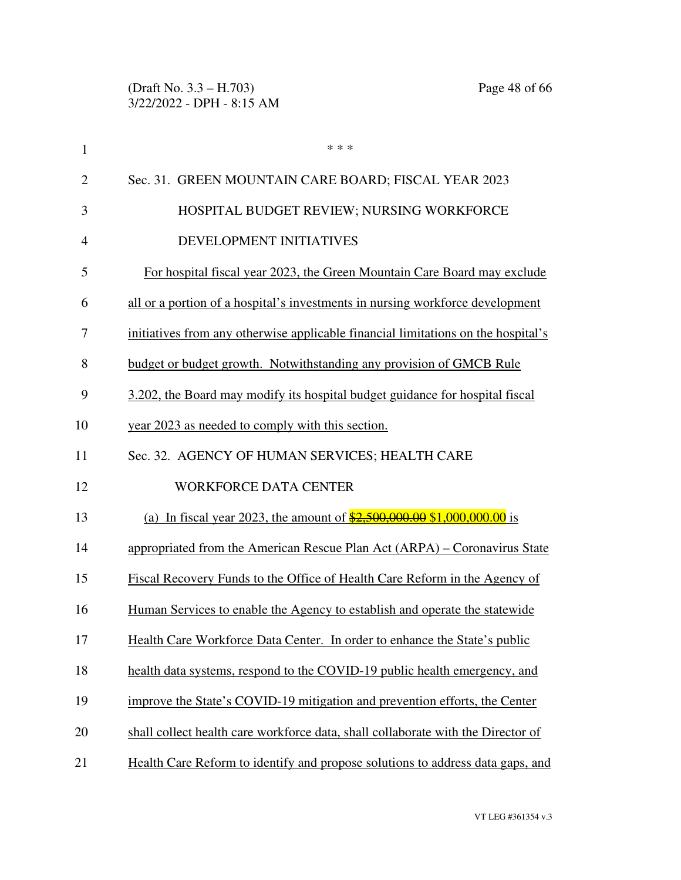| $\mathbf{1}$   | * * *                                                                               |
|----------------|-------------------------------------------------------------------------------------|
| $\overline{2}$ | Sec. 31. GREEN MOUNTAIN CARE BOARD; FISCAL YEAR 2023                                |
| 3              | HOSPITAL BUDGET REVIEW; NURSING WORKFORCE                                           |
| $\overline{4}$ | DEVELOPMENT INITIATIVES                                                             |
| 5              | For hospital fiscal year 2023, the Green Mountain Care Board may exclude            |
| 6              | all or a portion of a hospital's investments in nursing workforce development       |
| 7              | initiatives from any otherwise applicable financial limitations on the hospital's   |
| 8              | budget or budget growth. Notwithstanding any provision of GMCB Rule                 |
| 9              | 3.202, the Board may modify its hospital budget guidance for hospital fiscal        |
| 10             | year 2023 as needed to comply with this section.                                    |
| 11             | Sec. 32. AGENCY OF HUMAN SERVICES; HEALTH CARE                                      |
| 12             | <b>WORKFORCE DATA CENTER</b>                                                        |
| 13             | (a) In fiscal year 2023, the amount of $\frac{$2,500,000,00}{$2,000,000,000,00}$ is |
| 14             | appropriated from the American Rescue Plan Act (ARPA) – Coronavirus State           |
| 15             | Fiscal Recovery Funds to the Office of Health Care Reform in the Agency of          |
| 16             | Human Services to enable the Agency to establish and operate the statewide          |
| 17             | Health Care Workforce Data Center. In order to enhance the State's public           |
| 18             | health data systems, respond to the COVID-19 public health emergency, and           |
| 19             | improve the State's COVID-19 mitigation and prevention efforts, the Center          |
| 20             | shall collect health care workforce data, shall collaborate with the Director of    |
| 21             | Health Care Reform to identify and propose solutions to address data gaps, and      |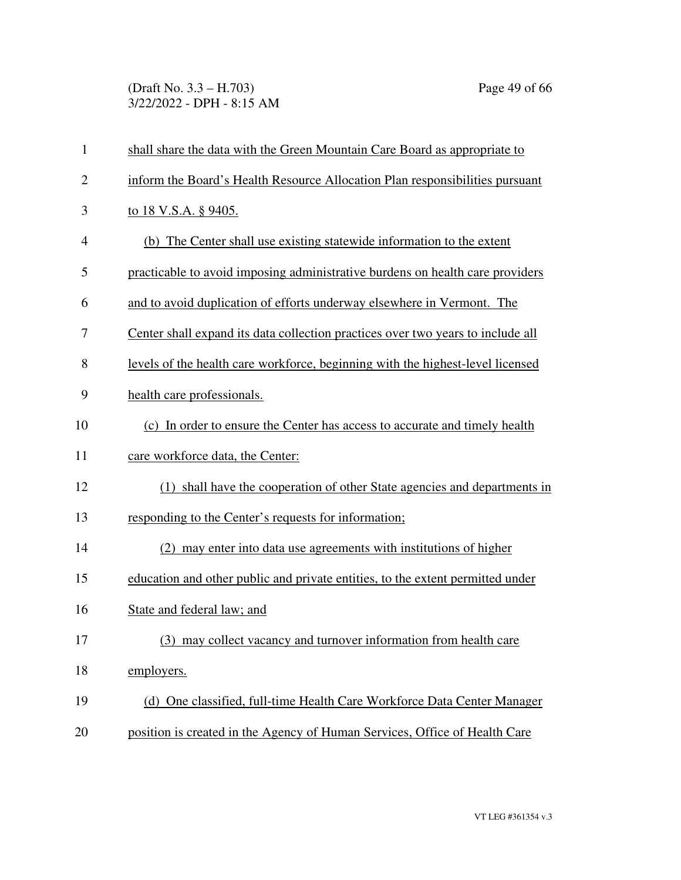(Draft No. 3.3 – H.703) Page 49 of 66 3/22/2022 - DPH - 8:15 AM

| $\mathbf{1}$   | shall share the data with the Green Mountain Care Board as appropriate to       |
|----------------|---------------------------------------------------------------------------------|
| $\overline{2}$ | inform the Board's Health Resource Allocation Plan responsibilities pursuant    |
| 3              | <u>to 18 V.S.A. § 9405.</u>                                                     |
| $\overline{4}$ | (b) The Center shall use existing statewide information to the extent           |
| 5              | practicable to avoid imposing administrative burdens on health care providers   |
| 6              | and to avoid duplication of efforts underway elsewhere in Vermont. The          |
| 7              | Center shall expand its data collection practices over two years to include all |
| 8              | levels of the health care workforce, beginning with the highest-level licensed  |
| 9              | health care professionals.                                                      |
| 10             | (c) In order to ensure the Center has access to accurate and timely health      |
| 11             | care workforce data, the Center:                                                |
| 12             | (1) shall have the cooperation of other State agencies and departments in       |
| 13             | responding to the Center's requests for information;                            |
| 14             | (2) may enter into data use agreements with institutions of higher              |
| 15             | education and other public and private entities, to the extent permitted under  |
| 16             | State and federal law; and                                                      |
| 17             | (3) may collect vacancy and turnover information from health care               |
| 18             | employers.                                                                      |
| 19             | (d) One classified, full-time Health Care Workforce Data Center Manager         |
| 20             | position is created in the Agency of Human Services, Office of Health Care      |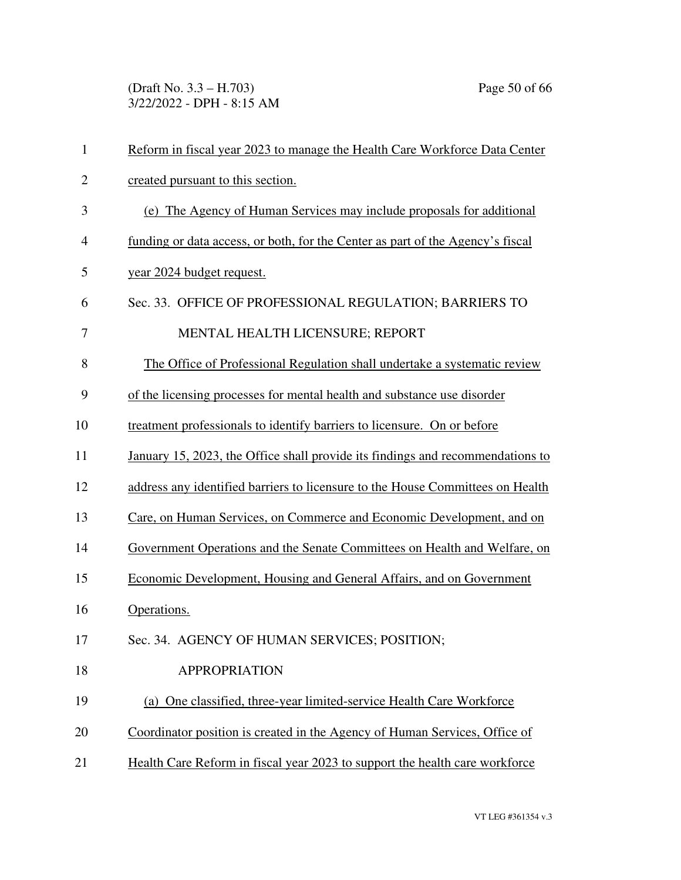(Draft No. 3.3 – H.703) Page 50 of 66 3/22/2022 - DPH - 8:15 AM

| $\mathbf{1}$   | Reform in fiscal year 2023 to manage the Health Care Workforce Data Center     |
|----------------|--------------------------------------------------------------------------------|
| $\overline{c}$ | created pursuant to this section.                                              |
| 3              | (e) The Agency of Human Services may include proposals for additional          |
| 4              | funding or data access, or both, for the Center as part of the Agency's fiscal |
| 5              | year 2024 budget request.                                                      |
| 6              | Sec. 33. OFFICE OF PROFESSIONAL REGULATION; BARRIERS TO                        |
| 7              | MENTAL HEALTH LICENSURE; REPORT                                                |
| 8              | The Office of Professional Regulation shall undertake a systematic review      |
| 9              | of the licensing processes for mental health and substance use disorder        |
| 10             | treatment professionals to identify barriers to licensure. On or before        |
| 11             | January 15, 2023, the Office shall provide its findings and recommendations to |
| 12             | address any identified barriers to licensure to the House Committees on Health |
| 13             | Care, on Human Services, on Commerce and Economic Development, and on          |
| 14             | Government Operations and the Senate Committees on Health and Welfare, on      |
| 15             | Economic Development, Housing and General Affairs, and on Government           |
| 16             | Operations.                                                                    |
| 17             | Sec. 34. AGENCY OF HUMAN SERVICES; POSITION;                                   |
| 18             | <b>APPROPRIATION</b>                                                           |
| 19             | (a) One classified, three-year limited-service Health Care Workforce           |
| 20             | Coordinator position is created in the Agency of Human Services, Office of     |
| 21             | Health Care Reform in fiscal year 2023 to support the health care workforce    |

VT LEG #361354 v.3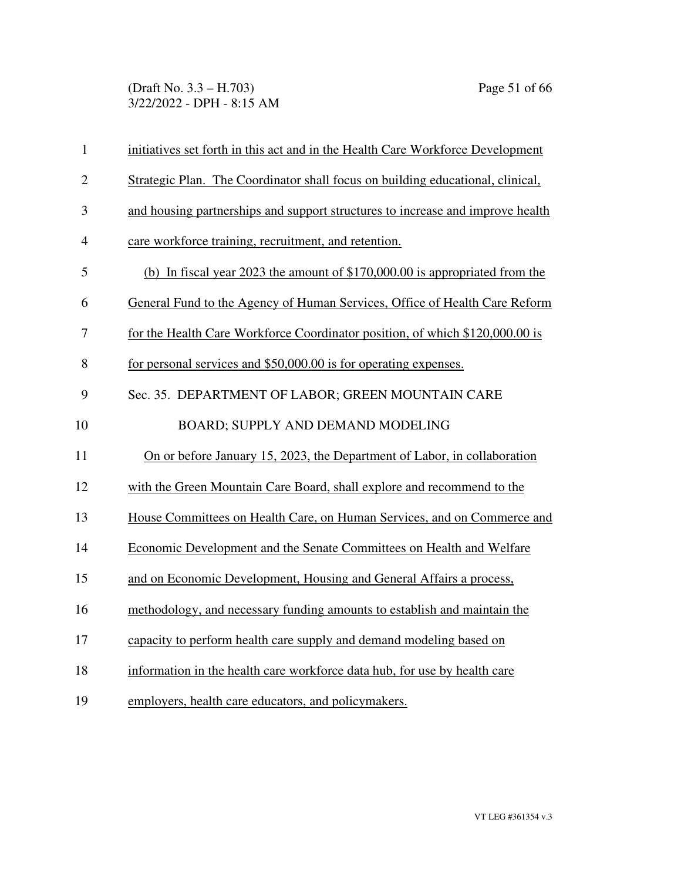(Draft No. 3.3 – H.703) Page 51 of 66 3/22/2022 - DPH - 8:15 AM

| $\mathbf{1}$   | initiatives set forth in this act and in the Health Care Workforce Development |
|----------------|--------------------------------------------------------------------------------|
| $\overline{2}$ | Strategic Plan. The Coordinator shall focus on building educational, clinical, |
| 3              | and housing partnerships and support structures to increase and improve health |
| $\overline{4}$ | care workforce training, recruitment, and retention.                           |
| 5              | (b) In fiscal year 2023 the amount of $$170,000.00$ is appropriated from the   |
| 6              | General Fund to the Agency of Human Services, Office of Health Care Reform     |
| 7              | for the Health Care Workforce Coordinator position, of which \$120,000.00 is   |
| 8              | for personal services and \$50,000.00 is for operating expenses.               |
| 9              | Sec. 35. DEPARTMENT OF LABOR; GREEN MOUNTAIN CARE                              |
| 10             | BOARD; SUPPLY AND DEMAND MODELING                                              |
| 11             | On or before January 15, 2023, the Department of Labor, in collaboration       |
| 12             | with the Green Mountain Care Board, shall explore and recommend to the         |
| 13             | House Committees on Health Care, on Human Services, and on Commerce and        |
| 14             | Economic Development and the Senate Committees on Health and Welfare           |
| 15             | and on Economic Development, Housing and General Affairs a process,            |
| 16             | methodology, and necessary funding amounts to establish and maintain the       |
| 17             | capacity to perform health care supply and demand modeling based on            |
| 18             | information in the health care workforce data hub, for use by health care      |
| 19             | employers, health care educators, and policymakers.                            |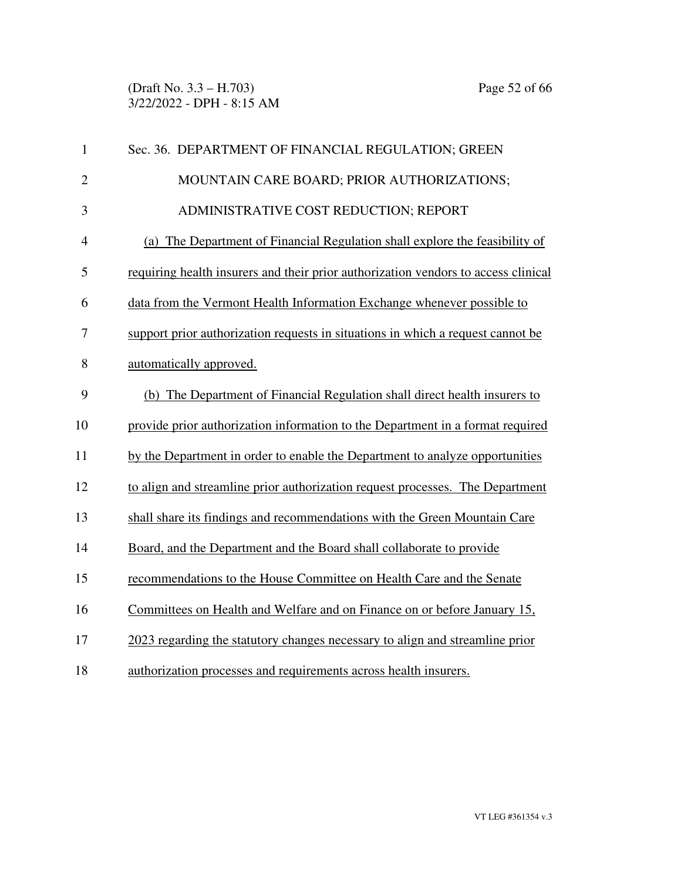| $\mathbf{1}$             | Sec. 36. DEPARTMENT OF FINANCIAL REGULATION; GREEN                                 |
|--------------------------|------------------------------------------------------------------------------------|
| $\overline{2}$           | MOUNTAIN CARE BOARD; PRIOR AUTHORIZATIONS;                                         |
| 3                        | ADMINISTRATIVE COST REDUCTION; REPORT                                              |
| $\overline{\mathcal{A}}$ | (a) The Department of Financial Regulation shall explore the feasibility of        |
| 5                        | requiring health insurers and their prior authorization vendors to access clinical |
| 6                        | data from the Vermont Health Information Exchange whenever possible to             |
| 7                        | support prior authorization requests in situations in which a request cannot be    |
| 8                        | automatically approved.                                                            |
| 9                        | (b) The Department of Financial Regulation shall direct health insurers to         |
| 10                       | provide prior authorization information to the Department in a format required     |
| 11                       | by the Department in order to enable the Department to analyze opportunities       |
| 12                       | to align and streamline prior authorization request processes. The Department      |
| 13                       | shall share its findings and recommendations with the Green Mountain Care          |
| 14                       | Board, and the Department and the Board shall collaborate to provide               |
| 15                       | recommendations to the House Committee on Health Care and the Senate               |
| 16                       | Committees on Health and Welfare and on Finance on or before January 15,           |
| 17                       | 2023 regarding the statutory changes necessary to align and streamline prior       |
| 18                       | authorization processes and requirements across health insurers.                   |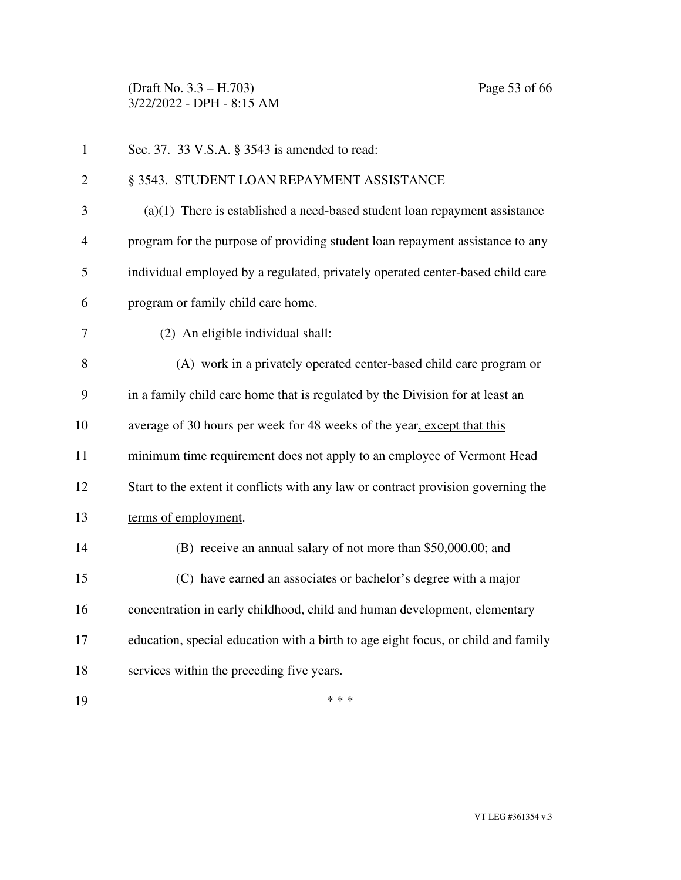(Draft No. 3.3 – H.703) Page 53 of 66 3/22/2022 - DPH - 8:15 AM

1 Sec. 37. 33 V.S.A. § 3543 is amended to read: 2 § 3543. STUDENT LOAN REPAYMENT ASSISTANCE 3 (a)(1) There is established a need-based student loan repayment assistance 4 program for the purpose of providing student loan repayment assistance to any 5 individual employed by a regulated, privately operated center-based child care 6 program or family child care home. 7 (2) An eligible individual shall: 8 (A) work in a privately operated center-based child care program or 9 in a family child care home that is regulated by the Division for at least an 10 average of 30 hours per week for 48 weeks of the year, except that this 11 minimum time requirement does not apply to an employee of Vermont Head 12 Start to the extent it conflicts with any law or contract provision governing the 13 terms of employment. 14 (B) receive an annual salary of not more than \$50,000.00; and 15 (C) have earned an associates or bachelor's degree with a major 16 concentration in early childhood, child and human development, elementary 17 education, special education with a birth to age eight focus, or child and family 18 services within the preceding five years. 19  $***$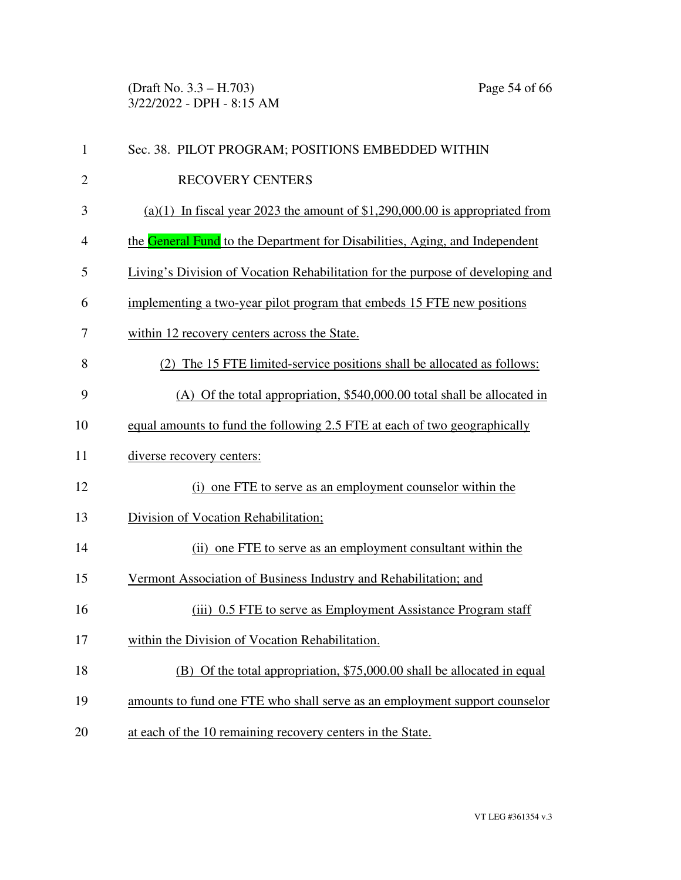(Draft No. 3.3 – H.703) Page 54 of 66 3/22/2022 - DPH - 8:15 AM

| $\mathbf{1}$   | Sec. 38. PILOT PROGRAM; POSITIONS EMBEDDED WITHIN                              |
|----------------|--------------------------------------------------------------------------------|
| $\overline{c}$ | <b>RECOVERY CENTERS</b>                                                        |
| 3              | $(a)(1)$ In fiscal year 2023 the amount of \$1,290,000.00 is appropriated from |
| 4              | the General Fund to the Department for Disabilities, Aging, and Independent    |
| 5              | Living's Division of Vocation Rehabilitation for the purpose of developing and |
| 6              | implementing a two-year pilot program that embeds 15 FTE new positions         |
| 7              | within 12 recovery centers across the State.                                   |
| 8              | (2) The 15 FTE limited-service positions shall be allocated as follows:        |
| 9              | (A) Of the total appropriation, \$540,000.00 total shall be allocated in       |
| 10             | equal amounts to fund the following 2.5 FTE at each of two geographically      |
| 11             | diverse recovery centers:                                                      |
| 12             | (i) one FTE to serve as an employment counselor within the                     |
| 13             | Division of Vocation Rehabilitation;                                           |
| 14             | (ii) one FTE to serve as an employment consultant within the                   |
| 15             | Vermont Association of Business Industry and Rehabilitation; and               |
| 16             | (iii) 0.5 FTE to serve as Employment Assistance Program staff                  |
| 17             | within the Division of Vocation Rehabilitation.                                |
| 18             | (B) Of the total appropriation, \$75,000.00 shall be allocated in equal        |
| 19             | amounts to fund one FTE who shall serve as an employment support counselor     |
| 20             | at each of the 10 remaining recovery centers in the State.                     |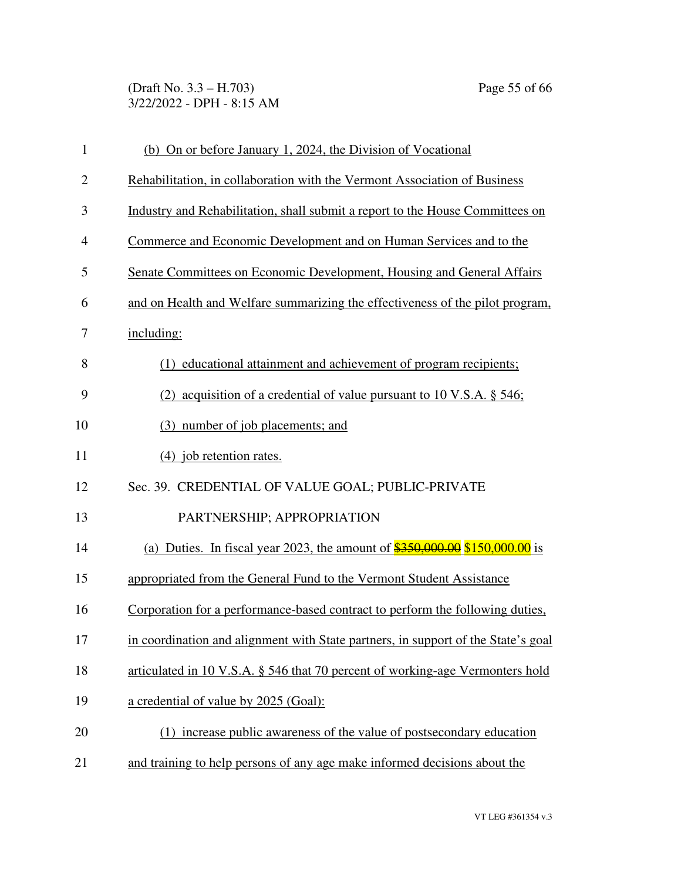(Draft No. 3.3 – H.703) Page 55 of 66 3/22/2022 - DPH - 8:15 AM

| $\mathbf{1}$   | (b) On or before January 1, 2024, the Division of Vocational                      |
|----------------|-----------------------------------------------------------------------------------|
| $\overline{2}$ | Rehabilitation, in collaboration with the Vermont Association of Business         |
| 3              | Industry and Rehabilitation, shall submit a report to the House Committees on     |
| 4              | Commerce and Economic Development and on Human Services and to the                |
| 5              | Senate Committees on Economic Development, Housing and General Affairs            |
| 6              | and on Health and Welfare summarizing the effectiveness of the pilot program,     |
| 7              | including:                                                                        |
| 8              | (1) educational attainment and achievement of program recipients;                 |
| 9              | (2) acquisition of a credential of value pursuant to 10 V.S.A. $\S$ 546;          |
| 10             | (3) number of job placements; and                                                 |
| 11             | $(4)$ job retention rates.                                                        |
| 12             | Sec. 39. CREDENTIAL OF VALUE GOAL; PUBLIC-PRIVATE                                 |
| 13             | PARTNERSHIP; APPROPRIATION                                                        |
| 14             | (a) Duties. In fiscal year 2023, the amount of $$350,000.00$ \$150,000.00 is      |
| 15             | appropriated from the General Fund to the Vermont Student Assistance              |
| 16             | Corporation for a performance-based contract to perform the following duties,     |
| 17             | in coordination and alignment with State partners, in support of the State's goal |
| 18             | articulated in 10 V.S.A. § 546 that 70 percent of working-age Vermonters hold     |
| 19             | a credential of value by 2025 (Goal):                                             |
| 20             | (1) increase public awareness of the value of postsecondary education             |
| 21             | and training to help persons of any age make informed decisions about the         |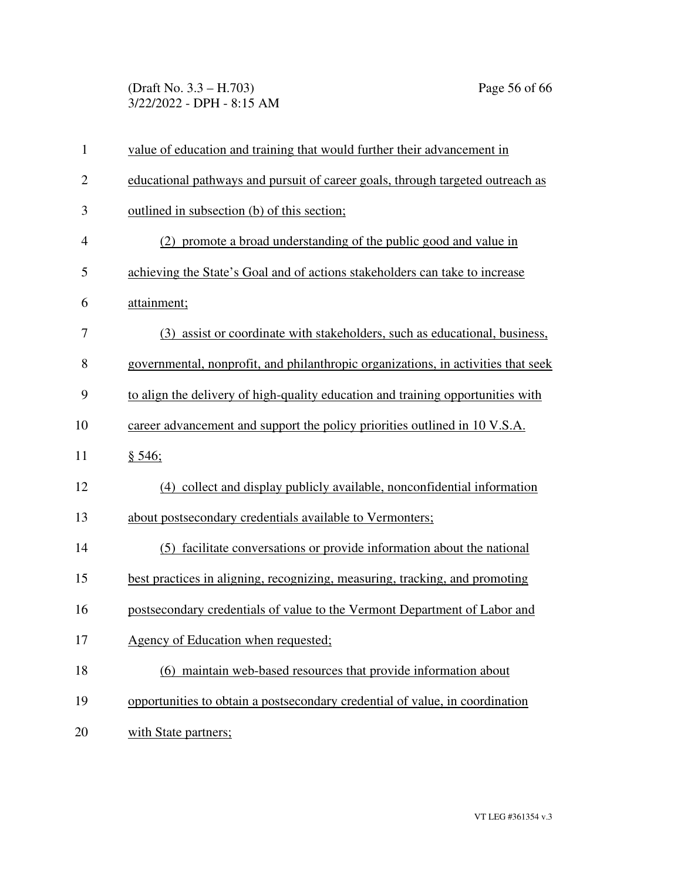(Draft No. 3.3 – H.703) Page 56 of 66 3/22/2022 - DPH - 8:15 AM

| $\mathbf{1}$ | value of education and training that would further their advancement in           |
|--------------|-----------------------------------------------------------------------------------|
| $\mathbf{2}$ | educational pathways and pursuit of career goals, through targeted outreach as    |
| 3            | outlined in subsection (b) of this section;                                       |
| 4            | (2) promote a broad understanding of the public good and value in                 |
| 5            | achieving the State's Goal and of actions stakeholders can take to increase       |
| 6            | attainment;                                                                       |
| 7            | (3) assist or coordinate with stakeholders, such as educational, business,        |
| 8            | governmental, nonprofit, and philanthropic organizations, in activities that seek |
| 9            | to align the delivery of high-quality education and training opportunities with   |
| 10           | career advancement and support the policy priorities outlined in 10 V.S.A.        |
| 11           | § 546;                                                                            |
| 12           | (4) collect and display publicly available, nonconfidential information           |
| 13           | about postsecondary credentials available to Vermonters;                          |
| 14           | (5) facilitate conversations or provide information about the national            |
| 15           | best practices in aligning, recognizing, measuring, tracking, and promoting       |
| 16           | postsecondary credentials of value to the Vermont Department of Labor and         |
| 17           | Agency of Education when requested;                                               |
| 18           | (6) maintain web-based resources that provide information about                   |
| 19           | opportunities to obtain a postsecondary credential of value, in coordination      |
| 20           | with State partners;                                                              |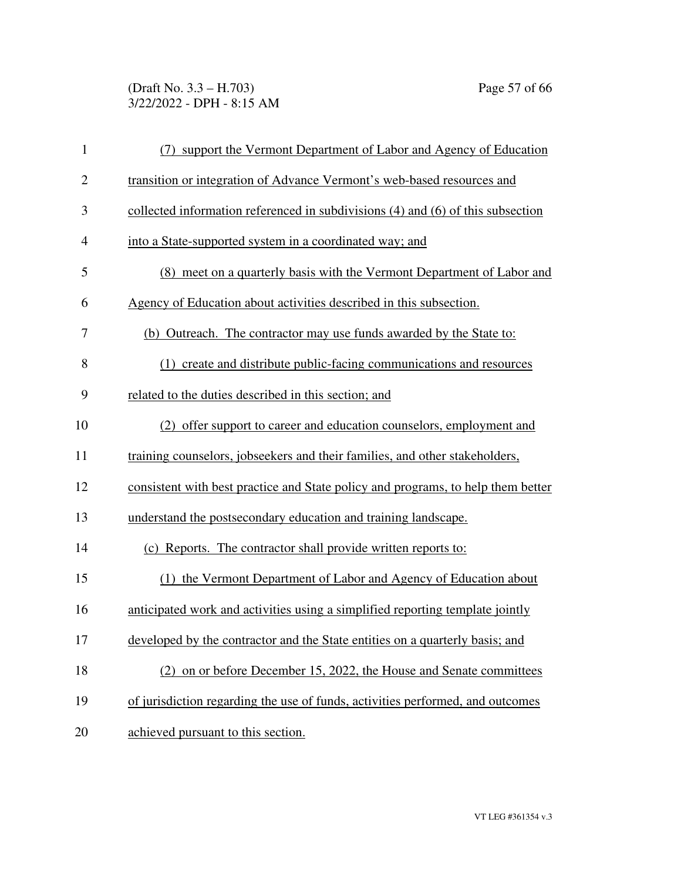(Draft No. 3.3 – H.703) Page 57 of 66 3/22/2022 - DPH - 8:15 AM

| $\mathbf{1}$   | (7) support the Vermont Department of Labor and Agency of Education              |
|----------------|----------------------------------------------------------------------------------|
| $\overline{2}$ | transition or integration of Advance Vermont's web-based resources and           |
| 3              | collected information referenced in subdivisions (4) and (6) of this subsection  |
| $\overline{4}$ | into a State-supported system in a coordinated way; and                          |
| 5              | (8) meet on a quarterly basis with the Vermont Department of Labor and           |
| 6              | Agency of Education about activities described in this subsection.               |
| 7              | (b) Outreach. The contractor may use funds awarded by the State to:              |
| 8              | (1) create and distribute public-facing communications and resources             |
| 9              | related to the duties described in this section; and                             |
| 10             | (2) offer support to career and education counselors, employment and             |
| 11             | training counselors, jobseekers and their families, and other stakeholders,      |
| 12             | consistent with best practice and State policy and programs, to help them better |
| 13             | understand the postsecondary education and training landscape.                   |
| 14             | (c) Reports. The contractor shall provide written reports to:                    |
| 15             | (1) the Vermont Department of Labor and Agency of Education about                |
| 16             | anticipated work and activities using a simplified reporting template jointly    |
| 17             | developed by the contractor and the State entities on a quarterly basis; and     |
| 18             | (2) on or before December 15, 2022, the House and Senate committees              |
| 19             | of jurisdiction regarding the use of funds, activities performed, and outcomes   |
| 20             | achieved pursuant to this section.                                               |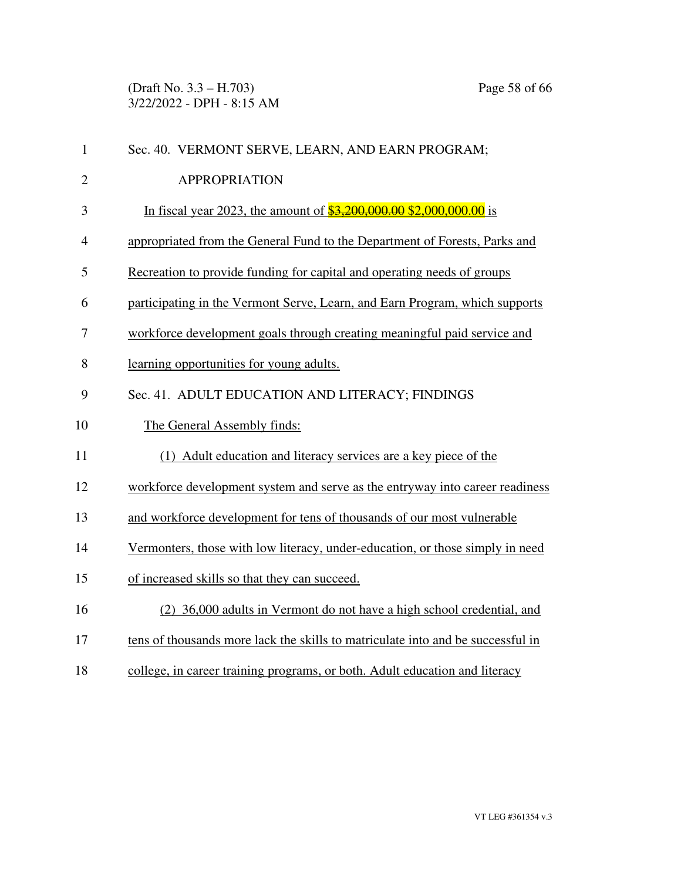(Draft No. 3.3 – H.703) Page 58 of 66 3/22/2022 - DPH - 8:15 AM

| $\mathbf{1}$   | Sec. 40. VERMONT SERVE, LEARN, AND EARN PROGRAM;                                |
|----------------|---------------------------------------------------------------------------------|
| $\overline{2}$ | <b>APPROPRIATION</b>                                                            |
| 3              | In fiscal year 2023, the amount of $\frac{$3,200,000.00}{$2,000,000.00}$ is     |
| $\overline{4}$ | appropriated from the General Fund to the Department of Forests, Parks and      |
| 5              | Recreation to provide funding for capital and operating needs of groups         |
| 6              | participating in the Vermont Serve, Learn, and Earn Program, which supports     |
| 7              | workforce development goals through creating meaningful paid service and        |
| 8              | learning opportunities for young adults.                                        |
| 9              | Sec. 41. ADULT EDUCATION AND LITERACY; FINDINGS                                 |
| 10             | The General Assembly finds:                                                     |
| 11             | (1) Adult education and literacy services are a key piece of the                |
| 12             | workforce development system and serve as the entryway into career readiness    |
| 13             | and workforce development for tens of thousands of our most vulnerable          |
| 14             | Vermonters, those with low literacy, under-education, or those simply in need   |
| 15             | of increased skills so that they can succeed.                                   |
| 16             | (2) 36,000 adults in Vermont do not have a high school credential, and          |
| 17             | tens of thousands more lack the skills to matriculate into and be successful in |
| 18             | college, in career training programs, or both. Adult education and literacy     |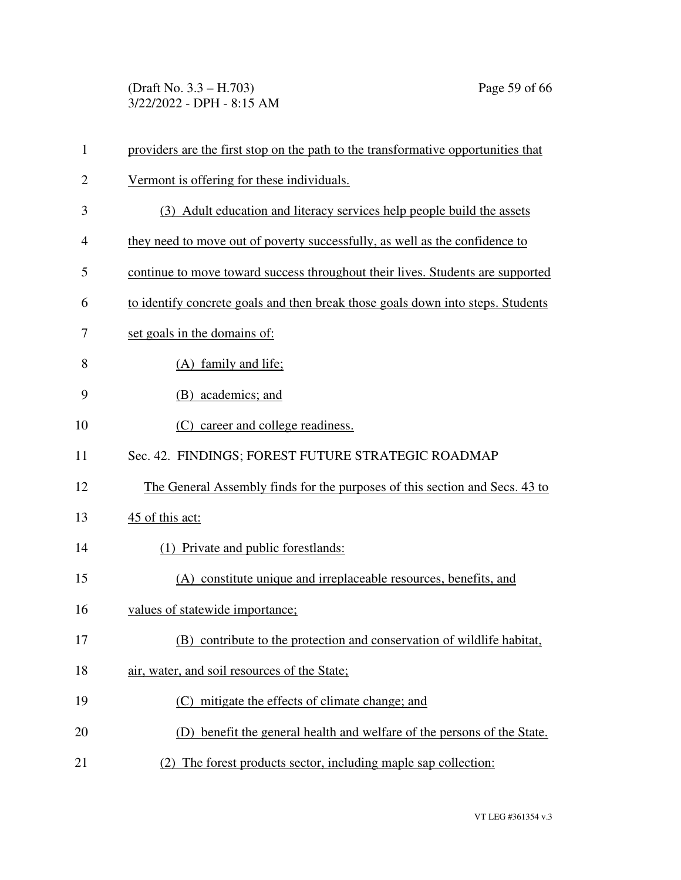(Draft No. 3.3 – H.703) Page 59 of 66 3/22/2022 - DPH - 8:15 AM

| 1              | providers are the first stop on the path to the transformative opportunities that |
|----------------|-----------------------------------------------------------------------------------|
| $\overline{c}$ | Vermont is offering for these individuals.                                        |
| 3              | (3) Adult education and literacy services help people build the assets            |
| $\overline{4}$ | they need to move out of poverty successfully, as well as the confidence to       |
| 5              | continue to move toward success throughout their lives. Students are supported    |
| 6              | to identify concrete goals and then break those goals down into steps. Students   |
| 7              | set goals in the domains of:                                                      |
| 8              | (A) family and life;                                                              |
| 9              | (B) academics; and                                                                |
| 10             | career and college readiness.<br>(C)                                              |
| 11             | Sec. 42. FINDINGS; FOREST FUTURE STRATEGIC ROADMAP                                |
| 12             | The General Assembly finds for the purposes of this section and Secs. 43 to       |
| 13             | 45 of this act:                                                                   |
| 14             | (1) Private and public forestlands:                                               |
| 15             | (A) constitute unique and irreplaceable resources, benefits, and                  |
| 16             | values of statewide importance;                                                   |
| 17             | (B) contribute to the protection and conservation of wildlife habitat,            |
| 18             | air, water, and soil resources of the State;                                      |
| 19             | (C) mitigate the effects of climate change; and                                   |
| 20             | benefit the general health and welfare of the persons of the State.<br>(1)        |
| 21             | (2) The forest products sector, including maple sap collection:                   |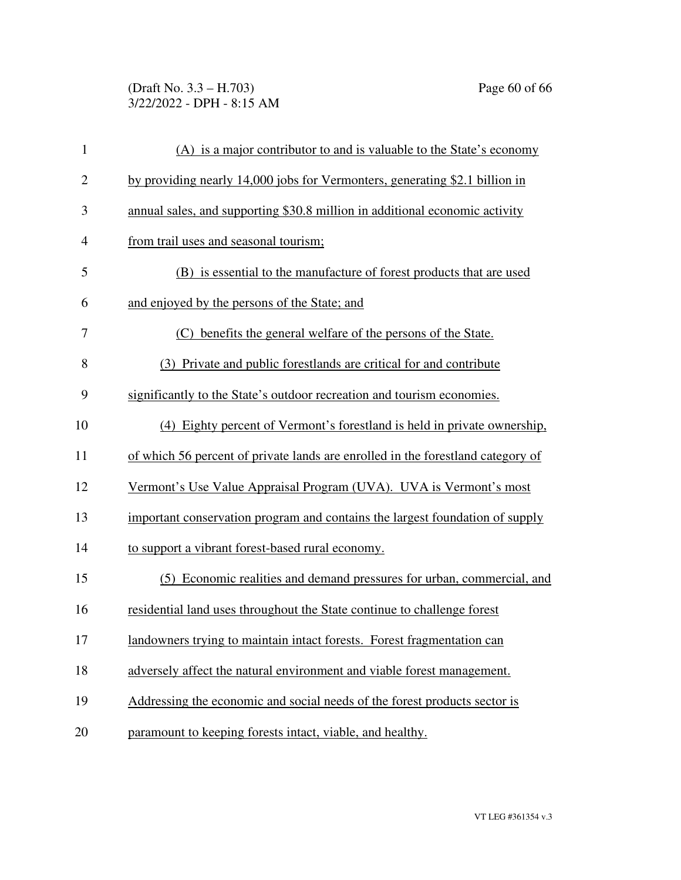(Draft No. 3.3 – H.703) Page 60 of 66 3/22/2022 - DPH - 8:15 AM

| $\mathbf{1}$   | (A) is a major contributor to and is valuable to the State's economy            |
|----------------|---------------------------------------------------------------------------------|
| $\overline{c}$ | by providing nearly 14,000 jobs for Vermonters, generating \$2.1 billion in     |
| 3              | annual sales, and supporting \$30.8 million in additional economic activity     |
| $\overline{4}$ | from trail uses and seasonal tourism;                                           |
| 5              | (B) is essential to the manufacture of forest products that are used            |
| 6              | and enjoyed by the persons of the State; and                                    |
| 7              | (C) benefits the general welfare of the persons of the State.                   |
| 8              | (3) Private and public forestlands are critical for and contribute              |
| 9              | significantly to the State's outdoor recreation and tourism economies.          |
| 10             | (4) Eighty percent of Vermont's forestland is held in private ownership,        |
| 11             | of which 56 percent of private lands are enrolled in the forestland category of |
| 12             | Vermont's Use Value Appraisal Program (UVA). UVA is Vermont's most              |
| 13             | important conservation program and contains the largest foundation of supply    |
| 14             | to support a vibrant forest-based rural economy.                                |
| 15             | Economic realities and demand pressures for urban, commercial, and<br>(5)       |
| 16             | residential land uses throughout the State continue to challenge forest         |
| 17             | landowners trying to maintain intact forests. Forest fragmentation can          |
| 18             | adversely affect the natural environment and viable forest management.          |
| 19             | Addressing the economic and social needs of the forest products sector is       |
| 20             | paramount to keeping forests intact, viable, and healthy.                       |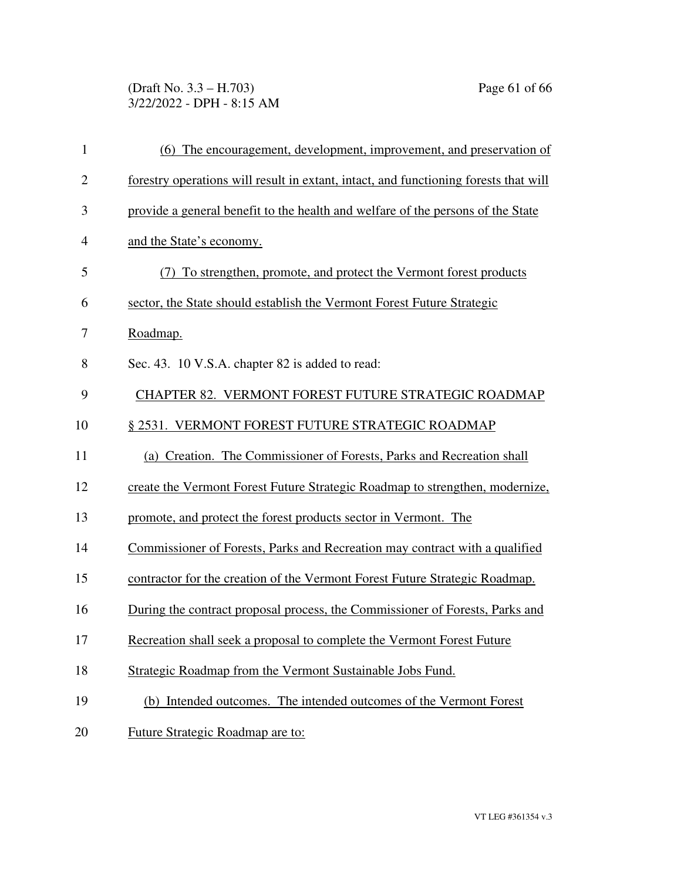# (Draft No. 3.3 – H.703) Page 61 of 66 3/22/2022 - DPH - 8:15 AM

| 1              | (6) The encouragement, development, improvement, and preservation of                 |
|----------------|--------------------------------------------------------------------------------------|
| $\mathbf{2}$   | forestry operations will result in extant, intact, and functioning forests that will |
| 3              | provide a general benefit to the health and welfare of the persons of the State      |
| $\overline{4}$ | and the State's economy.                                                             |
| 5              | To strengthen, promote, and protect the Vermont forest products                      |
| 6              | sector, the State should establish the Vermont Forest Future Strategic               |
| 7              | Roadmap.                                                                             |
| 8              | Sec. 43. 10 V.S.A. chapter 82 is added to read:                                      |
| 9              | CHAPTER 82. VERMONT FOREST FUTURE STRATEGIC ROADMAP                                  |
| 10             | § 2531. VERMONT FOREST FUTURE STRATEGIC ROADMAP                                      |
| 11             | (a) Creation. The Commissioner of Forests, Parks and Recreation shall                |
| 12             | create the Vermont Forest Future Strategic Roadmap to strengthen, modernize,         |
| 13             | promote, and protect the forest products sector in Vermont. The                      |
| 14             | Commissioner of Forests, Parks and Recreation may contract with a qualified          |
| 15             | contractor for the creation of the Vermont Forest Future Strategic Roadmap.          |
| 16             | During the contract proposal process, the Commissioner of Forests, Parks and         |
| 17             | Recreation shall seek a proposal to complete the Vermont Forest Future               |
| 18             | Strategic Roadmap from the Vermont Sustainable Jobs Fund.                            |
| 19             | (b) Intended outcomes. The intended outcomes of the Vermont Forest                   |
| 20             | Future Strategic Roadmap are to:                                                     |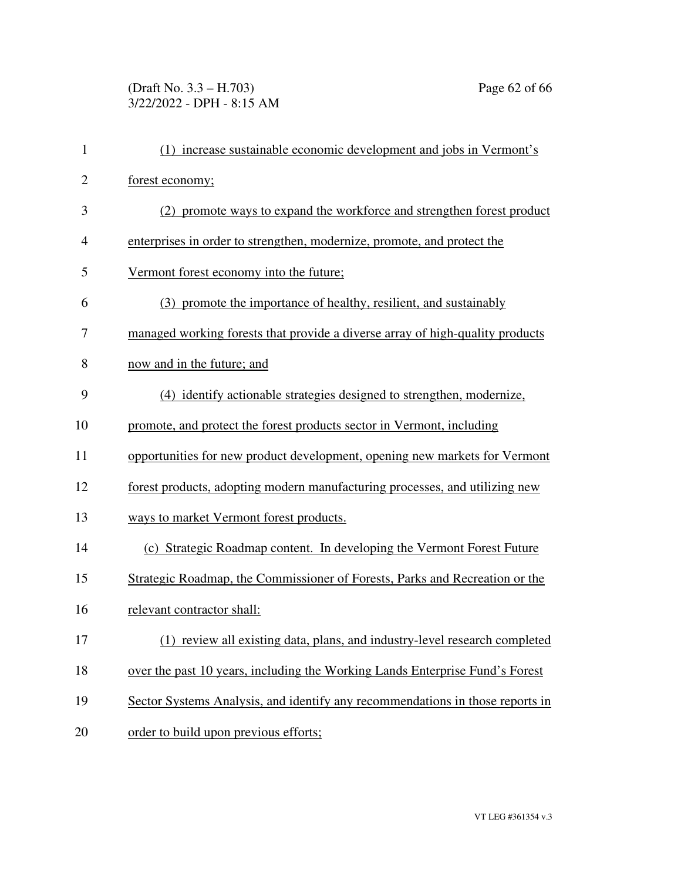# (Draft No. 3.3 – H.703) Page 62 of 66 3/22/2022 - DPH - 8:15 AM

| $\mathbf{1}$   | (1) increase sustainable economic development and jobs in Vermont's           |
|----------------|-------------------------------------------------------------------------------|
| $\overline{2}$ | forest economy;                                                               |
| 3              | (2) promote ways to expand the workforce and strengthen forest product        |
| 4              | enterprises in order to strengthen, modernize, promote, and protect the       |
| 5              | Vermont forest economy into the future;                                       |
| 6              | (3) promote the importance of healthy, resilient, and sustainably             |
| 7              | managed working forests that provide a diverse array of high-quality products |
| 8              | now and in the future; and                                                    |
| 9              | (4) identify actionable strategies designed to strengthen, modernize,         |
| 10             | promote, and protect the forest products sector in Vermont, including         |
| 11             | opportunities for new product development, opening new markets for Vermont    |
| 12             | forest products, adopting modern manufacturing processes, and utilizing new   |
| 13             | ways to market Vermont forest products.                                       |
| 14             | (c) Strategic Roadmap content. In developing the Vermont Forest Future        |
| 15             | Strategic Roadmap, the Commissioner of Forests, Parks and Recreation or the   |
| 16             | relevant contractor shall:                                                    |
| 17             | (1) review all existing data, plans, and industry-level research completed    |
| 18             | over the past 10 years, including the Working Lands Enterprise Fund's Forest  |
| 19             | Sector Systems Analysis, and identify any recommendations in those reports in |
| 20             | order to build upon previous efforts;                                         |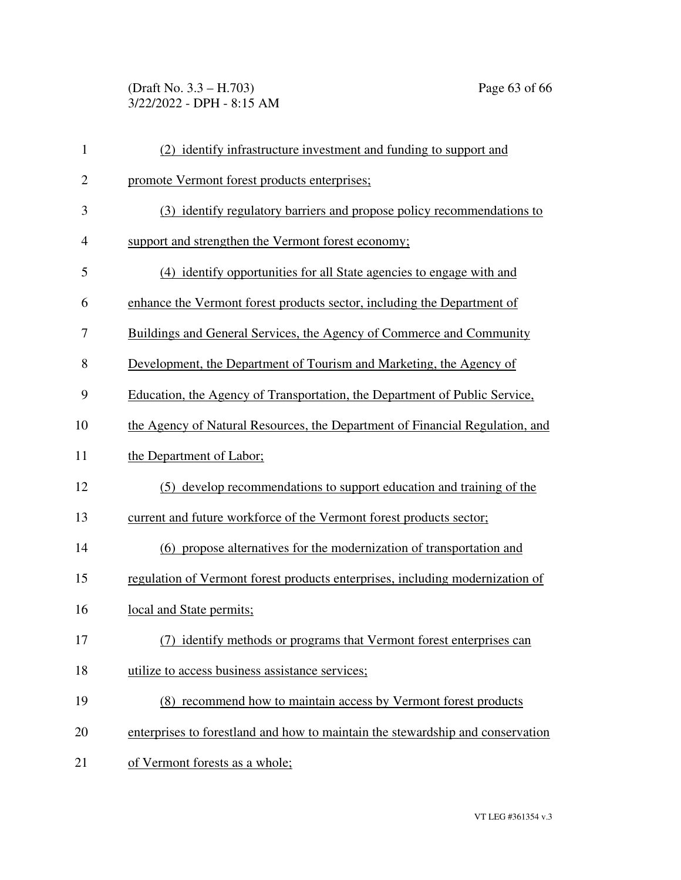(Draft No. 3.3 – H.703) Page 63 of 66 3/22/2022 - DPH - 8:15 AM

| $\mathbf{1}$   | (2) identify infrastructure investment and funding to support and              |
|----------------|--------------------------------------------------------------------------------|
| $\overline{2}$ | promote Vermont forest products enterprises;                                   |
| 3              | (3) identify regulatory barriers and propose policy recommendations to         |
| $\overline{4}$ | support and strengthen the Vermont forest economy;                             |
| 5              | (4) identify opportunities for all State agencies to engage with and           |
| 6              | enhance the Vermont forest products sector, including the Department of        |
| 7              | Buildings and General Services, the Agency of Commerce and Community           |
| 8              | Development, the Department of Tourism and Marketing, the Agency of            |
| 9              | Education, the Agency of Transportation, the Department of Public Service,     |
| 10             | the Agency of Natural Resources, the Department of Financial Regulation, and   |
| 11             | the Department of Labor;                                                       |
| 12             | (5) develop recommendations to support education and training of the           |
| 13             | current and future workforce of the Vermont forest products sector;            |
| 14             | (6) propose alternatives for the modernization of transportation and           |
| 15             | regulation of Vermont forest products enterprises, including modernization of  |
| 16             | local and State permits;                                                       |
| 17             | identify methods or programs that Vermont forest enterprises can               |
| 18             | utilize to access business assistance services;                                |
| 19             | (8) recommend how to maintain access by Vermont forest products                |
| 20             | enterprises to forestland and how to maintain the stewardship and conservation |
| 21             | of Vermont forests as a whole;                                                 |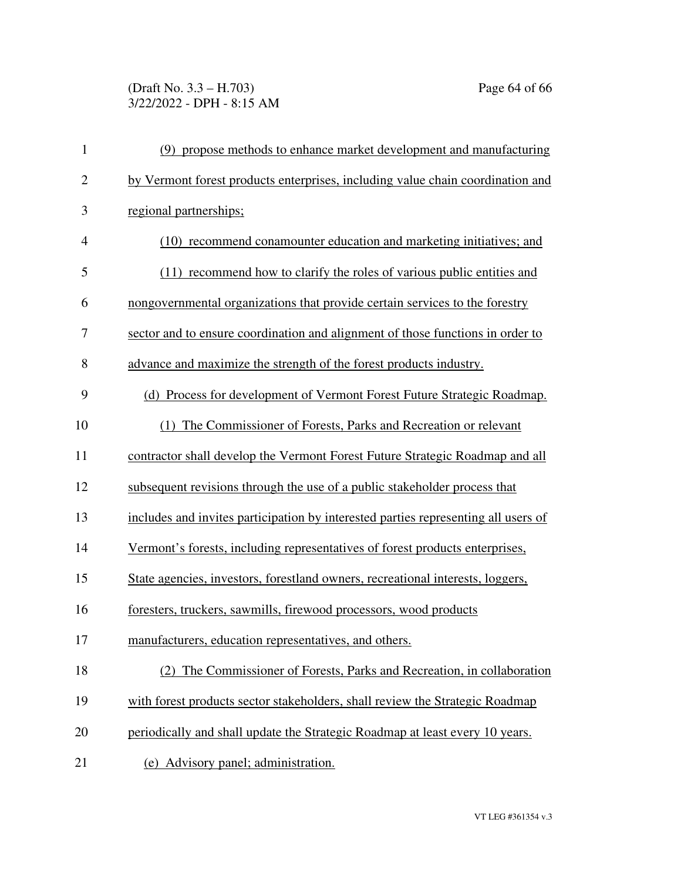# (Draft No. 3.3 – H.703) Page 64 of 66 3/22/2022 - DPH - 8:15 AM

| $\mathbf{1}$   | (9) propose methods to enhance market development and manufacturing                |
|----------------|------------------------------------------------------------------------------------|
| $\overline{2}$ | by Vermont forest products enterprises, including value chain coordination and     |
| 3              | regional partnerships;                                                             |
| $\overline{4}$ | (10) recommend conamounter education and marketing initiatives; and                |
| 5              | (11) recommend how to clarify the roles of various public entities and             |
| 6              | nongovernmental organizations that provide certain services to the forestry        |
| 7              | sector and to ensure coordination and alignment of those functions in order to     |
| 8              | advance and maximize the strength of the forest products industry.                 |
| 9              | (d) Process for development of Vermont Forest Future Strategic Roadmap.            |
| 10             | (1) The Commissioner of Forests, Parks and Recreation or relevant                  |
| 11             | contractor shall develop the Vermont Forest Future Strategic Roadmap and all       |
| 12             | subsequent revisions through the use of a public stakeholder process that          |
| 13             | includes and invites participation by interested parties representing all users of |
| 14             | Vermont's forests, including representatives of forest products enterprises,       |
| 15             | State agencies, investors, forestland owners, recreational interests, loggers,     |
| 16             | foresters, truckers, sawmills, firewood processors, wood products                  |
| 17             | manufacturers, education representatives, and others.                              |
| 18             | (2) The Commissioner of Forests, Parks and Recreation, in collaboration            |
| 19             | with forest products sector stakeholders, shall review the Strategic Roadmap       |
| 20             | periodically and shall update the Strategic Roadmap at least every 10 years.       |
| 21             | (e) Advisory panel; administration.                                                |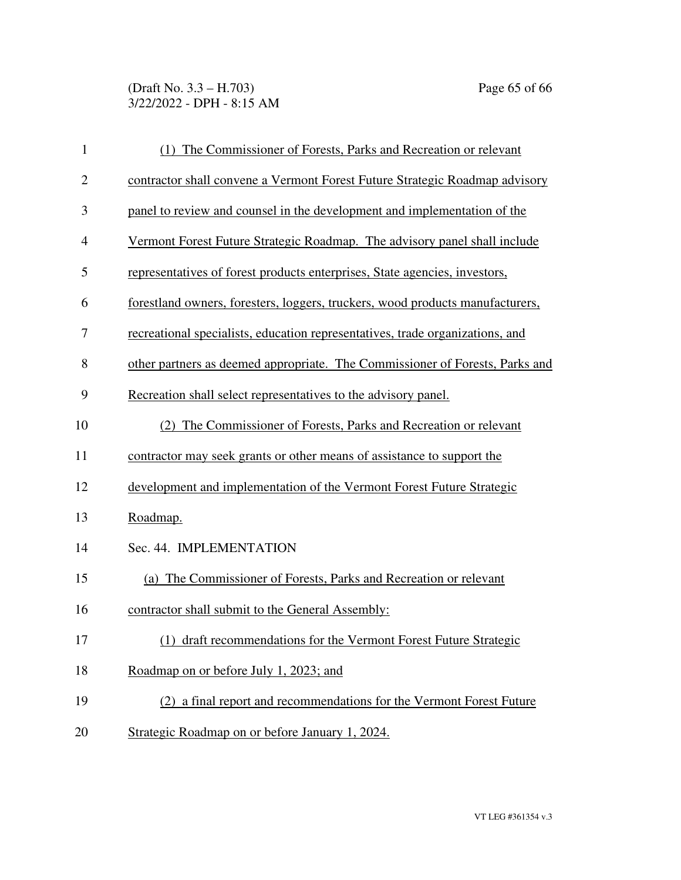(Draft No. 3.3 – H.703) Page 65 of 66 3/22/2022 - DPH - 8:15 AM

| $\mathbf{1}$   | The Commissioner of Forests, Parks and Recreation or relevant                 |
|----------------|-------------------------------------------------------------------------------|
| $\overline{2}$ | contractor shall convene a Vermont Forest Future Strategic Roadmap advisory   |
| 3              | panel to review and counsel in the development and implementation of the      |
| 4              | Vermont Forest Future Strategic Roadmap. The advisory panel shall include     |
| 5              | representatives of forest products enterprises, State agencies, investors,    |
| 6              | forestland owners, foresters, loggers, truckers, wood products manufacturers, |
| 7              | recreational specialists, education representatives, trade organizations, and |
| 8              | other partners as deemed appropriate. The Commissioner of Forests, Parks and  |
| 9              | Recreation shall select representatives to the advisory panel.                |
| 10             | The Commissioner of Forests, Parks and Recreation or relevant                 |
| 11             | contractor may seek grants or other means of assistance to support the        |
| 12             | development and implementation of the Vermont Forest Future Strategic         |
| 13             | Roadmap.                                                                      |
| 14             | Sec. 44. IMPLEMENTATION                                                       |
| 15             | (a) The Commissioner of Forests, Parks and Recreation or relevant             |
| 16             | contractor shall submit to the General Assembly:                              |
| 17             | (1) draft recommendations for the Vermont Forest Future Strategic             |
| 18             | Roadmap on or before July 1, 2023; and                                        |
| 19             | (2) a final report and recommendations for the Vermont Forest Future          |
| 20             | Strategic Roadmap on or before January 1, 2024.                               |